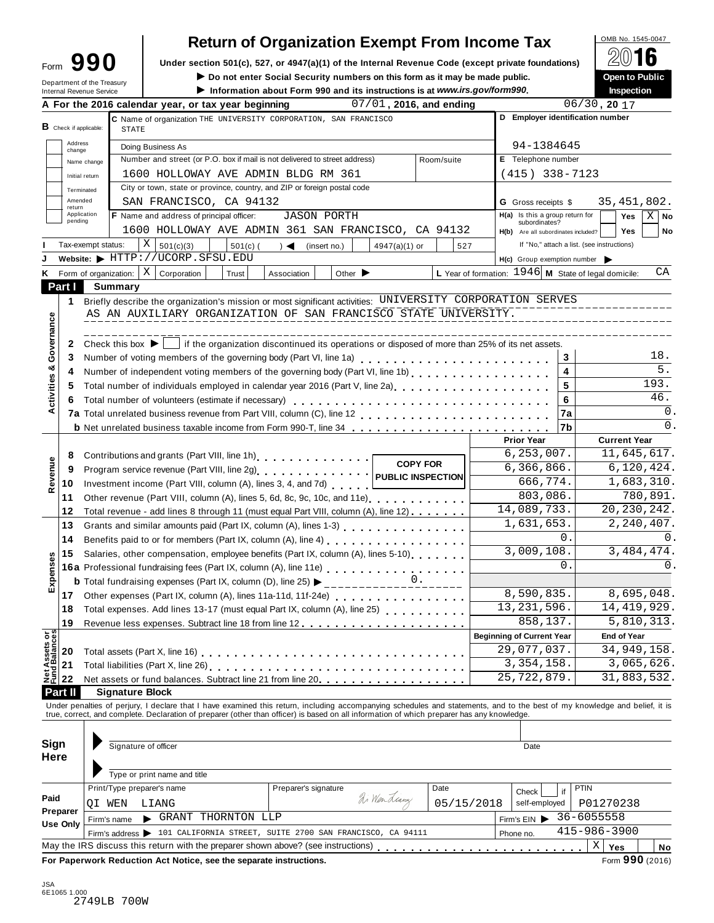| Form | 9                          |
|------|----------------------------|
|      | Department of the Treasury |
|      | Internal Revenue Service   |

# Return of Organization Exempt From Income Tax  $\frac{\text{OMB No. 1545-0047}}{20}$

**Under section 501(c), 527, or 4947(a)(1) of the Internal Revenue Code (except private foundations) <u>Form <b>990**</u> **E Dependie Form <b>Solution Form 200 ID C Propendie Public** 

 $\blacktriangleright$  Do not enter Social Security numbers on this form as it may be made public.

Information about Form 990 and its instructions is at www.irs.gov/form990.

|                                            | 07/01, 2016, and ending<br>A For the 2016 calendar year, or tax year beginning                                                                                                                                                                                                                                           |                                                        | $06/30$ , 20 17     |  |  |
|--------------------------------------------|--------------------------------------------------------------------------------------------------------------------------------------------------------------------------------------------------------------------------------------------------------------------------------------------------------------------------|--------------------------------------------------------|---------------------|--|--|
| <b>B</b> Check if applicable:              | C Name of organization THE UNIVERSITY CORPORATION, SAN FRANCISCO<br><b>STATE</b>                                                                                                                                                                                                                                         | D Employer identification number                       |                     |  |  |
| Address<br>change                          | Doing Business As                                                                                                                                                                                                                                                                                                        | 94-1384645                                             |                     |  |  |
|                                            | Number and street (or P.O. box if mail is not delivered to street address)<br>Room/suite<br>Name change                                                                                                                                                                                                                  | E Telephone number                                     |                     |  |  |
| Initial return                             | 1600 HOLLOWAY AVE ADMIN BLDG RM 361<br>$(415)$ 338-7123                                                                                                                                                                                                                                                                  |                                                        |                     |  |  |
|                                            | City or town, state or province, country, and ZIP or foreign postal code<br>Terminated                                                                                                                                                                                                                                   |                                                        |                     |  |  |
| Amended<br>return                          | SAN FRANCISCO, CA 94132                                                                                                                                                                                                                                                                                                  | <b>G</b> Gross receipts \$                             | 35,451,802.         |  |  |
| pending                                    | F Name and address of principal officer:<br>Application<br><b>JASON PORTH</b>                                                                                                                                                                                                                                            | H(a) Is this a group return for                        | $X \mid$ No<br>Yes  |  |  |
|                                            | 1600 HOLLOWAY AVE ADMIN 361 SAN FRANCISCO, CA 94132                                                                                                                                                                                                                                                                      | subordinates?<br>H(b) Are all subordinates included?   | <b>Yes</b><br>No    |  |  |
|                                            | X<br>Tax-exempt status:<br>501(c)(3)<br>$501(c)$ (<br>$) \triangleleft$ (insert no.)<br>$4947(a)(1)$ or<br>527                                                                                                                                                                                                           | If "No," attach a list. (see instructions)             |                     |  |  |
|                                            | Website: $\blacktriangleright$ HTTP://UCORP.SFSU.EDU                                                                                                                                                                                                                                                                     | $H(c)$ Group exemption number                          |                     |  |  |
| K                                          | Form of organization: $\mid X \mid$ Corporation<br>Other $\blacktriangleright$<br>Trust<br>Association                                                                                                                                                                                                                   | L Year of formation: $1946$ M State of legal domicile: | СA                  |  |  |
| Part I                                     | <b>Summary</b>                                                                                                                                                                                                                                                                                                           |                                                        |                     |  |  |
| 1.                                         | Briefly describe the organization's mission or most significant activities: UNIVERSITY CORPORATION SERVES                                                                                                                                                                                                                |                                                        |                     |  |  |
|                                            | AS AN AUXILIARY ORGANIZATION OF SAN FRANCISCO STATE UNIVERSITY.                                                                                                                                                                                                                                                          |                                                        |                     |  |  |
|                                            |                                                                                                                                                                                                                                                                                                                          |                                                        |                     |  |  |
| Governance<br>2                            | Check this box $\blacktriangleright \bigsqcup$ if the organization discontinued its operations or disposed of more than 25% of its net assets.                                                                                                                                                                           |                                                        |                     |  |  |
| 3                                          | Number of voting members of the governing body (Part VI, line 1a)<br>                                                                                                                                                                                                                                                    | 3                                                      | 18.                 |  |  |
| 4                                          |                                                                                                                                                                                                                                                                                                                          | 4                                                      | 5.                  |  |  |
| Activities &<br>5                          | Total number of individuals employed in calendar year 2016 (Part V, line 2a)<br>The 2a)                                                                                                                                                                                                                                  | 5                                                      | 193.                |  |  |
| 6                                          | Total number of volunteers (estimate if necessary)                                                                                                                                                                                                                                                                       | 6                                                      | 46.                 |  |  |
|                                            |                                                                                                                                                                                                                                                                                                                          | 7a                                                     | 0.                  |  |  |
|                                            | <b>b</b> Net unrelated business taxable income from Form 990-T, line 34 <b>and in the set of the set of the set of the set of the set of the set of the set of the set of the set of the set of the set of the set of the set of the </b>                                                                                | l7b                                                    | 0.                  |  |  |
|                                            |                                                                                                                                                                                                                                                                                                                          | <b>Prior Year</b>                                      | <b>Current Year</b> |  |  |
| 8                                          | Contributions and grants (Part VIII, line 1h)<br>                                                                                                                                                                                                                                                                        | 6, 253, 007.                                           | 11,645,617.         |  |  |
| 9                                          | <b>COPY FOR</b>                                                                                                                                                                                                                                                                                                          | 6, 366, 866.                                           | 6, 120, 424.        |  |  |
| Revenue<br>10                              | Investment income (Part VIII, column (A), lines 3, 4, and 7d)                                                                                                                                                                                                                                                            | 666,774.                                               | 1,683,310.          |  |  |
| 11                                         | Other revenue (Part VIII, column (A), lines 5, 6d, 8c, 9c, 10c, and 11e)                                                                                                                                                                                                                                                 | 803,086.                                               | 780,891.            |  |  |
| 12                                         | Total revenue - add lines 8 through 11 (must equal Part VIII, column (A), line 12)                                                                                                                                                                                                                                       | 14,089,733.                                            | 20, 230, 242.       |  |  |
| 13                                         |                                                                                                                                                                                                                                                                                                                          | 1,631,653.                                             | 2,240,407.          |  |  |
| 14                                         | Benefits paid to or for members (Part IX, column (A), line 4)                                                                                                                                                                                                                                                            | 0.                                                     | Ω.                  |  |  |
| 15                                         | Salaries, other compensation, employee benefits (Part IX, column (A), lines 5-10)                                                                                                                                                                                                                                        | 3,009,108.                                             | 3, 484, 474.        |  |  |
|                                            |                                                                                                                                                                                                                                                                                                                          | 0.                                                     | 0.                  |  |  |
| Expenses                                   | 16a Professional fundraising fees (Part IX, column (A), line 11e)<br>16a Professional fundraising fees (Part IX, column (A), line 11e)<br>.0<br>---------------                                                                                                                                                          |                                                        |                     |  |  |
|                                            | <b>b</b> Total fundraising expenses (Part IX, column (D), line 25) $\blacktriangleright$                                                                                                                                                                                                                                 | 8,590,835.                                             | 8,695,048.          |  |  |
|                                            | 17 Other expenses (Part IX, column (A), lines 11a-11d, 11f-24e)<br>11a - 24e)                                                                                                                                                                                                                                            | 13, 231, 596.                                          | 14, 419, 929.       |  |  |
| 18                                         | Total expenses. Add lines 13-17 (must equal Part IX, column (A), line 25)                                                                                                                                                                                                                                                | 858,137.                                               | 5,810,313.          |  |  |
| 19                                         | Revenue less expenses. Subtract line 18 from line 12                                                                                                                                                                                                                                                                     | <b>Beginning of Current Year</b>                       | <b>End of Year</b>  |  |  |
|                                            |                                                                                                                                                                                                                                                                                                                          | 29,077,037.                                            | 34,949,158.         |  |  |
| Net Assets or<br>Fund Balances<br>20<br>21 | Total assets (Part X, line 16) <b>All Accords</b>                                                                                                                                                                                                                                                                        | 3, 354, 158.                                           | 3,065,626.          |  |  |
|                                            | Total liabilities (Part X, line 26)                                                                                                                                                                                                                                                                                      | 25,722,879.                                            | 31,883,532.         |  |  |
| 22                                         | Net assets or fund balances. Subtract line 21 from line 20                                                                                                                                                                                                                                                               |                                                        |                     |  |  |
| Part II                                    | <b>Signature Block</b>                                                                                                                                                                                                                                                                                                   |                                                        |                     |  |  |
|                                            | Under penalties of perjury, I declare that I have examined this return, including accompanying schedules and statements, and to the best of my knowledge and belief, it is<br>true, correct, and complete. Declaration of preparer (other than officer) is based on all information of which preparer has any knowledge. |                                                        |                     |  |  |
|                                            |                                                                                                                                                                                                                                                                                                                          |                                                        |                     |  |  |
| Sign                                       | Signature of officer                                                                                                                                                                                                                                                                                                     | Date                                                   |                     |  |  |
| Here                                       |                                                                                                                                                                                                                                                                                                                          |                                                        |                     |  |  |
|                                            |                                                                                                                                                                                                                                                                                                                          |                                                        |                     |  |  |
|                                            | Type or print name and title                                                                                                                                                                                                                                                                                             |                                                        |                     |  |  |
| Paid                                       | Print/Type preparer's name<br>Preparer's signature<br>Date<br>Ri Wendiang                                                                                                                                                                                                                                                | if<br>Check                                            | <b>PTIN</b>         |  |  |
|                                            | QI WEN<br>LIANG<br>05/15/2018                                                                                                                                                                                                                                                                                            | self-employed                                          | P01270238           |  |  |
|                                            |                                                                                                                                                                                                                                                                                                                          | Firm's EIN                                             | 36-6055558          |  |  |
| Preparer<br>Use Only                       | GRANT THORNTON LLP<br>Firm's name                                                                                                                                                                                                                                                                                        |                                                        |                     |  |  |
|                                            | Firm's address > 101 CALIFORNIA STREET, SUITE 2700 SAN FRANCISCO, CA 94111<br>May the IRS discuss this return with the preparer shown above? (see instructions)                                                                                                                                                          | Phone no.                                              | 415-986-3900<br>Χ   |  |  |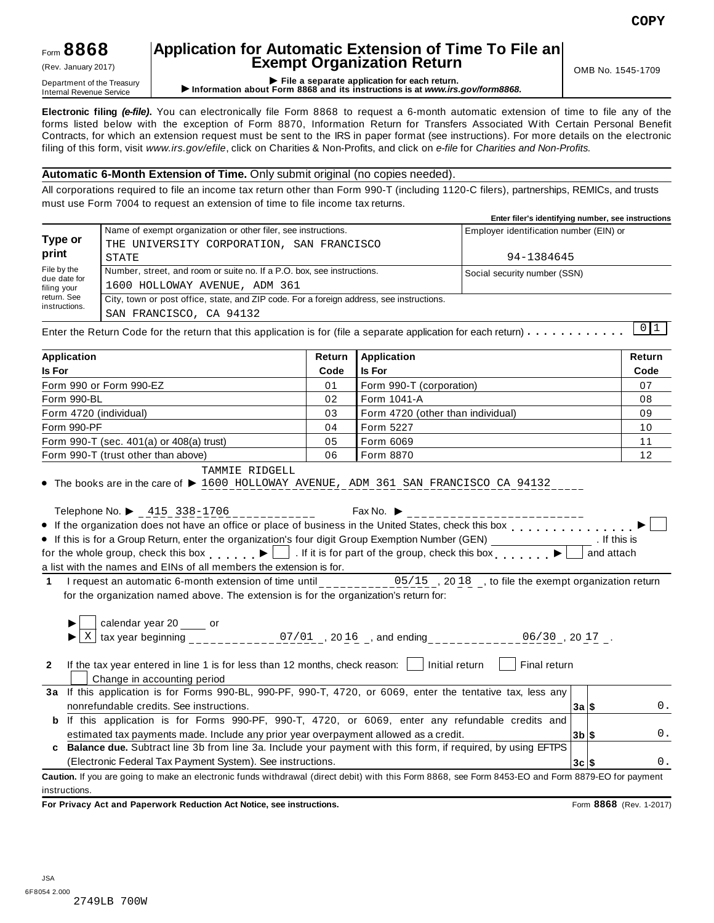### Form **8868**

## **Application for Automatic Extension of Time To File an Exempt Organization Return** (Rev. January 2017) OMB No. 1545-1709

Department of the Treasury<br>Department of the Treasury<br>Internal Revenue Service **CONFICE 1999 File a separate application for each return.**<br>Internal Revenue Service **CONFICE 1999 File a separate application for each return.** 

**Electronic filing** *(e-file)***.** You can electronically file Form 8868 to request a 6-month automatic extension of time to file any of the forms listed below with the exception of Form 8870, Information Return for Transfers Associated With Certain Personal Benefit Contracts, for which an extension request must be sent to the IRS in paper format (see instructions). For more details on the electronic filing of this form, visit *www.irs.gov/efile*, click on Charities & Non-Profits, and click on *e-file* for *Charities and Non-Profits.*

### **Automatic 6-Month Extension of Time.** Only submit original (no copies needed).

All corporations required to file an income tax return other than Form 990-T (including 1120-C filers), partnerships, REMICs, and trusts must use Form 7004 to request an extension of time to file income tax returns.

|                              |                                                                                          | Enter filer's identifying number, see instructions |  |  |  |  |
|------------------------------|------------------------------------------------------------------------------------------|----------------------------------------------------|--|--|--|--|
|                              | Name of exempt organization or other filer, see instructions.                            | Employer identification number (EIN) or            |  |  |  |  |
| Type or                      | THE UNIVERSITY CORPORATION, SAN FRANCISCO                                                |                                                    |  |  |  |  |
| print                        | STATE                                                                                    | 94-1384645                                         |  |  |  |  |
| File by the                  | Number, street, and room or suite no. If a P.O. box, see instructions.                   | Social security number (SSN)                       |  |  |  |  |
| due date for<br>filing your  | 1600 HOLLOWAY AVENUE, ADM 361                                                            |                                                    |  |  |  |  |
| return. See<br>instructions. | City, town or post office, state, and ZIP code. For a foreign address, see instructions. |                                                    |  |  |  |  |
|                              | SAN FRANCISCO, CA 94132                                                                  |                                                    |  |  |  |  |
|                              |                                                                                          |                                                    |  |  |  |  |

| Application                              | Return | <b>Application</b>                | Return |
|------------------------------------------|--------|-----------------------------------|--------|
| <b>Is For</b>                            | Code   | <b>Is For</b>                     | Code   |
| Form 990 or Form 990-EZ                  | 01     | Form 990-T (corporation)          | 07     |
| Form 990-BL                              | 02     | l Form 1041-A                     | 08     |
| Form 4720 (individual)                   | 03     | Form 4720 (other than individual) | 09     |
| Form 990-PF                              | 04     | <b>Form 5227</b>                  | 10     |
| Form 990-T (sec. 401(a) or 408(a) trust) | 05     | Form 6069                         | 11     |
| Form 990-T (trust other than above)      | 06     | Form 8870                         | 12     |

TAMMIE RIDGELL

TAMMIE RIDGELL<br>• The books are in the care of  $\triangleright$  1600 HOLLOWAY AVENUE, ADM 361 SAN FRANCISCO CA 94132

| Telephone No. $\blacktriangleright$ 415 338-1706 |  |                                                                                                   | Fax No. $\blacktriangleright$ |                                                                                                                               |              |
|--------------------------------------------------|--|---------------------------------------------------------------------------------------------------|-------------------------------|-------------------------------------------------------------------------------------------------------------------------------|--------------|
|                                                  |  |                                                                                                   |                               | • If the organization does not have an office or place of business in the United States, check this box                       |              |
|                                                  |  | • If this is for a Group Return, enter the organization's four digit Group Exemption Number (GEN) |                               |                                                                                                                               | . If this is |
|                                                  |  |                                                                                                   |                               | for the whole group, check this box $\bullet$ . If it is for part of the group, check this box $\bullet$ $\bullet$ and attach |              |
|                                                  |  | a list with the names and EINs of all members the extension is for.                               |                               |                                                                                                                               |              |

**1** I request an automatic 6-month extension of time until \_\_\_\_\_\_\_\_\_\_ for the organization named above. The extension is for the organization's return for:  $05/15$ , 20 18, to file the exempt organization return

|    | calendar year 20 ____ or<br>tax year beginning<br>07/01, 2016, and ending<br>$06/30$ , 20 17.                                                      |                    |  |    |
|----|----------------------------------------------------------------------------------------------------------------------------------------------------|--------------------|--|----|
| 2  | If the tax year entered in line 1 is for less than 12 months, check reason:  <br>Initial return<br>Final return                                    |                    |  |    |
|    | Change in accounting period                                                                                                                        |                    |  |    |
| За | If this application is for Forms 990-BL, 990-PF, 990-T, 4720, or 6069, enter the tentative tax, less any                                           |                    |  |    |
|    | nonrefundable credits. See instructions.                                                                                                           | 3a S               |  | 0. |
| b  | this application is for Forms 990-PF, 990-T, 4720, or 6069, enter any refundable credits and<br>lf.                                                |                    |  |    |
|    | estimated tax payments made. Include any prior year overpayment allowed as a credit.                                                               | $3b$ $\frac{1}{3}$ |  | 0. |
|    | c Balance due. Subtract line 3b from line 3a. Include your payment with this form, if required, by using EFTPS                                     |                    |  |    |
|    | (Electronic Federal Tax Payment System). See instructions.                                                                                         | 3c S               |  | 0. |
|    | Caution. If you are going to make an electronic funds withdrawal (direct debit) with this Form 8868, see Form 8453-EO and Form 8879-EO for payment |                    |  |    |
|    | instructions.                                                                                                                                      |                    |  |    |

**For Privacy Act and Paperwork Reduction Act Notice, see instructions.** Form **8868** (Rev. 1-2017)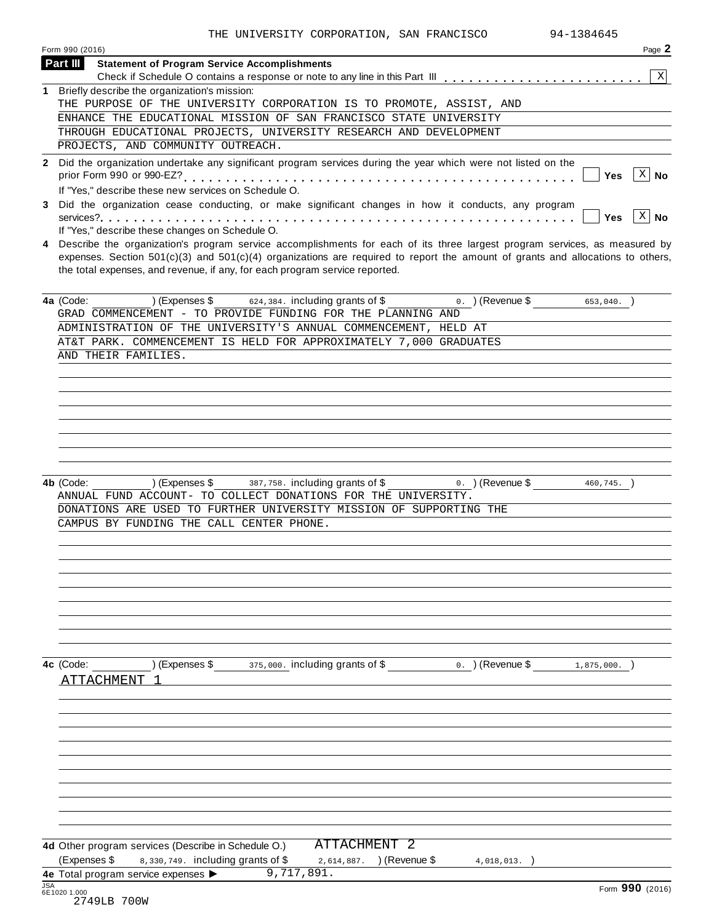| Form 990 (2016)                                                                                                                                                                                                                                                                                                                             | Page 2                 |
|---------------------------------------------------------------------------------------------------------------------------------------------------------------------------------------------------------------------------------------------------------------------------------------------------------------------------------------------|------------------------|
| <b>Part III</b><br><b>Statement of Program Service Accomplishments</b>                                                                                                                                                                                                                                                                      |                        |
|                                                                                                                                                                                                                                                                                                                                             | X                      |
| 1 Briefly describe the organization's mission:                                                                                                                                                                                                                                                                                              |                        |
| THE PURPOSE OF THE UNIVERSITY CORPORATION IS TO PROMOTE, ASSIST, AND<br>ENHANCE THE EDUCATIONAL MISSION OF SAN FRANCISCO STATE UNIVERSITY                                                                                                                                                                                                   |                        |
| THROUGH EDUCATIONAL PROJECTS, UNIVERSITY RESEARCH AND DEVELOPMENT                                                                                                                                                                                                                                                                           |                        |
| PROJECTS, AND COMMUNITY OUTREACH.                                                                                                                                                                                                                                                                                                           |                        |
|                                                                                                                                                                                                                                                                                                                                             |                        |
| 2 Did the organization undertake any significant program services during the year which were not listed on the<br>prior Form 990 or 990-EZ?<br>.<br>If "Yes," describe these new services on Schedule O.<br>Did the organization cease conducting, or make significant changes in how it conducts, any program                              | $\mathbb{X}$ No<br>Yes |
| If "Yes," describe these changes on Schedule O.                                                                                                                                                                                                                                                                                             | $ X $ No<br>Yes        |
| Describe the organization's program service accomplishments for each of its three largest program services, as measured by<br>expenses. Section 501(c)(3) and 501(c)(4) organizations are required to report the amount of grants and allocations to others,<br>the total expenses, and revenue, if any, for each program service reported. |                        |
| ) (Expenses \$<br>624, 384. including grants of \$<br>$0.$ ) (Revenue \$<br>4a (Code:<br>GRAD COMMENCEMENT - TO PROVIDE FUNDING FOR THE PLANNING AND                                                                                                                                                                                        | $653,040.$ )           |
| ADMINISTRATION OF THE UNIVERSITY'S ANNUAL COMMENCEMENT, HELD AT                                                                                                                                                                                                                                                                             |                        |
| AT&T PARK. COMMENCEMENT IS HELD FOR APPROXIMATELY 7,000 GRADUATES                                                                                                                                                                                                                                                                           |                        |
| AND THEIR FAMILIES.                                                                                                                                                                                                                                                                                                                         |                        |
|                                                                                                                                                                                                                                                                                                                                             |                        |
|                                                                                                                                                                                                                                                                                                                                             |                        |
|                                                                                                                                                                                                                                                                                                                                             |                        |
|                                                                                                                                                                                                                                                                                                                                             |                        |
|                                                                                                                                                                                                                                                                                                                                             |                        |
|                                                                                                                                                                                                                                                                                                                                             |                        |
|                                                                                                                                                                                                                                                                                                                                             |                        |
|                                                                                                                                                                                                                                                                                                                                             |                        |
|                                                                                                                                                                                                                                                                                                                                             |                        |
|                                                                                                                                                                                                                                                                                                                                             |                        |
| 387, 758. including grants of \$<br>) (Expenses \$<br>$0.$ ) (Revenue \$                                                                                                                                                                                                                                                                    | $460, 745.$ )          |
| ANNUAL FUND ACCOUNT- TO COLLECT DONATIONS FOR THE UNIVERSITY.                                                                                                                                                                                                                                                                               |                        |
| DONATIONS ARE USED TO FURTHER UNIVERSITY MISSION OF SUPPORTING THE                                                                                                                                                                                                                                                                          |                        |
| CAMPUS BY FUNDING THE CALL CENTER PHONE.                                                                                                                                                                                                                                                                                                    |                        |
| 4b (Code:                                                                                                                                                                                                                                                                                                                                   |                        |
|                                                                                                                                                                                                                                                                                                                                             |                        |
|                                                                                                                                                                                                                                                                                                                                             |                        |
|                                                                                                                                                                                                                                                                                                                                             |                        |
|                                                                                                                                                                                                                                                                                                                                             |                        |
|                                                                                                                                                                                                                                                                                                                                             |                        |
|                                                                                                                                                                                                                                                                                                                                             |                        |
|                                                                                                                                                                                                                                                                                                                                             |                        |
|                                                                                                                                                                                                                                                                                                                                             |                        |
|                                                                                                                                                                                                                                                                                                                                             |                        |
| 375,000. including grants of \$ 0. (Revenue \$ 1,875,000.                                                                                                                                                                                                                                                                                   |                        |
|                                                                                                                                                                                                                                                                                                                                             |                        |
| ATTACHMENT 1                                                                                                                                                                                                                                                                                                                                |                        |
|                                                                                                                                                                                                                                                                                                                                             |                        |
|                                                                                                                                                                                                                                                                                                                                             |                        |
|                                                                                                                                                                                                                                                                                                                                             |                        |
|                                                                                                                                                                                                                                                                                                                                             |                        |
|                                                                                                                                                                                                                                                                                                                                             |                        |
|                                                                                                                                                                                                                                                                                                                                             |                        |
|                                                                                                                                                                                                                                                                                                                                             |                        |
|                                                                                                                                                                                                                                                                                                                                             |                        |
| 4c (Code: ) (Expenses \$                                                                                                                                                                                                                                                                                                                    |                        |
|                                                                                                                                                                                                                                                                                                                                             |                        |
|                                                                                                                                                                                                                                                                                                                                             |                        |
| ATTACHMENT 2                                                                                                                                                                                                                                                                                                                                |                        |
| 4d Other program services (Describe in Schedule O.)                                                                                                                                                                                                                                                                                         |                        |
| (Expenses \$<br>8,330,749. including grants of \$<br>2,614,887. (Revenue \$<br>$4,018,013.$ )<br>9,717,891.<br>4e Total program service expenses >                                                                                                                                                                                          |                        |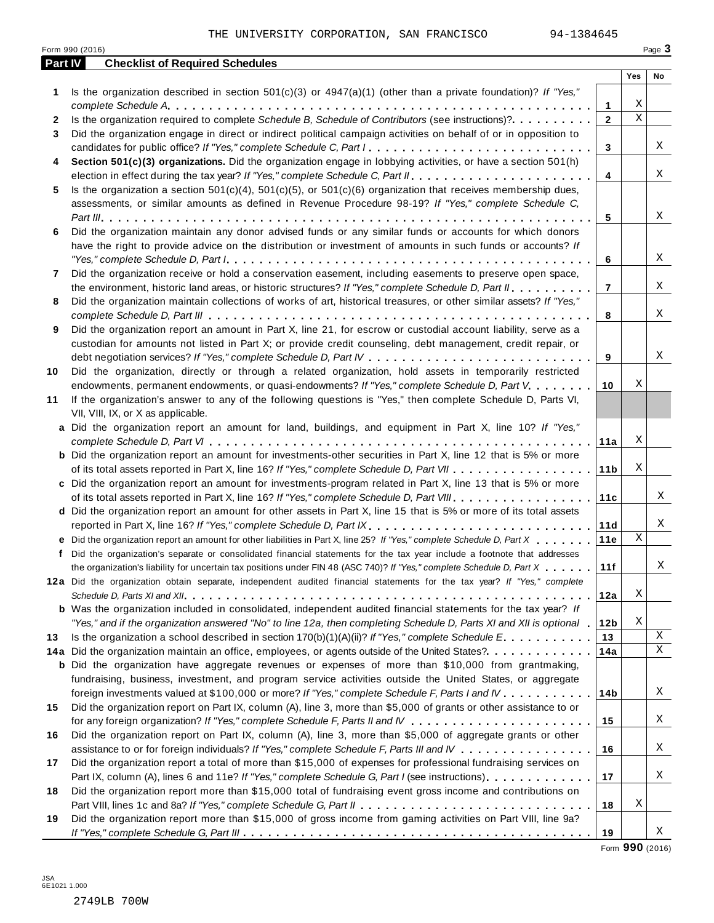THE UNIVERSITY CORPORATION, SAN FRANCISCO 94-1384645

|         | Form 990 (2016)                                                                                                                                                                                                                                                                                                                                                                                                                                                                                            |                 |                  | Page 3      |
|---------|------------------------------------------------------------------------------------------------------------------------------------------------------------------------------------------------------------------------------------------------------------------------------------------------------------------------------------------------------------------------------------------------------------------------------------------------------------------------------------------------------------|-----------------|------------------|-------------|
| Part IV | <b>Checklist of Required Schedules</b>                                                                                                                                                                                                                                                                                                                                                                                                                                                                     |                 |                  |             |
|         |                                                                                                                                                                                                                                                                                                                                                                                                                                                                                                            |                 | Yes              | No          |
| 1       | Is the organization described in section $501(c)(3)$ or $4947(a)(1)$ (other than a private foundation)? If "Yes,"                                                                                                                                                                                                                                                                                                                                                                                          |                 |                  |             |
|         |                                                                                                                                                                                                                                                                                                                                                                                                                                                                                                            | 1               | Χ<br>$\mathbf X$ |             |
| 2       | Is the organization required to complete Schedule B, Schedule of Contributors (see instructions)?.                                                                                                                                                                                                                                                                                                                                                                                                         | $\mathbf{2}$    |                  |             |
| 3       | Did the organization engage in direct or indirect political campaign activities on behalf of or in opposition to                                                                                                                                                                                                                                                                                                                                                                                           |                 |                  | Χ           |
|         | candidates for public office? If "Yes," complete Schedule C, Part I.                                                                                                                                                                                                                                                                                                                                                                                                                                       | 3               |                  |             |
| 4       | Section 501(c)(3) organizations. Did the organization engage in lobbying activities, or have a section 501(h)                                                                                                                                                                                                                                                                                                                                                                                              |                 |                  | Χ           |
|         |                                                                                                                                                                                                                                                                                                                                                                                                                                                                                                            | $\overline{4}$  |                  |             |
| 5       | Is the organization a section $501(c)(4)$ , $501(c)(5)$ , or $501(c)(6)$ organization that receives membership dues,                                                                                                                                                                                                                                                                                                                                                                                       |                 |                  |             |
|         | assessments, or similar amounts as defined in Revenue Procedure 98-19? If "Yes," complete Schedule C,                                                                                                                                                                                                                                                                                                                                                                                                      | 5               |                  | Χ           |
|         |                                                                                                                                                                                                                                                                                                                                                                                                                                                                                                            |                 |                  |             |
| 6       | Did the organization maintain any donor advised funds or any similar funds or accounts for which donors<br>have the right to provide advice on the distribution or investment of amounts in such funds or accounts? If                                                                                                                                                                                                                                                                                     |                 |                  |             |
|         |                                                                                                                                                                                                                                                                                                                                                                                                                                                                                                            |                 |                  | Χ           |
|         | "Yes," complete Schedule D, Part $l_1, \ldots, l_k, \ldots, l_k, \ldots, l_k, \ldots, l_k, \ldots, l_k, \ldots, l_k, \ldots, l_k, \ldots, l_k, \ldots, l_k, \ldots, l_k, \ldots, l_k, \ldots, l_k, \ldots, l_k, \ldots, l_k, \ldots, l_k, \ldots, l_k, \ldots, l_k, \ldots, l_k, \ldots, l_k, \ldots, l_k, \ldots, l_k, \ldots, l_k, \ldots, l_k, \ldots, l_k, \ldots, l_k, \ldots, l_k, \ld$<br>Did the organization receive or hold a conservation easement, including easements to preserve open space, | 6               |                  |             |
| 7       | the environment, historic land areas, or historic structures? If "Yes," complete Schedule D, Part II.                                                                                                                                                                                                                                                                                                                                                                                                      | $\overline{7}$  |                  | Χ           |
|         | Did the organization maintain collections of works of art, historical treasures, or other similar assets? If "Yes,"                                                                                                                                                                                                                                                                                                                                                                                        |                 |                  |             |
| 8       |                                                                                                                                                                                                                                                                                                                                                                                                                                                                                                            | 8               |                  | Χ           |
|         |                                                                                                                                                                                                                                                                                                                                                                                                                                                                                                            |                 |                  |             |
| 9       | Did the organization report an amount in Part X, line 21, for escrow or custodial account liability, serve as a<br>custodian for amounts not listed in Part X; or provide credit counseling, debt management, credit repair, or                                                                                                                                                                                                                                                                            |                 |                  |             |
|         |                                                                                                                                                                                                                                                                                                                                                                                                                                                                                                            | 9               |                  | Χ           |
| 10      | Did the organization, directly or through a related organization, hold assets in temporarily restricted                                                                                                                                                                                                                                                                                                                                                                                                    |                 |                  |             |
|         | endowments, permanent endowments, or quasi-endowments? If "Yes," complete Schedule D, Part V.                                                                                                                                                                                                                                                                                                                                                                                                              | 10              | Χ                |             |
| 11      | If the organization's answer to any of the following questions is "Yes," then complete Schedule D, Parts VI,                                                                                                                                                                                                                                                                                                                                                                                               |                 |                  |             |
|         | VII, VIII, IX, or X as applicable.                                                                                                                                                                                                                                                                                                                                                                                                                                                                         |                 |                  |             |
|         | a Did the organization report an amount for land, buildings, and equipment in Part X, line 10? If "Yes,"                                                                                                                                                                                                                                                                                                                                                                                                   |                 |                  |             |
|         |                                                                                                                                                                                                                                                                                                                                                                                                                                                                                                            | 11a             | Χ                |             |
|         | <b>b</b> Did the organization report an amount for investments-other securities in Part X, line 12 that is 5% or more                                                                                                                                                                                                                                                                                                                                                                                      |                 |                  |             |
|         |                                                                                                                                                                                                                                                                                                                                                                                                                                                                                                            | 11 <sub>b</sub> | Χ                |             |
|         | c Did the organization report an amount for investments-program related in Part X, line 13 that is 5% or more                                                                                                                                                                                                                                                                                                                                                                                              |                 |                  |             |
|         |                                                                                                                                                                                                                                                                                                                                                                                                                                                                                                            | 11c             |                  | Χ           |
|         | d Did the organization report an amount for other assets in Part X, line 15 that is 5% or more of its total assets                                                                                                                                                                                                                                                                                                                                                                                         |                 |                  |             |
|         | reported in Part X, line 16? If "Yes," complete Schedule D, Part IX.                                                                                                                                                                                                                                                                                                                                                                                                                                       | 11d             |                  | Χ           |
|         | e Did the organization report an amount for other liabilities in Part X, line 25? If "Yes," complete Schedule D, Part X                                                                                                                                                                                                                                                                                                                                                                                    | 11e             | $\mathbf X$      |             |
|         | f Did the organization's separate or consolidated financial statements for the tax year include a footnote that addresses                                                                                                                                                                                                                                                                                                                                                                                  |                 |                  |             |
|         | the organization's liability for uncertain tax positions under FIN 48 (ASC 740)? If "Yes," complete Schedule D, Part X                                                                                                                                                                                                                                                                                                                                                                                     | 11f             |                  | Χ           |
|         | 12a Did the organization obtain separate, independent audited financial statements for the tax year? If "Yes," complete                                                                                                                                                                                                                                                                                                                                                                                    |                 |                  |             |
|         |                                                                                                                                                                                                                                                                                                                                                                                                                                                                                                            | 12a             | Χ                |             |
|         | <b>b</b> Was the organization included in consolidated, independent audited financial statements for the tax year? If                                                                                                                                                                                                                                                                                                                                                                                      |                 |                  |             |
|         | "Yes," and if the organization answered "No" to line 12a, then completing Schedule D, Parts XI and XII is optional .                                                                                                                                                                                                                                                                                                                                                                                       | 12 <sub>b</sub> | Χ                |             |
| 13      | Is the organization a school described in section $170(b)(1)(A)(ii)?$ If "Yes," complete Schedule E.                                                                                                                                                                                                                                                                                                                                                                                                       | 13              |                  | X           |
|         | 14a Did the organization maintain an office, employees, or agents outside of the United States?.                                                                                                                                                                                                                                                                                                                                                                                                           | 14a             |                  | $\mathbf X$ |
|         | <b>b</b> Did the organization have aggregate revenues or expenses of more than \$10,000 from grantmaking,                                                                                                                                                                                                                                                                                                                                                                                                  |                 |                  |             |
|         | fundraising, business, investment, and program service activities outside the United States, or aggregate                                                                                                                                                                                                                                                                                                                                                                                                  |                 |                  |             |
|         | foreign investments valued at \$100,000 or more? If "Yes," complete Schedule F, Parts I and IV                                                                                                                                                                                                                                                                                                                                                                                                             | 14 <sub>b</sub> |                  | Χ           |
| 15      | Did the organization report on Part IX, column (A), line 3, more than \$5,000 of grants or other assistance to or                                                                                                                                                                                                                                                                                                                                                                                          |                 |                  |             |
|         |                                                                                                                                                                                                                                                                                                                                                                                                                                                                                                            | 15              |                  | Χ           |
| 16      | Did the organization report on Part IX, column (A), line 3, more than \$5,000 of aggregate grants or other                                                                                                                                                                                                                                                                                                                                                                                                 |                 |                  |             |
|         | assistance to or for foreign individuals? If "Yes," complete Schedule F, Parts III and IV                                                                                                                                                                                                                                                                                                                                                                                                                  | 16              |                  | Χ           |
| 17      | Did the organization report a total of more than \$15,000 of expenses for professional fundraising services on                                                                                                                                                                                                                                                                                                                                                                                             |                 |                  |             |
|         | Part IX, column (A), lines 6 and 11e? If "Yes," complete Schedule G, Part I (see instructions)                                                                                                                                                                                                                                                                                                                                                                                                             | 17              |                  | Χ           |
| 18      | Did the organization report more than \$15,000 total of fundraising event gross income and contributions on                                                                                                                                                                                                                                                                                                                                                                                                |                 |                  |             |
|         |                                                                                                                                                                                                                                                                                                                                                                                                                                                                                                            | 18              | Χ                |             |
| 19      | Did the organization report more than \$15,000 of gross income from gaming activities on Part VIII, line 9a?                                                                                                                                                                                                                                                                                                                                                                                               |                 |                  |             |
|         |                                                                                                                                                                                                                                                                                                                                                                                                                                                                                                            | 19              |                  | Χ           |

Form **990** (2016)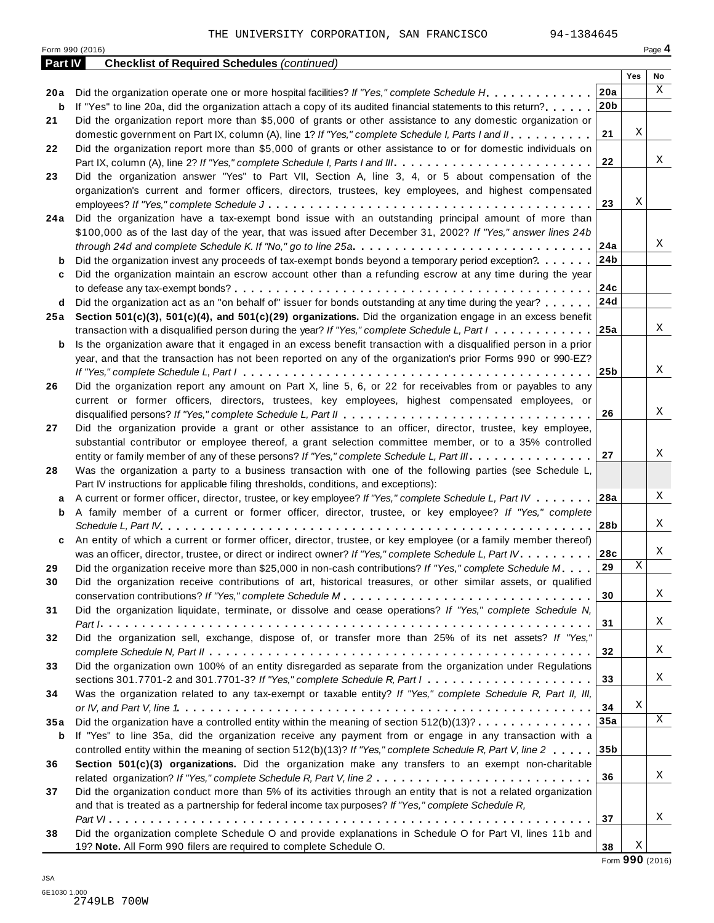| <b>Part IV</b> | <b>Checklist of Required Schedules (continued)</b>                                                                                          |                 |     |    |
|----------------|---------------------------------------------------------------------------------------------------------------------------------------------|-----------------|-----|----|
|                |                                                                                                                                             |                 | Yes | No |
| 20a            | Did the organization operate one or more hospital facilities? If "Yes," complete Schedule H.                                                | 20a             |     | X  |
| b              | If "Yes" to line 20a, did the organization attach a copy of its audited financial statements to this return?                                | 20 <sub>b</sub> |     |    |
| 21             | Did the organization report more than \$5,000 of grants or other assistance to any domestic organization or                                 |                 |     |    |
|                | domestic government on Part IX, column (A), line 1? If "Yes," complete Schedule I, Parts I and II.                                          | 21              | Χ   |    |
| 22             | Did the organization report more than \$5,000 of grants or other assistance to or for domestic individuals on                               |                 |     |    |
|                | Part IX, column (A), line 2? If "Yes," complete Schedule I, Parts I and III.                                                                | 22              |     | X  |
| 23             | Did the organization answer "Yes" to Part VII, Section A, line 3, 4, or 5 about compensation of the                                         |                 |     |    |
|                | organization's current and former officers, directors, trustees, key employees, and highest compensated                                     |                 |     |    |
|                |                                                                                                                                             | 23              | Χ   |    |
| 24 a           | Did the organization have a tax-exempt bond issue with an outstanding principal amount of more than                                         |                 |     |    |
|                | \$100,000 as of the last day of the year, that was issued after December 31, 2002? If "Yes," answer lines 24b                               |                 |     |    |
|                | through 24d and complete Schedule K. If "No," go to line 25a $\ldots \ldots \ldots \ldots \ldots \ldots \ldots \ldots \ldots \ldots \ldots$ | 24a             |     | Χ  |
| b              | Did the organization invest any proceeds of tax-exempt bonds beyond a temporary period exception?                                           | 24b             |     |    |
| c              | Did the organization maintain an escrow account other than a refunding escrow at any time during the year                                   |                 |     |    |
|                |                                                                                                                                             | 24c             |     |    |
| d              | Did the organization act as an "on behalf of" issuer for bonds outstanding at any time during the year?                                     | 24d             |     |    |
| 25 a           | Section 501(c)(3), 501(c)(4), and 501(c)(29) organizations. Did the organization engage in an excess benefit                                |                 |     |    |
|                | transaction with a disqualified person during the year? If "Yes," complete Schedule L, Part $l_1, \ldots, l_l, l_l$                         | 25a             |     | Χ  |
| b              | Is the organization aware that it engaged in an excess benefit transaction with a disqualified person in a prior                            |                 |     |    |
|                | year, and that the transaction has not been reported on any of the organization's prior Forms 990 or 990-EZ?                                |                 |     |    |
|                |                                                                                                                                             | 25 <sub>b</sub> |     | X  |
| 26             | Did the organization report any amount on Part X, line 5, 6, or 22 for receivables from or payables to any                                  |                 |     |    |
|                | current or former officers, directors, trustees, key employees, highest compensated employees, or                                           |                 |     |    |
|                |                                                                                                                                             | 26              |     | X  |
| 27             | Did the organization provide a grant or other assistance to an officer, director, trustee, key employee,                                    |                 |     |    |
|                | substantial contributor or employee thereof, a grant selection committee member, or to a 35% controlled                                     |                 |     |    |
|                | entity or family member of any of these persons? If "Yes," complete Schedule L, Part III.                                                   | 27              |     | Χ  |
| 28             | Was the organization a party to a business transaction with one of the following parties (see Schedule L,                                   |                 |     |    |
|                | Part IV instructions for applicable filing thresholds, conditions, and exceptions):                                                         |                 |     |    |
| а              | A current or former officer, director, trustee, or key employee? If "Yes," complete Schedule L, Part IV                                     | 28a             |     | Χ  |
| b              | A family member of a current or former officer, director, trustee, or key employee? If "Yes," complete                                      |                 |     |    |
|                |                                                                                                                                             | 28b             |     | Χ  |
| c              | An entity of which a current or former officer, director, trustee, or key employee (or a family member thereof)                             |                 |     |    |
|                | was an officer, director, trustee, or direct or indirect owner? If "Yes," complete Schedule L, Part IV.                                     | 28c             |     | Χ  |
| 29             | Did the organization receive more than \$25,000 in non-cash contributions? If "Yes," complete Schedule M.                                   | 29              | Χ   |    |
| 30             | Did the organization receive contributions of art, historical treasures, or other similar assets, or qualified                              |                 |     |    |
|                |                                                                                                                                             | 30              |     | Χ  |
| 31             | Did the organization liquidate, terminate, or dissolve and cease operations? If "Yes," complete Schedule N,                                 |                 |     |    |
|                |                                                                                                                                             | 31              |     | Χ  |
| 32             | Did the organization sell, exchange, dispose of, or transfer more than 25% of its net assets? If "Yes,"                                     |                 |     |    |
|                |                                                                                                                                             | 32              |     | Χ  |
| 33             | Did the organization own 100% of an entity disregarded as separate from the organization under Regulations                                  |                 |     |    |
|                | sections 301.7701-2 and 301.7701-3? If "Yes," complete Schedule R, Part $l_1, \ldots, l_l, l_l, \ldots, l_l, l_l, \ldots, l_l, l_l$         | 33              |     | Χ  |
| 34             | Was the organization related to any tax-exempt or taxable entity? If "Yes," complete Schedule R, Part II, III,                              |                 |     |    |
|                |                                                                                                                                             | 34              | Χ   |    |
| 35a            | Did the organization have a controlled entity within the meaning of section $512(b)(13)? \ldots \ldots \ldots \ldots$                       | 35a             |     | X  |
| b              | If "Yes" to line 35a, did the organization receive any payment from or engage in any transaction with a                                     |                 |     |    |
|                | controlled entity within the meaning of section 512(b)(13)? If "Yes," complete Schedule R, Part V, line 2                                   | 35 <sub>b</sub> |     |    |
| 36             | Section 501(c)(3) organizations. Did the organization make any transfers to an exempt non-charitable                                        |                 |     |    |
|                |                                                                                                                                             | 36              |     | Χ  |
| 37             | Did the organization conduct more than 5% of its activities through an entity that is not a related organization                            |                 |     |    |
|                | and that is treated as a partnership for federal income tax purposes? If "Yes," complete Schedule R,                                        |                 |     |    |
|                |                                                                                                                                             | 37              |     | Χ  |
| 38             | Did the organization complete Schedule O and provide explanations in Schedule O for Part VI, lines 11b and                                  |                 |     |    |
|                | 19? Note. All Form 990 filers are required to complete Schedule O.                                                                          | 38              | Χ   |    |

Form **990** (2016)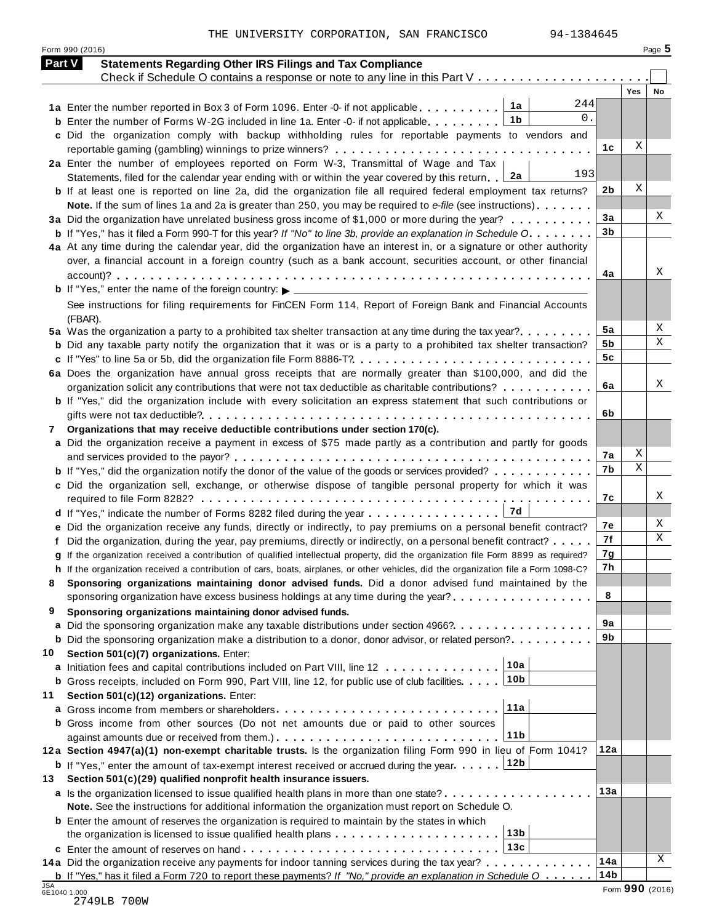THE UNIVERSITY CORPORATION, SAN FRANCISCO 94-1384645

|               | Form 990 (2016)                                                                                                                      |     |                 | Page $5$ |
|---------------|--------------------------------------------------------------------------------------------------------------------------------------|-----|-----------------|----------|
| <b>Part V</b> | <b>Statements Regarding Other IRS Filings and Tax Compliance</b>                                                                     |     |                 |          |
|               | Check if Schedule O contains a response or note to any line in this Part V                                                           |     |                 |          |
|               |                                                                                                                                      |     | Yes             | No       |
|               | 244<br>1a                                                                                                                            |     |                 |          |
|               | 0.<br>1b<br><b>b</b> Enter the number of Forms W-2G included in line 1a. Enter -0- if not applicable.                                |     |                 |          |
|               | c Did the organization comply with backup withholding rules for reportable payments to vendors and                                   |     |                 |          |
|               |                                                                                                                                      | 1c  | Χ               |          |
|               | 2a Enter the number of employees reported on Form W-3, Transmittal of Wage and Tax                                                   |     |                 |          |
|               | 193<br>Statements, filed for the calendar year ending with or within the year covered by this return. 2a                             |     |                 |          |
|               | <b>b</b> If at least one is reported on line 2a, did the organization file all required federal employment tax returns?              | 2b  | Χ               |          |
|               | Note. If the sum of lines 1a and 2a is greater than 250, you may be required to e-file (see instructions)                            |     |                 |          |
|               | 3a Did the organization have unrelated business gross income of \$1,000 or more during the year?                                     | 3a  |                 | Χ        |
|               | <b>b</b> If "Yes," has it filed a Form 990-T for this year? If "No" to line 3b, provide an explanation in Schedule O.                | 3b  |                 |          |
|               | 4a At any time during the calendar year, did the organization have an interest in, or a signature or other authority                 |     |                 |          |
|               | over, a financial account in a foreign country (such as a bank account, securities account, or other financial                       |     |                 |          |
|               |                                                                                                                                      | 4a  |                 | Χ        |
|               | <b>b</b> If "Yes," enter the name of the foreign country: $\blacktriangleright$                                                      |     |                 |          |
|               | See instructions for filing requirements for FinCEN Form 114, Report of Foreign Bank and Financial Accounts                          |     |                 |          |
|               | (FBAR).                                                                                                                              |     |                 |          |
|               | 5a Was the organization a party to a prohibited tax shelter transaction at any time during the tax year?                             | 5a  |                 | Х        |
|               | <b>b</b> Did any taxable party notify the organization that it was or is a party to a prohibited tax shelter transaction?            | 5b  |                 | Χ        |
|               | c If "Yes" to line 5a or 5b, did the organization file Form 8886-T?                                                                  | 5c  |                 |          |
|               | 6a Does the organization have annual gross receipts that are normally greater than \$100,000, and did the                            |     |                 |          |
|               | organization solicit any contributions that were not tax deductible as charitable contributions?                                     | 6a  |                 | X        |
|               | <b>b</b> If "Yes," did the organization include with every solicitation an express statement that such contributions or              |     |                 |          |
|               |                                                                                                                                      | 6b  |                 |          |
|               | 7 Organizations that may receive deductible contributions under section 170(c).                                                      |     |                 |          |
|               | a Did the organization receive a payment in excess of \$75 made partly as a contribution and partly for goods                        |     |                 |          |
|               |                                                                                                                                      | 7a  | Χ               |          |
|               | <b>b</b> If "Yes," did the organization notify the donor of the value of the goods or services provided?                             | 7b  | X               |          |
|               | c Did the organization sell, exchange, or otherwise dispose of tangible personal property for which it was                           |     |                 |          |
|               |                                                                                                                                      | 7c  |                 | Χ        |
|               |                                                                                                                                      |     |                 |          |
|               | e Did the organization receive any funds, directly or indirectly, to pay premiums on a personal benefit contract?                    | 7e  |                 | Χ        |
|               | f Did the organization, during the year, pay premiums, directly or indirectly, on a personal benefit contract?                       | 7f  |                 | X        |
|               | g If the organization received a contribution of qualified intellectual property, did the organization file Form 8899 as required?   | 7g  |                 |          |
|               | h If the organization received a contribution of cars, boats, airplanes, or other vehicles, did the organization file a Form 1098-C? | 7h  |                 |          |
| 8             | Sponsoring organizations maintaining donor advised funds. Did a donor advised fund maintained by the                                 |     |                 |          |
|               | sponsoring organization have excess business holdings at any time during the year?                                                   | 8   |                 |          |
| 9             | Sponsoring organizations maintaining donor advised funds.                                                                            |     |                 |          |
|               | a Did the sponsoring organization make any taxable distributions under section 4966?                                                 | 9a  |                 |          |
|               | <b>b</b> Did the sponsoring organization make a distribution to a donor, donor advisor, or related person?                           | 9b  |                 |          |
| 10            | Section 501(c)(7) organizations. Enter:                                                                                              |     |                 |          |
|               | 10a<br>a Initiation fees and capital contributions included on Part VIII, line 12                                                    |     |                 |          |
|               | 10b<br><b>b</b> Gross receipts, included on Form 990, Part VIII, line 12, for public use of club facilities.                         |     |                 |          |
| 11            | Section 501(c)(12) organizations. Enter:                                                                                             |     |                 |          |
|               | 11a                                                                                                                                  |     |                 |          |
|               | <b>b</b> Gross income from other sources (Do not net amounts due or paid to other sources                                            |     |                 |          |
|               | 11 <sub>b</sub>                                                                                                                      |     |                 |          |
|               | 12a Section 4947(a)(1) non-exempt charitable trusts. Is the organization filing Form 990 in lieu of Form 1041?                       | 12a |                 |          |
|               | <b>b</b> If "Yes," enter the amount of tax-exempt interest received or accrued during the year. 12b                                  |     |                 |          |
| 13            | Section 501(c)(29) qualified nonprofit health insurance issuers.                                                                     |     |                 |          |
|               | a Is the organization licensed to issue qualified health plans in more than one state?                                               | 13a |                 |          |
|               | Note. See the instructions for additional information the organization must report on Schedule O.                                    |     |                 |          |
|               | <b>b</b> Enter the amount of reserves the organization is required to maintain by the states in which                                |     |                 |          |
|               | 13 <sub>b</sub><br>the organization is licensed to issue qualified health plans $\ldots$ ,                                           |     |                 |          |
|               | 13c<br>c Enter the amount of reserves on hand                                                                                        |     |                 |          |
|               | 14a Did the organization receive any payments for indoor tanning services during the tax year?                                       | 14a |                 | Χ        |
|               | <b>b</b> If "Yes," has it filed a Form 720 to report these payments? If "No," provide an explanation in Schedule $0 \ldots \ldots$   | 14b |                 |          |
| <b>JSA</b>    | 6E1040 1.000                                                                                                                         |     | Form 990 (2016) |          |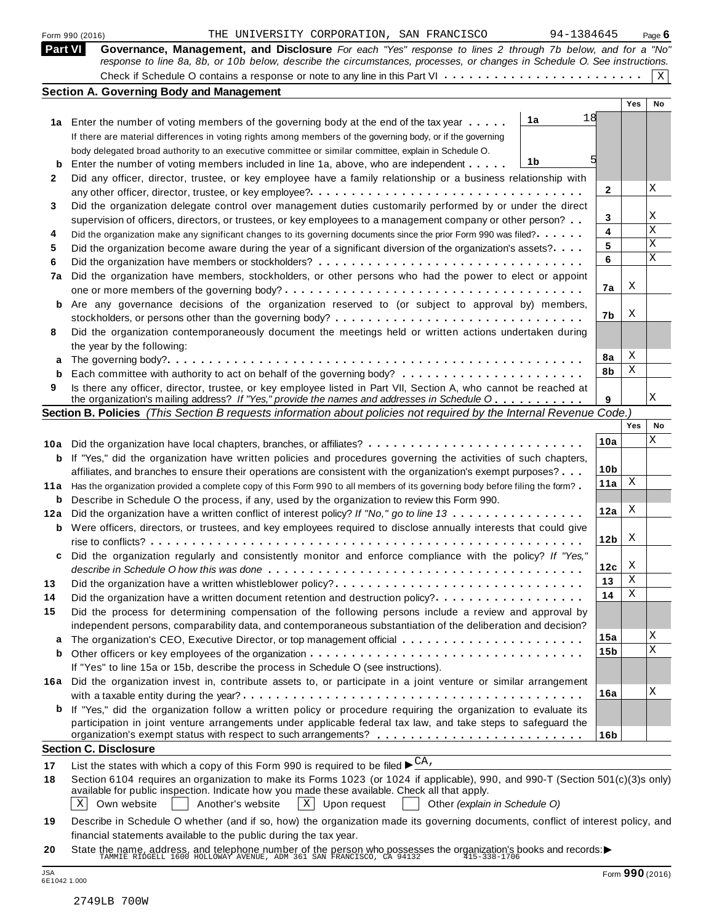|                | 94-1384645<br>THE UNIVERSITY CORPORATION, SAN FRANCISCO<br>Form 990 (2016)                                                                                                                                                              |                 |     | Page $6$ |
|----------------|-----------------------------------------------------------------------------------------------------------------------------------------------------------------------------------------------------------------------------------------|-----------------|-----|----------|
| <b>Part VI</b> | Governance, Management, and Disclosure For each "Yes" response to lines 2 through 7b below, and for a "No"<br>response to line 8a, 8b, or 10b below, describe the circumstances, processes, or changes in Schedule O. See instructions. |                 |     |          |
|                |                                                                                                                                                                                                                                         |                 |     | X        |
|                | <b>Section A. Governing Body and Management</b>                                                                                                                                                                                         |                 |     |          |
|                |                                                                                                                                                                                                                                         |                 | Yes | No       |
|                | 18<br>1a                                                                                                                                                                                                                                |                 |     |          |
|                | 1a Enter the number of voting members of the governing body at the end of the tax year                                                                                                                                                  |                 |     |          |
|                | If there are material differences in voting rights among members of the governing body, or if the governing                                                                                                                             |                 |     |          |
|                | body delegated broad authority to an executive committee or similar committee, explain in Schedule O.<br>1b                                                                                                                             |                 |     |          |
| b              | Enter the number of voting members included in line 1a, above, who are independent                                                                                                                                                      |                 |     |          |
| $\mathbf{2}$   | Did any officer, director, trustee, or key employee have a family relationship or a business relationship with                                                                                                                          | 2               |     | Χ        |
| 3              | Did the organization delegate control over management duties customarily performed by or under the direct                                                                                                                               |                 |     |          |
|                | supervision of officers, directors, or trustees, or key employees to a management company or other person?                                                                                                                              | 3               |     | Χ        |
| 4              | Did the organization make any significant changes to its governing documents since the prior Form 990 was filed?                                                                                                                        | 4               |     | X        |
| 5              | Did the organization become aware during the year of a significant diversion of the organization's assets?                                                                                                                              | 5               |     | X        |
| 6              |                                                                                                                                                                                                                                         | 6               |     | X        |
| 7a             | Did the organization have members, stockholders, or other persons who had the power to elect or appoint                                                                                                                                 |                 |     |          |
|                |                                                                                                                                                                                                                                         | 7a              | Χ   |          |
|                | <b>b</b> Are any governance decisions of the organization reserved to (or subject to approval by) members,                                                                                                                              |                 |     |          |
|                |                                                                                                                                                                                                                                         | 7b              | Χ   |          |
| 8              | Did the organization contemporaneously document the meetings held or written actions undertaken during                                                                                                                                  |                 |     |          |
|                | the year by the following:                                                                                                                                                                                                              |                 |     |          |
| a              |                                                                                                                                                                                                                                         | 8a              | Χ   |          |
| b              |                                                                                                                                                                                                                                         | 8b              | Χ   |          |
| 9              | Is there any officer, director, trustee, or key employee listed in Part VII, Section A, who cannot be reached at<br>the organization's mailing address? If "Yes," provide the names and addresses in Schedule O                         | 9               |     | X        |
|                | Section B. Policies (This Section B requests information about policies not required by the Internal Revenue Code.)                                                                                                                     |                 |     |          |
|                |                                                                                                                                                                                                                                         |                 | Yes | No       |
|                | 10a Did the organization have local chapters, branches, or affiliates?                                                                                                                                                                  | 10a             |     | X        |
|                | <b>b</b> If "Yes," did the organization have written policies and procedures governing the activities of such chapters,                                                                                                                 |                 |     |          |
|                | affiliates, and branches to ensure their operations are consistent with the organization's exempt purposes?                                                                                                                             | 10 <sub>b</sub> |     |          |
| 11 a           | Has the organization provided a complete copy of this Form 990 to all members of its governing body before filing the form?                                                                                                             | 11a             | Χ   |          |
| b              | Describe in Schedule O the process, if any, used by the organization to review this Form 990.                                                                                                                                           |                 |     |          |
| 12a            | Did the organization have a written conflict of interest policy? If "No," go to line 13                                                                                                                                                 | 12a             | Χ   |          |
| b              | Were officers, directors, or trustees, and key employees required to disclose annually interests that could give                                                                                                                        |                 |     |          |
|                |                                                                                                                                                                                                                                         | 12 <sub>b</sub> | Χ   |          |
| c              | Did the organization regularly and consistently monitor and enforce compliance with the policy? If "Yes,"                                                                                                                               |                 |     |          |
|                |                                                                                                                                                                                                                                         | 12c             | X   |          |
| 13             | Did the organization have a written whistleblower policy?                                                                                                                                                                               | 13              | Χ   |          |
| 14             | Did the organization have a written document retention and destruction policy?                                                                                                                                                          | 14              | Χ   |          |
| 15             | Did the process for determining compensation of the following persons include a review and approval by                                                                                                                                  |                 |     |          |
|                | independent persons, comparability data, and contemporaneous substantiation of the deliberation and decision?                                                                                                                           |                 |     | Χ        |
| a              |                                                                                                                                                                                                                                         | 15a             |     | X        |
| b              |                                                                                                                                                                                                                                         | 15 <sub>b</sub> |     |          |
|                | If "Yes" to line 15a or 15b, describe the process in Schedule O (see instructions).                                                                                                                                                     |                 |     |          |
| 16a            | Did the organization invest in, contribute assets to, or participate in a joint venture or similar arrangement                                                                                                                          | 16a             |     | Χ        |
|                |                                                                                                                                                                                                                                         |                 |     |          |
| b              | If "Yes," did the organization follow a written policy or procedure requiring the organization to evaluate its<br>participation in joint venture arrangements under applicable federal tax law, and take steps to safeguard the         |                 |     |          |
|                |                                                                                                                                                                                                                                         | 16 <sub>b</sub> |     |          |
|                |                                                                                                                                                                                                                                         |                 |     |          |

## **Section C. Disclosure**

**17** List the states with which a copy of this Form 990 is required to be filed  $\sum_{n=1}^{\infty}$ 

**18** Section 6104 requires an organization to make its Forms 1023 (or 1024 if applicable), 990, and 990-T (Section 501(c)(3)s only) available for public inspection. Indicate how you made these available. Check all that apply.

 $\boxed{\text{X}}$  Own website  $\boxed{\text{A}}$  Another's website  $\boxed{\text{X}}$  Upon request  $\boxed{\text{O}}$  Other *(explain in Schedule O)* Another's website

- **19** Describe in Schedule O whether (and if so, how) the organization made its governing documents, conflict of interest policy, and financial statements available to the public during the tax year.
- **20** nnancial statements available to the public during the tax year.<br>State the name, address, and telephone number of the person who possesses the organization's books and records:<br>TAMMIE RIDGELL 1600 HOLLOWAY AVENUE, ADM 361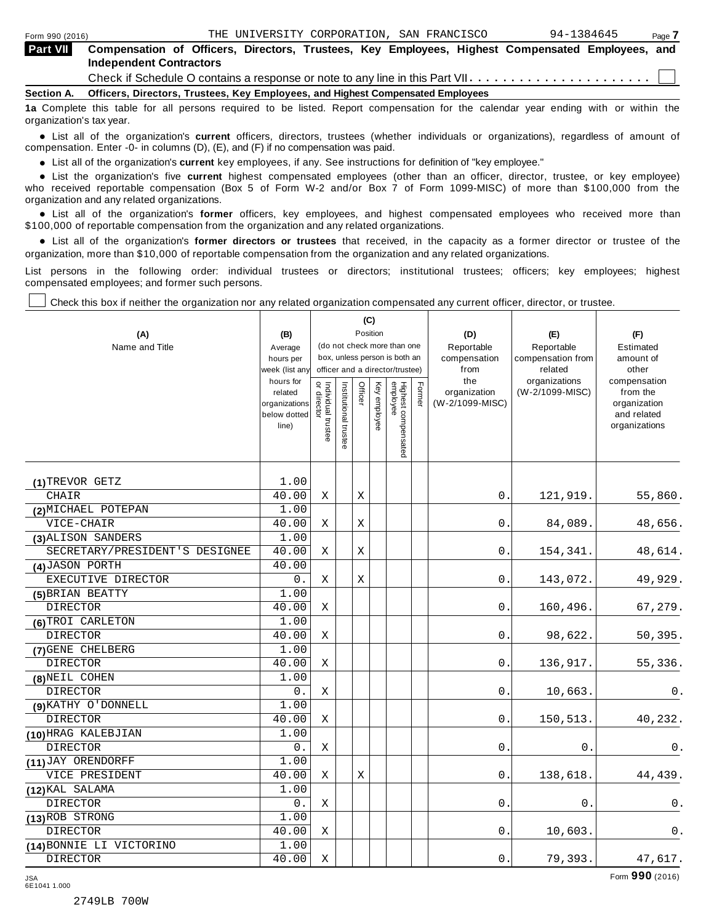| <b>Part VII</b> | Compensation of Officers, Directors, Trustees, Key Employees, Highest Compensated Employees, and<br><b>Independent Contractors</b> |
|-----------------|------------------------------------------------------------------------------------------------------------------------------------|
|                 | Check if Schedule O contains a response or note to any line in this Part VII                                                       |
|                 | Section A. Officers, Directors, Trustees, Key Employees, and Highest Compensated Employees                                         |
|                 | 1a Complete this table for all persons required to be listed. Report compensation for the calendar year ending with or within the  |

organization's tax year.

anization's lax year.<br>● List all of the organization's **current** officers, directors, trustees (whether individuals or organizations), regardless of amount of<br>nnensation Enter -0- in columns (D) (E) and (E) if no compensa compensation. Enter -0- in columns (D), (E), and (F) if no compensation was paid.

• List all of the organization's **current** key employees, if any. See instructions for definition of "key employee."<br>● List the experientials five expect highest expressed explores (other than an efficer director of

**Example in the organization's current** key employees, if any. See instructions for definition of key employee.<br>• List the organization's five **current** highest compensated employees (other than an officer, director, trust who received reportable compensation (Box 5 of Form W-2 and/or Box 7 of Form 1099-MISC) of more than \$100,000 from the

organization and any related organizations.<br>• List all of the organization's **former** officers, key employees, and highest compensated employees who received more than<br>\$1.00.000 of reportable componention from the erganiza \$100,000 of reportable compensation from the organization and any related organizations.

% List all of the organization's **former directors or trustees** that received, in the capacity as a former director or trustee of the organization, more than \$10,000 of reportable compensation from the organization and any related organizations.

List persons in the following order: individual trustees or directors; institutional trustees; officers; key employees; highest compensated employees; and former such persons.

Check this box if neither the organization nor any related organization compensated any current officer, director, or trustee.

| (A)                            | (B)                                                            |                                   |                       | (C)     | Position     | (do not check more than one     |        | (D)                                    | (E)                              | (F)                                                                      |
|--------------------------------|----------------------------------------------------------------|-----------------------------------|-----------------------|---------|--------------|---------------------------------|--------|----------------------------------------|----------------------------------|--------------------------------------------------------------------------|
| Name and Title                 | Average<br>hours per                                           |                                   |                       |         |              | box, unless person is both an   |        | Reportable<br>compensation             | Reportable<br>compensation from  | Estimated<br>amount of                                                   |
|                                | week (list an                                                  |                                   |                       |         |              | officer and a director/trustee) |        | from                                   | related                          | other                                                                    |
|                                | hours for<br>related<br>organizations<br>below dotted<br>line) | or director<br>Individual trustee | Institutional trustee | Officer | Key employee | Highest compensated<br>employee | Former | the<br>organization<br>(W-2/1099-MISC) | organizations<br>(W-2/1099-MISC) | compensation<br>from the<br>organization<br>and related<br>organizations |
| (1) TREVOR GETZ                | 1.00                                                           |                                   |                       |         |              |                                 |        |                                        |                                  |                                                                          |
| CHAIR                          | 40.00                                                          | Χ                                 |                       | Χ       |              |                                 |        | 0.                                     | 121,919.                         | 55,860.                                                                  |
| (2) MICHAEL POTEPAN            | 1.00                                                           |                                   |                       |         |              |                                 |        |                                        |                                  |                                                                          |
| VICE-CHAIR                     | 40.00                                                          | Χ                                 |                       | Χ       |              |                                 |        | $\boldsymbol{0}$ .                     | 84,089.                          | 48,656.                                                                  |
| (3) ALISON SANDERS             | 1.00                                                           |                                   |                       |         |              |                                 |        |                                        |                                  |                                                                          |
| SECRETARY/PRESIDENT'S DESIGNEE | 40.00                                                          | Χ                                 |                       | Χ       |              |                                 |        | $0$ .                                  | 154,341.                         | 48,614.                                                                  |
| (4) JASON PORTH                | 40.00                                                          |                                   |                       |         |              |                                 |        |                                        |                                  |                                                                          |
| EXECUTIVE DIRECTOR             | 0.                                                             | Χ                                 |                       | Χ       |              |                                 |        | 0.                                     | 143,072.                         | 49,929.                                                                  |
| (5) BRIAN BEATTY               | 1.00                                                           |                                   |                       |         |              |                                 |        |                                        |                                  |                                                                          |
| <b>DIRECTOR</b>                | 40.00                                                          | Χ                                 |                       |         |              |                                 |        | 0.                                     | 160,496.                         | 67,279.                                                                  |
| (6) TROI CARLETON              | 1.00                                                           |                                   |                       |         |              |                                 |        |                                        |                                  |                                                                          |
| <b>DIRECTOR</b>                | 40.00                                                          | Χ                                 |                       |         |              |                                 |        | 0.                                     | 98,622.                          | 50, 395.                                                                 |
| (7) GENE CHELBERG              | 1.00                                                           |                                   |                       |         |              |                                 |        |                                        |                                  |                                                                          |
| <b>DIRECTOR</b>                | 40.00                                                          | Χ                                 |                       |         |              |                                 |        | 0.                                     | 136,917.                         | 55,336.                                                                  |
| (8) NEIL COHEN                 | 1.00                                                           |                                   |                       |         |              |                                 |        |                                        |                                  |                                                                          |
| <b>DIRECTOR</b>                | 0.                                                             | Χ                                 |                       |         |              |                                 |        | 0.                                     | 10,663.                          | 0.                                                                       |
| (9) KATHY O'DONNELL            | 1.00                                                           |                                   |                       |         |              |                                 |        |                                        |                                  |                                                                          |
| <b>DIRECTOR</b>                | 40.00                                                          | X                                 |                       |         |              |                                 |        | 0.                                     | 150,513.                         | 40,232.                                                                  |
| (10) HRAG KALEBJIAN            | 1.00                                                           |                                   |                       |         |              |                                 |        |                                        |                                  |                                                                          |
| <b>DIRECTOR</b>                | 0.                                                             | Χ                                 |                       |         |              |                                 |        | $0$ .                                  | $0$ .                            | 0.                                                                       |
| (11) JAY ORENDORFF             | 1.00                                                           |                                   |                       |         |              |                                 |        |                                        |                                  |                                                                          |
| VICE PRESIDENT                 | 40.00                                                          | Χ                                 |                       | Χ       |              |                                 |        | 0.                                     | 138,618.                         | 44,439.                                                                  |
| (12) KAL SALAMA                | 1.00                                                           |                                   |                       |         |              |                                 |        |                                        |                                  |                                                                          |
| <b>DIRECTOR</b>                | 0.                                                             | X                                 |                       |         |              |                                 |        | 0.                                     | $0$ .                            | 0.                                                                       |
| (13) ROB STRONG                | 1.00                                                           |                                   |                       |         |              |                                 |        |                                        |                                  |                                                                          |
| <b>DIRECTOR</b>                | 40.00                                                          | X                                 |                       |         |              |                                 |        | $0$ .                                  | 10,603.                          | 0.                                                                       |
| (14) BONNIE LI VICTORINO       | 1.00                                                           |                                   |                       |         |              |                                 |        |                                        |                                  |                                                                          |
| <b>DIRECTOR</b>                | 40.00                                                          | Χ                                 |                       |         |              |                                 |        | $0$ .                                  | 79,393.                          | 47,617.                                                                  |

6E1041 1.000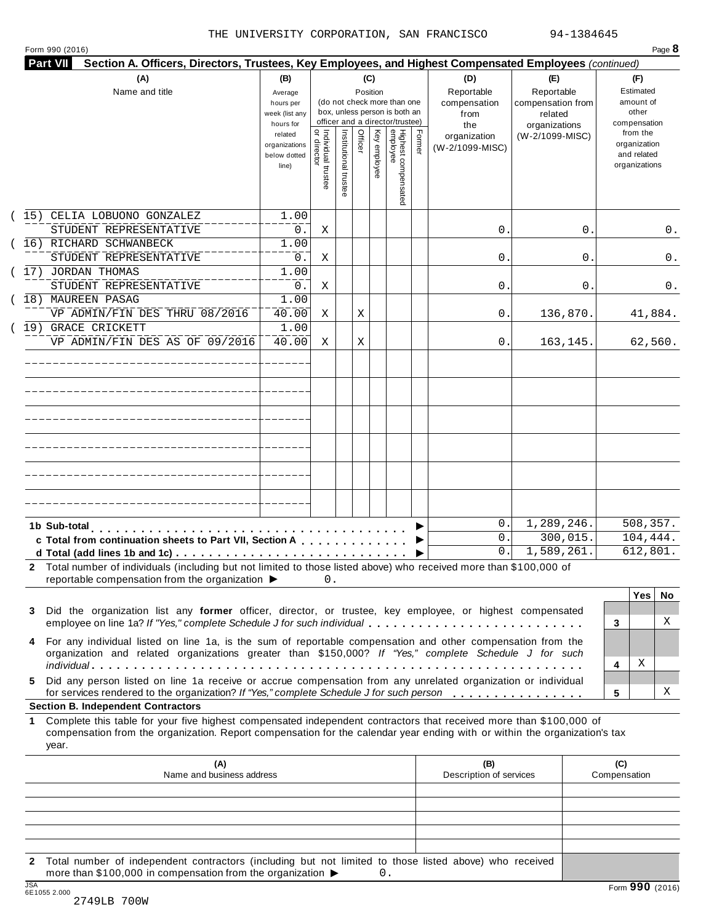|  | Form 990 (2016) |  |
|--|-----------------|--|
|  |                 |  |

| (A)<br>Name and title                                                                                                                                                                                                                                                                               | (B)<br>Average<br>hours per<br>week (list any<br>hours for |                                     |                       | (C)<br>Position |              | (do not check more than one<br>box, unless person is both an<br>officer and a director/trustee) |        | (D)<br>Reportable<br>compensation<br>from<br>the | (E)<br>Reportable<br>compensation from<br>related<br>organizations | (F)<br>Estimated<br>amount of<br>other<br>compensation   |
|-----------------------------------------------------------------------------------------------------------------------------------------------------------------------------------------------------------------------------------------------------------------------------------------------------|------------------------------------------------------------|-------------------------------------|-----------------------|-----------------|--------------|-------------------------------------------------------------------------------------------------|--------|--------------------------------------------------|--------------------------------------------------------------------|----------------------------------------------------------|
|                                                                                                                                                                                                                                                                                                     | related<br>organizations<br>below dotted<br>line)          | Individual trustee<br>  or director | Institutional trustee | Officer         | Key employee | Highest compensated<br>employee                                                                 | Former | organization<br>(W-2/1099-MISC)                  | (W-2/1099-MISC)                                                    | from the<br>organization<br>and related<br>organizations |
| CELIA LOBUONO GONZALEZ<br>(15)<br>STUDENT REPRESENTATIVE                                                                                                                                                                                                                                            | 1.00<br>$0$ .                                              | Χ                                   |                       |                 |              |                                                                                                 |        | 0.                                               | 0                                                                  | 0.                                                       |
| (16) RICHARD SCHWANBECK<br>STUDENT REPRESENTATIVE                                                                                                                                                                                                                                                   | 1.00<br>$0$ .                                              | Χ                                   |                       |                 |              |                                                                                                 |        | 0.                                               | 0                                                                  | 0.                                                       |
| (17) JORDAN THOMAS<br>STUDENT REPRESENTATIVE<br>(18) MAUREEN PASAG                                                                                                                                                                                                                                  | 1.00<br>0.                                                 | Χ                                   |                       |                 |              |                                                                                                 |        | 0.                                               | 0                                                                  | 0.                                                       |
| VP ADMIN/FIN DES THRU 08/2016<br>(19) GRACE CRICKETT                                                                                                                                                                                                                                                | 1.00<br>40.00<br>1.00                                      | Χ                                   |                       | Χ               |              |                                                                                                 |        | 0.                                               | 136,870.                                                           | 41,884.                                                  |
| VP ADMIN/FIN DES AS OF 09/2016                                                                                                                                                                                                                                                                      | 40.00                                                      | Χ                                   |                       | Χ               |              |                                                                                                 |        | 0.                                               | 163,145.                                                           | 62,560.                                                  |
|                                                                                                                                                                                                                                                                                                     |                                                            |                                     |                       |                 |              |                                                                                                 |        |                                                  |                                                                    |                                                          |
|                                                                                                                                                                                                                                                                                                     |                                                            |                                     |                       |                 |              |                                                                                                 |        |                                                  |                                                                    |                                                          |
|                                                                                                                                                                                                                                                                                                     |                                                            |                                     |                       |                 |              |                                                                                                 |        |                                                  |                                                                    |                                                          |
|                                                                                                                                                                                                                                                                                                     |                                                            |                                     |                       |                 |              |                                                                                                 |        |                                                  |                                                                    |                                                          |
|                                                                                                                                                                                                                                                                                                     |                                                            |                                     |                       |                 |              |                                                                                                 |        |                                                  |                                                                    |                                                          |
| 1b Sub-total                                                                                                                                                                                                                                                                                        |                                                            |                                     |                       |                 |              |                                                                                                 |        | 0.                                               | 1,289,246.                                                         | 508, 357.                                                |
| c Total from continuation sheets to Part VII, Section A                                                                                                                                                                                                                                             |                                                            |                                     |                       |                 |              |                                                                                                 |        | 0.<br>0.                                         | 300,015.<br>1,589,261.                                             | 104,444.<br>612,801.                                     |
| 2 Total number of individuals (including but not limited to those listed above) who received more than \$100,000 of<br>reportable compensation from the organization ▶                                                                                                                              |                                                            | 0.                                  |                       |                 |              |                                                                                                 |        |                                                  |                                                                    |                                                          |
| Did the organization list any former officer, director, or trustee, key employee, or highest compensated<br>3                                                                                                                                                                                       |                                                            |                                     |                       |                 |              |                                                                                                 |        |                                                  |                                                                    | <b>Yes</b><br>No.<br>X                                   |
| employee on line 1a? If "Yes," complete Schedule J for such individual<br>For any individual listed on line 1a, is the sum of reportable compensation and other compensation from the<br>4<br>organization and related organizations greater than \$150,000? If "Yes," complete Schedule J for such |                                                            |                                     |                       |                 |              |                                                                                                 |        |                                                  |                                                                    | 3                                                        |
| Did any person listed on line 1a receive or accrue compensation from any unrelated organization or individual<br>5.                                                                                                                                                                                 |                                                            |                                     |                       |                 |              |                                                                                                 |        |                                                  |                                                                    | Χ<br>4                                                   |
| for services rendered to the organization? If "Yes," complete Schedule J for such person<br><b>Section B. Independent Contractors</b>                                                                                                                                                               |                                                            |                                     |                       |                 |              |                                                                                                 |        |                                                  |                                                                    | х<br>5                                                   |
| Complete this table for your five highest compensated independent contractors that received more than \$100,000 of<br>1.<br>compensation from the organization. Report compensation for the calendar year ending with or within the organization's tax<br>year.                                     |                                                            |                                     |                       |                 |              |                                                                                                 |        |                                                  |                                                                    |                                                          |
| (A)<br>Name and business address                                                                                                                                                                                                                                                                    |                                                            |                                     |                       |                 |              |                                                                                                 |        | (B)<br>Description of services                   |                                                                    | (C)<br>Compensation                                      |
|                                                                                                                                                                                                                                                                                                     |                                                            |                                     |                       |                 |              |                                                                                                 |        |                                                  |                                                                    |                                                          |
|                                                                                                                                                                                                                                                                                                     |                                                            |                                     |                       |                 |              |                                                                                                 |        |                                                  |                                                                    |                                                          |

 $0.$ 

JSA Form **990** (2016) 6E1055 2.000 2749LB 700W

more than \$100,000 in compensation from the organization  $\blacktriangleright$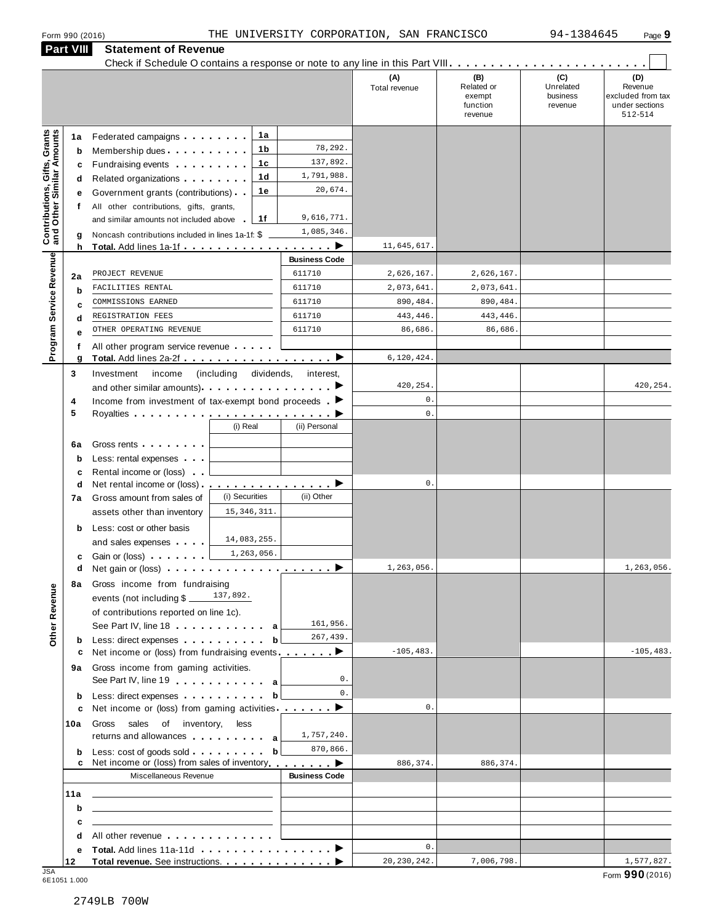|                                                                  | <b>Part VIII</b>                           | <b>Statement of Revenue</b>                                                                                                                                                                                                                                                                                                              |                                                |                                                                          |                                                                          |                                                            |                                         |                                                                  |
|------------------------------------------------------------------|--------------------------------------------|------------------------------------------------------------------------------------------------------------------------------------------------------------------------------------------------------------------------------------------------------------------------------------------------------------------------------------------|------------------------------------------------|--------------------------------------------------------------------------|--------------------------------------------------------------------------|------------------------------------------------------------|-----------------------------------------|------------------------------------------------------------------|
|                                                                  |                                            |                                                                                                                                                                                                                                                                                                                                          |                                                |                                                                          | (A)<br>Total revenue                                                     | (B)<br>Related or<br>exempt<br>function<br>revenue         | (C)<br>Unrelated<br>business<br>revenue | (D)<br>Revenue<br>excluded from tax<br>under sections<br>512-514 |
| <b>Contributions, Gifts, Grants</b><br>and Other Similar Amounts | 1a<br>$\mathbf b$<br>c<br>d<br>е<br>f<br>g | Federated campaigns<br>Membership dues<br>Fundraising events <b>Fundraising</b><br>Related organizations <b>contains</b> and <b>Related</b> organizations<br>Government grants (contributions)<br>All other contributions, gifts, grants,<br>and similar amounts not included above<br>Noncash contributions included in lines 1a-1f: \$ | 1a<br>1 b<br>1с<br>1d<br>1е<br>1f              | 78,292.<br>137,892.<br>1,791,988.<br>20,674.<br>9,616,771.<br>1,085,346. |                                                                          |                                                            |                                         |                                                                  |
|                                                                  | h                                          | Total. Add lines 1a-1f ▶                                                                                                                                                                                                                                                                                                                 |                                                | <b>Business Code</b>                                                     | 11,645,617.                                                              |                                                            |                                         |                                                                  |
| Program Service Revenue                                          | 2a<br>b<br>c<br>d<br>е<br>f                | PROJECT REVENUE<br>FACILITIES RENTAL<br>COMMISSIONS EARNED<br>REGISTRATION FEES<br>OTHER OPERATING REVENUE<br>All other program service revenue<br>Total. Add lines 2a-2f ▶                                                                                                                                                              |                                                | 611710<br>611710<br>611710<br>611710<br>611710                           | 2,626,167.<br>2,073,641.<br>890,484.<br>443,446<br>86,686.<br>6,120,424. | 2,626,167.<br>2,073,641.<br>890,484.<br>443,446.<br>86,686 |                                         |                                                                  |
|                                                                  | g<br>3                                     | Investment<br>income                                                                                                                                                                                                                                                                                                                     | (including)<br>dividends,                      | interest,                                                                |                                                                          |                                                            |                                         |                                                                  |
|                                                                  | 4<br>5                                     | and other similar amounts).<br>Income from investment of tax-exempt bond proceeds $\blacksquare$                                                                                                                                                                                                                                         | (i) Real                                       | (ii) Personal                                                            | 420,254<br>$\mathsf{0}$ .<br>$\mathbf{0}$ .                              |                                                            |                                         | 420,254.                                                         |
|                                                                  | 6a<br>$\mathbf b$<br>c<br>d                | Gross rents <b>Container</b><br>Less: rental expenses<br>Rental income or (loss)<br>Net rental income or (loss) $\cdots$ $\cdots$ $\cdots$ $\cdots$ $\cdots$                                                                                                                                                                             |                                                |                                                                          | 0.                                                                       |                                                            |                                         |                                                                  |
|                                                                  | 7a<br>b                                    | Gross amount from sales of<br>assets other than inventory<br>Less: cost or other basis                                                                                                                                                                                                                                                   | (i) Securities<br>15, 346, 311.<br>14,083,255. | (ii) Other                                                               |                                                                          |                                                            |                                         |                                                                  |
|                                                                  | с                                          | and sales expenses<br>Gain or (loss)                                                                                                                                                                                                                                                                                                     | 1,263,056.                                     |                                                                          | 1,263,056.                                                               |                                                            |                                         | 1,263,056                                                        |
| Other Revenue                                                    | d<br>8а                                    | Gross income from fundraising<br>events (not including \$<br>of contributions reported on line 1c).<br>See Part IV, line 18 and the same state of the same state of the same state of the same state of the same state of the same state of the same state of the same state of the same state of the same state of the same state of    | 137,892.                                       | 161,956.<br>267,439.                                                     |                                                                          |                                                            |                                         |                                                                  |
|                                                                  | b<br>c<br>9а                               | Less: direct expenses<br>Net income or (loss) from fundraising events $\ldots$<br>Gross income from gaming activities.                                                                                                                                                                                                                   | b                                              |                                                                          | $-105, 483.$                                                             |                                                            |                                         | $-105, 483.$                                                     |
|                                                                  | b                                          | See Part IV, line 19 a<br>Less: direct expenses b                                                                                                                                                                                                                                                                                        |                                                | $\mathbf{0}$ .<br>0.                                                     | $\mathbf{0}$ .                                                           |                                                            |                                         |                                                                  |
|                                                                  | с<br>10a                                   | Net income or (loss) from gaming activities ________ ▶<br>Gross<br>sales of inventory, less<br>returns and allowances and allowances                                                                                                                                                                                                     |                                                | 1,757,240.                                                               |                                                                          |                                                            |                                         |                                                                  |
|                                                                  | b                                          | Net income or (loss) from sales of inventory $\blacktriangleright$                                                                                                                                                                                                                                                                       | $\mathbf{b}$                                   | 870,866.                                                                 | 886, 374.                                                                | 886, 374.                                                  |                                         |                                                                  |
|                                                                  |                                            | Miscellaneous Revenue                                                                                                                                                                                                                                                                                                                    |                                                | <b>Business Code</b>                                                     |                                                                          |                                                            |                                         |                                                                  |
|                                                                  | 11a<br>b                                   |                                                                                                                                                                                                                                                                                                                                          |                                                |                                                                          |                                                                          |                                                            |                                         |                                                                  |
|                                                                  | с                                          |                                                                                                                                                                                                                                                                                                                                          |                                                |                                                                          |                                                                          |                                                            |                                         |                                                                  |
|                                                                  | d<br>e                                     | All other revenue entitled and the state of the state of the state of the state of the state of the state of the state of the state of the state of the state of the state of the state of the state of the state of the state                                                                                                           |                                                |                                                                          | $\mathbf{0}$ .                                                           |                                                            |                                         |                                                                  |
| <b>JSA</b>                                                       | 12                                         |                                                                                                                                                                                                                                                                                                                                          |                                                |                                                                          | 20, 230, 242.                                                            | 7,006,798.                                                 |                                         | 1,577,827.                                                       |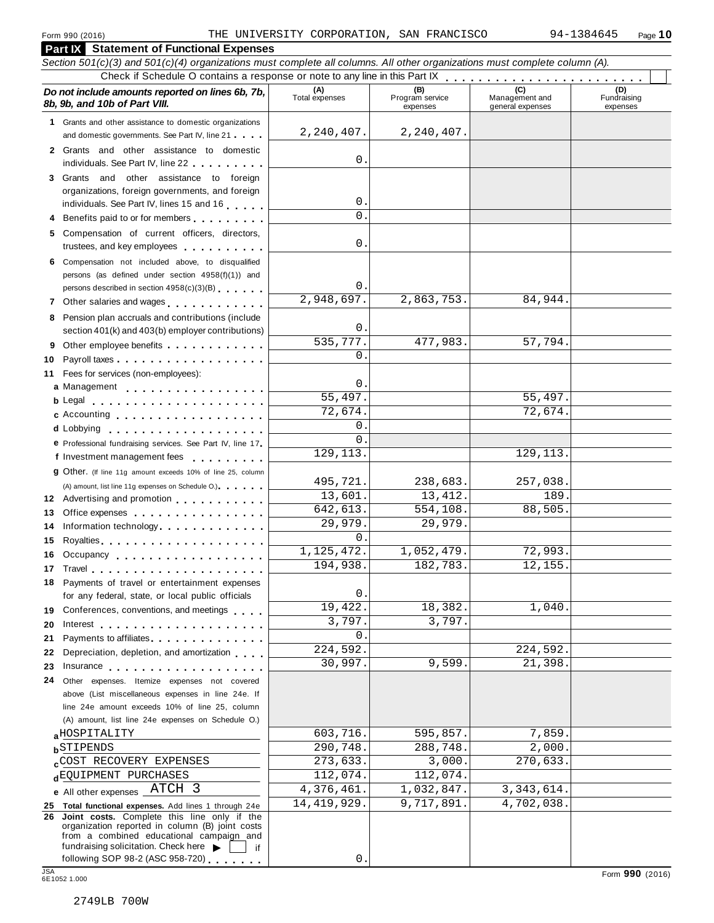#### **Part IX Statement of Functional Expenses** Section 501(c)(3) and 501(c)(4) organizations must complete all columns. All other organizations must complete column (A). Check if Schedule O contains a response or note to any line in this Part  $\begin{array}{c|c|c|c|c} \hline \textbf{Check} & \textbf{if Scheduling: } \textbf{Check} & \textbf{if Scheduling: } \textbf{if Scheduling: } \textbf{if Sufficient: } \textbf{if Sufficient: } \textbf{if Sufficient: } \textbf{if Sufficient: } \textbf{if Sufficient: } \textbf{if Sufficient: } \textbf{if Sufficient: } \textbf{if Sufficient: } \textbf{if Sufficient: } \textbf$ *Do no* **(A) (B) (C) (D)** *t include amounts reported on lines 6b, 7b,* **8b, 9b, and 10b of Part VIII.** The contract position of **Part Part VIII.** The contract Program services Program services expenses Management and general expenses Fundraising expenses **1** Grants and other assistance to domestic organizations and domestic governments. See Part IV, line 21 m m m **2** Grants and other assistance to domestic individuals. See Part IV, line 22 **3** Grants and other assistance to foreign organizations, foreign governments, and foreign individuals. See Part IV, lines <sup>15</sup> and <sup>16</sup> <sup>m</sup> <sup>m</sup> <sup>m</sup> <sup>m</sup> <sup>m</sup> **<sup>4</sup>** Benefits paid to or for members <sup>m</sup> <sup>m</sup> <sup>m</sup> <sup>m</sup> <sup>m</sup> <sup>m</sup> <sup>m</sup> <sup>m</sup> <sup>m</sup> **5** Compensation of current officers, directors, trustees, and key employees **6** Compensation not included above, to disqualified persons (as defined under section 4958(f)(1)) and persons described in section 4958(c)(3)(B) <sup>m</sup> <sup>m</sup> <sup>m</sup> <sup>m</sup> <sup>m</sup> <sup>m</sup> **<sup>7</sup>** Other salaries and wages <sup>m</sup> <sup>m</sup> <sup>m</sup> <sup>m</sup> <sup>m</sup> <sup>m</sup> <sup>m</sup> <sup>m</sup> <sup>m</sup> <sup>m</sup> <sup>m</sup> <sup>m</sup> **8** Pension plan accruals and contributions (include section 401(k) and 403(b) employer contributions) **9** Section 401(k) and 403(b) employer contributions<br>9 Other employee benefits 9 Other employee benefits **10** Payroll taxes **10** Fees for services (non-employees): **11** Fees for services (non-employees):<br>**a** Management ..................<br>**b** Legal ......................... Legal m m m m m m m m m m m m m m m m m m m m m c Accounting . . . . . . . . . . . . . Lobbying **cd** m m m m m m m m m m m m m m m m m m m A) amount, list line 11g expenses on Schedule O.<br>**12** Advertising and promotion **manual 13** Office expenses **13** Office expenses<br>**14** Information technology **manual manual metal of the metal of the metal of the metal of 15** Royalties m m m m m m m m m m m m m m m m m m m m **16** Occupancy m m m m m m m m m m m m m m m m m m **16** Occupancy ...................<br>17 Travel..................... **18** Payments of travel or entertainment expenses for any federal, state, or local public officials<br>**19** Conferences, conventions, and meetings **19** Conferences, conventions, and meetings **endorship.**<br>20 Interest **manual meeting 21** Payments to affiliates m m m m m m m m m m m m m m 21 Payments to affiliates<br>22 Depreciation, depletion, and amortization <sub>1</sub> , , , **22** Depreciation, depletion, and amortization **manufation**<br>23 Insurance 24 Other expenses. Itemize expenses not covered | **d** Lobbying **e**<br> **e** Professional fundraising services. See Part IV, line 17 **P** Professional fundraising services. See Part IV, line 17<br>**f** Investment management fees **g** Other. (If line 11g amount exceeds 10% of line 25, column m m m m m m m m m m m m m m m m m m (A) amount, list line 11g expenses on Schedule O.) means m m m m m m m m m m m m m m m m for any federal, state, or local public officials above (List miscellaneous expenses in line 24e. If line 24e amount exceeds 10% of line 25, column (A) amount, list line 24e expenses on Schedule O.) **b**STIPENDS **c**COST RECOVERT EXPENSES 273,633. 3,000.<br>d<sup>EQUIPMENT PURCHASES 112,074. 112,074.</sup> **e** All other expenses  $ATCH$ **25 Total functional expenses.** Add lines 1 through 24e **26 Joint costs.** Complete this line only if the organization reported in column (B) joint costs from a combined educational campaign and fundraising solicitation. Check here  $\blacktriangleright$   $\Box$  if following SOP 98-2 (ASC 958-720) following SOP 98-2 (ASC 958-720) <sup>m</sup> <sup>m</sup> <sup>m</sup> <sup>m</sup> <sup>m</sup> <sup>m</sup> <sup>m</sup> JSA Form **<sup>990</sup>** (2016) 6E1052 1.000 2,240,407. 2,240,407.  $\Omega$ 0.  $\mathbf{0}$ . 0. 0. 2,948,697. 2,863,753. 84,944.  $\Omega$ 535,777. 477,983. 57,794  $\Omega$  $\Omega$ 55,497. 55,497. 72,674. 72,674. 0. 0. 129,113. 129,113 495,721. 238,683. 257,038. 13,601. 13,412. 189 642,613. 554,108. 88,505. 29,979. 29,979. 0. 1,125,472. 1,052,479. 72,993. 194,938. 182,783. 12,155. 0. 19,422. 18,382. 1,040. 3,797. 3,797.  $\Omega$ 224,592. 224,592. 30,997. 9,599. 21,398. a HOSPITALITY 603,716. 595,857. 7,859 STIPENDS 290,748. 288,748. 2,000. cOST RECOVERY EXPENSES 273,633. 3,000. 270,633. 4,376,461. 1,032,847. 3,343,614. 14,419,929. 9,717,891. 4,702,038.

0.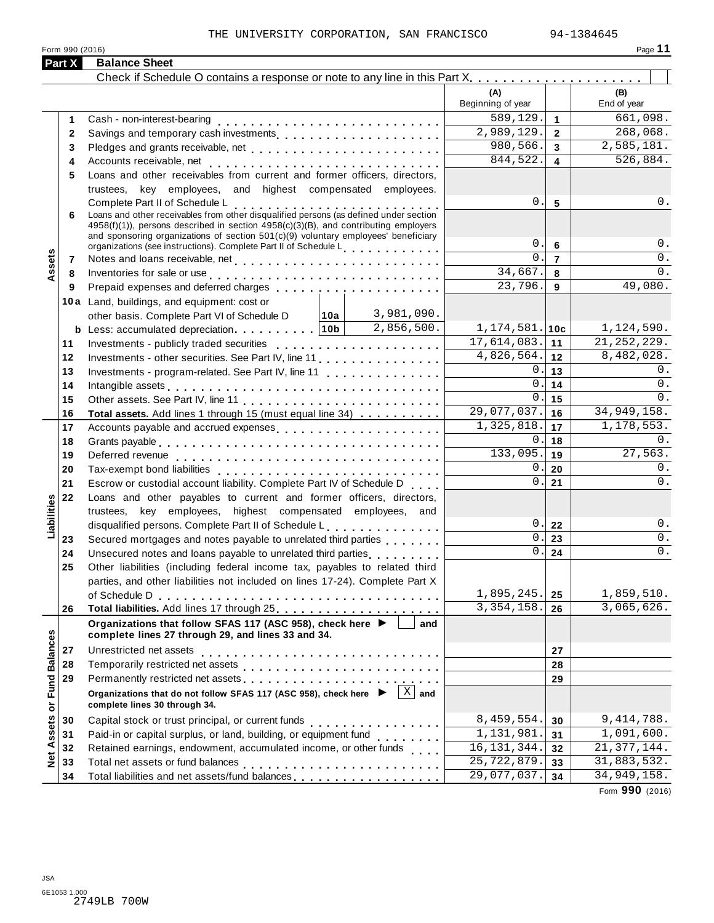|                      | Form 990 (2016) |                                                                                                                                                                                                                                |                           |                         | Page 11                   |
|----------------------|-----------------|--------------------------------------------------------------------------------------------------------------------------------------------------------------------------------------------------------------------------------|---------------------------|-------------------------|---------------------------|
|                      | Part X          | <b>Balance Sheet</b>                                                                                                                                                                                                           |                           |                         |                           |
|                      |                 |                                                                                                                                                                                                                                |                           |                         |                           |
|                      |                 |                                                                                                                                                                                                                                | (A)<br>Beginning of year  |                         | (B)<br>End of year        |
|                      | 1               |                                                                                                                                                                                                                                | 589,129.                  | $\mathbf{1}$            | 661,098.                  |
|                      | $\mathbf{2}$    |                                                                                                                                                                                                                                | 2,989,129.                | $\overline{2}$          | 268,068.                  |
|                      | 3               |                                                                                                                                                                                                                                | 980,566.                  | $\mathbf{3}$            | 2,585,181.                |
|                      | 4               |                                                                                                                                                                                                                                | 844,522.                  | $\overline{\mathbf{4}}$ | 526,884.                  |
|                      | 5               | Loans and other receivables from current and former officers, directors,                                                                                                                                                       |                           |                         |                           |
|                      |                 | trustees, key employees, and highest compensated employees.                                                                                                                                                                    |                           |                         |                           |
|                      |                 |                                                                                                                                                                                                                                | 0.                        | $5\phantom{.0}$         | 0.                        |
|                      | 6               | Complete Part II of Schedule L<br>Loans and other receivables from other disqualified persons (as defined under section                                                                                                        |                           |                         |                           |
|                      |                 | 4958(f)(1)), persons described in section 4958(c)(3)(B), and contributing employers                                                                                                                                            |                           |                         |                           |
|                      |                 | and sponsoring organizations of section 501(c)(9) voluntary employees' beneficiary<br>organizations (see instructions). Complete Part II of Schedule Letter and Letter Letter Letter                                           | $\mathbf 0$ .             | 6                       | 0.                        |
| ssets                | 7               |                                                                                                                                                                                                                                | $\Omega$ .                | $\overline{7}$          | 0.                        |
|                      | 8               | Inventories for sale or use enterpreteration of the contract of the contract of the contract of the contract of                                                                                                                | 34,667.                   | 8                       | 0.                        |
|                      | 9               | Prepaid expenses and deferred charges entitled as a series of the set of the set of the set of the set of the set of the set of the set of the set of the set of the set of the set of the set of the set of the set of the se | 23,796.                   | 9                       | 49,080.                   |
|                      |                 | 10a Land, buildings, and equipment: cost or                                                                                                                                                                                    |                           |                         |                           |
|                      |                 | 3,981,090.<br> 10a <br>other basis. Complete Part VI of Schedule D                                                                                                                                                             |                           |                         |                           |
|                      |                 | 2,856,500.<br><b>b</b> Less: accumulated depreciation. $ 10b $                                                                                                                                                                 | $1,174,581.$ 10c          |                         | 1,124,590.                |
|                      | 11              |                                                                                                                                                                                                                                | $\overline{17,614,083}$ . | 11                      | 21, 252, 229.             |
|                      | 12              | Investments - other securities. See Part IV, line 11.                                                                                                                                                                          | 4,826,564.                | 12                      | 8,482,028.                |
|                      | 13              |                                                                                                                                                                                                                                | 0.                        | 13                      | 0.                        |
|                      | 14              | Intangible assets enterpreteration of the contract of the contract of the contract of the contract of the contract of the contract of the contract of the contract of the contract of the contract of the contract of the cont | $0$ .                     | 14                      | 0.                        |
|                      | 15              |                                                                                                                                                                                                                                | $\mathbf{0}$ .            | 15                      | 0.                        |
|                      | 16              | Total assets. Add lines 1 through 15 (must equal line 34)                                                                                                                                                                      | $\overline{29,077,037}$ . | 16                      | 34,949,158.               |
|                      | 17              | Accounts payable and accrued expenses                                                                                                                                                                                          | 1,325,818.                | 17                      | 1,178,553.                |
|                      | 18              |                                                                                                                                                                                                                                | 0.                        | 18                      | 0.                        |
|                      | 19              |                                                                                                                                                                                                                                | 133,095.                  | 19                      | 27,563.                   |
|                      | 20              |                                                                                                                                                                                                                                | 0.                        | 20                      | 0.                        |
|                      | 21              | Escrow or custodial account liability. Complete Part IV of Schedule D                                                                                                                                                          | $\mathbf{0}$ .            | 21                      | 0.                        |
|                      | 22              | Loans and other payables to current and former officers, directors,                                                                                                                                                            |                           |                         |                           |
| Liabilities          |                 | trustees, key employees, highest compensated employees, and                                                                                                                                                                    |                           |                         |                           |
|                      |                 | disqualified persons. Complete Part II of Schedule L.                                                                                                                                                                          | 0.                        | 22                      | 0.                        |
|                      | 23              | Secured mortgages and notes payable to unrelated third parties                                                                                                                                                                 | $\overline{0}$ .          | 23                      | 0.                        |
|                      | 24              |                                                                                                                                                                                                                                | 0.                        | 24                      | 0.                        |
|                      | 25              | Other liabilities (including federal income tax, payables to related third                                                                                                                                                     |                           |                         |                           |
|                      |                 | parties, and other liabilities not included on lines 17-24). Complete Part X                                                                                                                                                   |                           |                         |                           |
|                      |                 |                                                                                                                                                                                                                                | 1,895,245.                | 25                      | 1,859,510.                |
|                      | 26              |                                                                                                                                                                                                                                | 3, 354, 158.              | 26                      | 3,065,626.                |
|                      |                 | Organizations that follow SFAS 117 (ASC 958), check here ▶<br>and                                                                                                                                                              |                           |                         |                           |
|                      |                 | complete lines 27 through 29, and lines 33 and 34.                                                                                                                                                                             |                           |                         |                           |
|                      | 27              |                                                                                                                                                                                                                                |                           | 27                      |                           |
| <b>Fund Balances</b> | 28              | Temporarily restricted net assets                                                                                                                                                                                              |                           | 28                      |                           |
|                      | 29              | Permanently restricted net assets entertainment of the set of the set of the set of the set of the set of the set of the set of the set of the set of the set of the set of the set of the set of the set of the set of the se |                           | 29                      |                           |
|                      |                 | Organizations that do not follow SFAS 117 (ASC 958), check here $\blacktriangleright  \mathbf{X} $ and                                                                                                                         |                           |                         |                           |
| ŏ                    |                 | complete lines 30 through 34.                                                                                                                                                                                                  |                           |                         |                           |
|                      | 30              |                                                                                                                                                                                                                                | 8,459,554.                | 30                      | 9,414,788.                |
| Assets               | 31              |                                                                                                                                                                                                                                | 1,131,981.                | 31                      | 1,091,600.                |
|                      | 32              | Retained earnings, endowment, accumulated income, or other funds                                                                                                                                                               | 16, 131, 344.             | 32                      | $\overline{21,377,144}$ . |
| Net                  | 33              |                                                                                                                                                                                                                                | 25,722,879.               | 33                      | 31,883,532.               |
|                      | 34              | Total liabilities and net assets/fund balances                                                                                                                                                                                 | 29,077,037.               | 34                      | 34,949,158.               |

Form **990** (2016)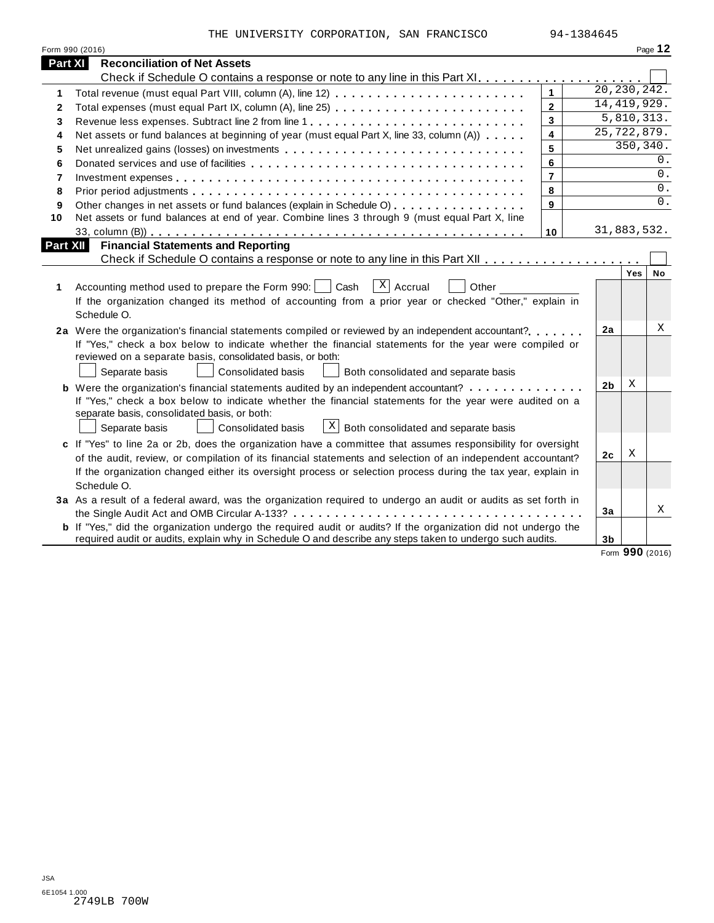THE UNIVERSITY CORPORATION, SAN FRANCISCO 94-1384645

|                 | Form 990 (2016)                                                                                                       |                         |                           |            | Page 12 |
|-----------------|-----------------------------------------------------------------------------------------------------------------------|-------------------------|---------------------------|------------|---------|
| <b>Part XI</b>  | <b>Reconciliation of Net Assets</b>                                                                                   |                         |                           |            |         |
|                 |                                                                                                                       |                         |                           |            |         |
| 1               |                                                                                                                       | $\mathbf{1}$            | $\overline{20,230,242}$ . |            |         |
| 2               | Total expenses (must equal Part IX, column (A), line 25)                                                              | $\overline{2}$          | 14, 419, 929.             |            |         |
| 3               | Revenue less expenses. Subtract line 2 from line 1                                                                    | $\mathbf{3}$            |                           | 5,810,313. |         |
| 4               | Net assets or fund balances at beginning of year (must equal Part X, line 33, column (A))                             | $\overline{\mathbf{4}}$ | 25,722,879.               |            |         |
| 5               |                                                                                                                       | 5                       |                           | 350,340.   |         |
| 6               |                                                                                                                       | 6                       |                           |            | 0.      |
| 7               |                                                                                                                       | $\overline{7}$          |                           |            | 0.      |
| 8               |                                                                                                                       | 8                       |                           |            | $0$ .   |
| 9               | Other changes in net assets or fund balances (explain in Schedule O)                                                  | 9                       |                           |            | 0.      |
| 10              | Net assets or fund balances at end of year. Combine lines 3 through 9 (must equal Part X, line                        |                         |                           |            |         |
|                 |                                                                                                                       | 10                      | 31,883,532.               |            |         |
| <b>Part XII</b> | <b>Financial Statements and Reporting</b>                                                                             |                         |                           |            |         |
|                 |                                                                                                                       |                         |                           |            |         |
|                 |                                                                                                                       |                         |                           | Yes        | No      |
| 1               | $\overline{X}$ Accrual<br>Accounting method used to prepare the Form 990:     Cash<br>Other                           |                         |                           |            |         |
|                 | If the organization changed its method of accounting from a prior year or checked "Other," explain in                 |                         |                           |            |         |
|                 | Schedule O.                                                                                                           |                         |                           |            |         |
|                 | 2a Were the organization's financial statements compiled or reviewed by an independent accountant?                    |                         | 2a                        |            | Χ       |
|                 | If "Yes," check a box below to indicate whether the financial statements for the year were compiled or                |                         |                           |            |         |
|                 | reviewed on a separate basis, consolidated basis, or both:                                                            |                         |                           |            |         |
|                 | Separate basis<br>Consolidated basis<br>Both consolidated and separate basis                                          |                         |                           |            |         |
|                 | <b>b</b> Were the organization's financial statements audited by an independent accountant?                           |                         | 2 <sub>b</sub>            | Χ          |         |
|                 | If "Yes," check a box below to indicate whether the financial statements for the year were audited on a               |                         |                           |            |         |
|                 | separate basis, consolidated basis, or both:                                                                          |                         |                           |            |         |
|                 | $\lfloor x \rfloor$ Both consolidated and separate basis<br>Consolidated basis<br>Separate basis                      |                         |                           |            |         |
|                 | c If "Yes" to line 2a or 2b, does the organization have a committee that assumes responsibility for oversight         |                         |                           |            |         |
|                 | of the audit, review, or compilation of its financial statements and selection of an independent accountant?          |                         | 2c                        | X          |         |
|                 | If the organization changed either its oversight process or selection process during the tax year, explain in         |                         |                           |            |         |
|                 | Schedule O.                                                                                                           |                         |                           |            |         |
|                 | 3a As a result of a federal award, was the organization required to undergo an audit or audits as set forth in        |                         |                           |            |         |
|                 |                                                                                                                       |                         | 3a                        |            | Χ       |
|                 | <b>b</b> If "Yes," did the organization undergo the required audit or audits? If the organization did not undergo the |                         |                           |            |         |
|                 | required audit or audits, explain why in Schedule O and describe any steps taken to undergo such audits.              |                         | 3 <sub>b</sub>            |            |         |

Form **990** (2016)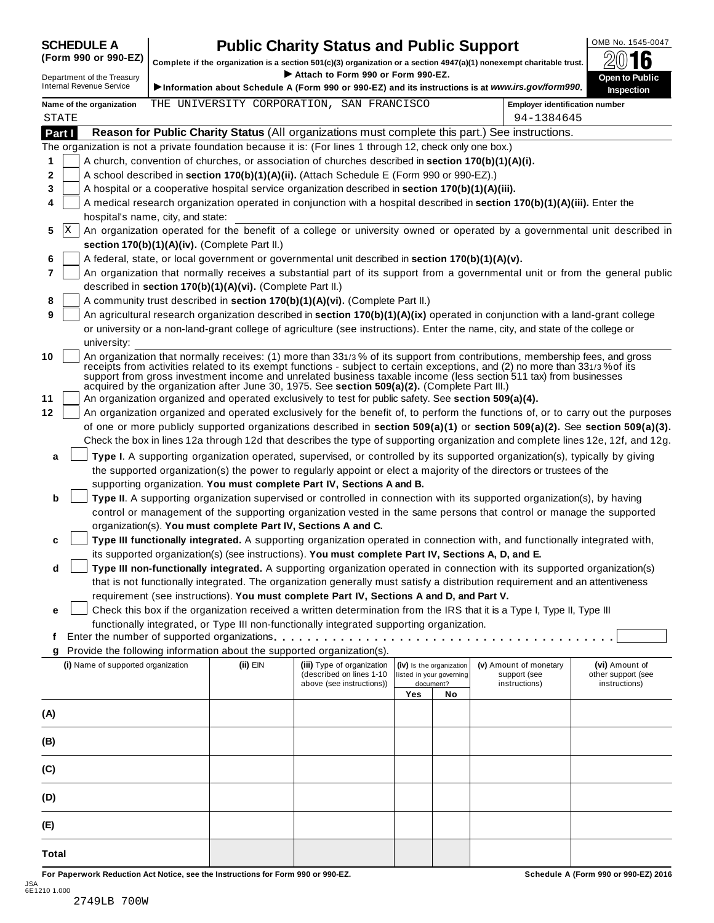# **SCHEDULE A Public Charity Status and Public Support**<br>(Form 990 or 990-EZ) complete if the organization is a section 501(c)(3) organization or a section 4947(a)(1) popeyempt charitable trust  $\bigotimes_{n=1}^{\infty}$

(Form 990 or 990-EZ) complete if the organization is a section 501(c)(3) organization or a section 4947(a)(1) nonexempt charitable trust. 2016 <sup>D</sup> I **Attach to Form <sup>990</sup> or Form 990-EZ.** epartment of the Treasury **Open to Public**

|              | Department of the Treasury<br><b>Internal Revenue Service</b> |                                                            | ▶ Attach to Form 990 or Form 990-EZ.                                                                      |     |                          | Information about Schedule A (Form 990 or 990-EZ) and its instructions is at www.irs.gov/form990.                                                                                                                                                                                                                                                                                | <b>Open to Public</b><br>Inspection                                                                                          |
|--------------|---------------------------------------------------------------|------------------------------------------------------------|-----------------------------------------------------------------------------------------------------------|-----|--------------------------|----------------------------------------------------------------------------------------------------------------------------------------------------------------------------------------------------------------------------------------------------------------------------------------------------------------------------------------------------------------------------------|------------------------------------------------------------------------------------------------------------------------------|
|              |                                                               |                                                            | THE UNIVERSITY CORPORATION, SAN FRANCISCO                                                                 |     |                          |                                                                                                                                                                                                                                                                                                                                                                                  |                                                                                                                              |
| <b>STATE</b> | Name of the organization                                      |                                                            |                                                                                                           |     |                          | <b>Employer identification number</b><br>94-1384645                                                                                                                                                                                                                                                                                                                              |                                                                                                                              |
| Part I       |                                                               |                                                            |                                                                                                           |     |                          | Reason for Public Charity Status (All organizations must complete this part.) See instructions.                                                                                                                                                                                                                                                                                  |                                                                                                                              |
|              |                                                               |                                                            | The organization is not a private foundation because it is: (For lines 1 through 12, check only one box.) |     |                          |                                                                                                                                                                                                                                                                                                                                                                                  |                                                                                                                              |
| 1            |                                                               |                                                            | A church, convention of churches, or association of churches described in section 170(b)(1)(A)(i).        |     |                          |                                                                                                                                                                                                                                                                                                                                                                                  |                                                                                                                              |
| 2            |                                                               |                                                            | A school described in section 170(b)(1)(A)(ii). (Attach Schedule E (Form 990 or 990-EZ).)                 |     |                          |                                                                                                                                                                                                                                                                                                                                                                                  |                                                                                                                              |
| 3            |                                                               |                                                            | A hospital or a cooperative hospital service organization described in section 170(b)(1)(A)(iii).         |     |                          |                                                                                                                                                                                                                                                                                                                                                                                  |                                                                                                                              |
| 4            |                                                               |                                                            |                                                                                                           |     |                          | A medical research organization operated in conjunction with a hospital described in section 170(b)(1)(A)(iii). Enter the                                                                                                                                                                                                                                                        |                                                                                                                              |
|              | hospital's name, city, and state:                             |                                                            |                                                                                                           |     |                          |                                                                                                                                                                                                                                                                                                                                                                                  |                                                                                                                              |
| X<br>5       |                                                               |                                                            |                                                                                                           |     |                          |                                                                                                                                                                                                                                                                                                                                                                                  | An organization operated for the benefit of a college or university owned or operated by a governmental unit described in    |
|              |                                                               | section 170(b)(1)(A)(iv). (Complete Part II.)              |                                                                                                           |     |                          |                                                                                                                                                                                                                                                                                                                                                                                  |                                                                                                                              |
|              |                                                               |                                                            | A federal, state, or local government or governmental unit described in section 170(b)(1)(A)(v).          |     |                          |                                                                                                                                                                                                                                                                                                                                                                                  |                                                                                                                              |
|              |                                                               |                                                            |                                                                                                           |     |                          |                                                                                                                                                                                                                                                                                                                                                                                  | An organization that normally receives a substantial part of its support from a governmental unit or from the general public |
|              |                                                               | described in section 170(b)(1)(A)(vi). (Complete Part II.) |                                                                                                           |     |                          |                                                                                                                                                                                                                                                                                                                                                                                  |                                                                                                                              |
|              |                                                               |                                                            | A community trust described in section 170(b)(1)(A)(vi). (Complete Part II.)                              |     |                          |                                                                                                                                                                                                                                                                                                                                                                                  |                                                                                                                              |
|              |                                                               |                                                            |                                                                                                           |     |                          | An agricultural research organization described in section 170(b)(1)(A)(ix) operated in conjunction with a land-grant college                                                                                                                                                                                                                                                    |                                                                                                                              |
|              |                                                               |                                                            |                                                                                                           |     |                          | or university or a non-land-grant college of agriculture (see instructions). Enter the name, city, and state of the college or                                                                                                                                                                                                                                                   |                                                                                                                              |
|              | university:                                                   |                                                            |                                                                                                           |     |                          |                                                                                                                                                                                                                                                                                                                                                                                  |                                                                                                                              |
|              |                                                               |                                                            | acquired by the organization after June 30, 1975. See section 509(a)(2). (Complete Part III.)             |     |                          | An organization that normally receives: (1) more than 331/3 % of its support from contributions, membership fees, and gross<br>receipts from activities related to its exempt functions - subject to certain exceptions, and (2) no more than 331/3% of its<br>support from gross investment income and unrelated business taxable income (less section 511 tax) from businesses |                                                                                                                              |
|              |                                                               |                                                            | An organization organized and operated exclusively to test for public safety. See section 509(a)(4).      |     |                          |                                                                                                                                                                                                                                                                                                                                                                                  |                                                                                                                              |
|              |                                                               |                                                            |                                                                                                           |     |                          | An organization organized and operated exclusively for the benefit of, to perform the functions of, or to carry out the purposes                                                                                                                                                                                                                                                 |                                                                                                                              |
|              |                                                               |                                                            |                                                                                                           |     |                          | of one or more publicly supported organizations described in section 509(a)(1) or section 509(a)(2). See section 509(a)(3).                                                                                                                                                                                                                                                      |                                                                                                                              |
|              |                                                               |                                                            |                                                                                                           |     |                          | Check the box in lines 12a through 12d that describes the type of supporting organization and complete lines 12e, 12f, and 12g.                                                                                                                                                                                                                                                  |                                                                                                                              |
| a            |                                                               |                                                            |                                                                                                           |     |                          | Type I. A supporting organization operated, supervised, or controlled by its supported organization(s), typically by giving                                                                                                                                                                                                                                                      |                                                                                                                              |
|              |                                                               |                                                            |                                                                                                           |     |                          | the supported organization(s) the power to regularly appoint or elect a majority of the directors or trustees of the                                                                                                                                                                                                                                                             |                                                                                                                              |
|              |                                                               |                                                            | supporting organization. You must complete Part IV, Sections A and B.                                     |     |                          |                                                                                                                                                                                                                                                                                                                                                                                  |                                                                                                                              |
| b            |                                                               |                                                            |                                                                                                           |     |                          | Type II. A supporting organization supervised or controlled in connection with its supported organization(s), by having                                                                                                                                                                                                                                                          |                                                                                                                              |
|              |                                                               |                                                            |                                                                                                           |     |                          | control or management of the supporting organization vested in the same persons that control or manage the supported                                                                                                                                                                                                                                                             |                                                                                                                              |
|              |                                                               |                                                            | organization(s). You must complete Part IV, Sections A and C.                                             |     |                          |                                                                                                                                                                                                                                                                                                                                                                                  |                                                                                                                              |
| c            |                                                               |                                                            |                                                                                                           |     |                          | Type III functionally integrated. A supporting organization operated in connection with, and functionally integrated with,                                                                                                                                                                                                                                                       |                                                                                                                              |
|              |                                                               |                                                            | its supported organization(s) (see instructions). You must complete Part IV, Sections A, D, and E.        |     |                          |                                                                                                                                                                                                                                                                                                                                                                                  |                                                                                                                              |
| d            |                                                               |                                                            |                                                                                                           |     |                          | Type III non-functionally integrated. A supporting organization operated in connection with its supported organization(s)                                                                                                                                                                                                                                                        |                                                                                                                              |
|              |                                                               |                                                            |                                                                                                           |     |                          | that is not functionally integrated. The organization generally must satisfy a distribution requirement and an attentiveness                                                                                                                                                                                                                                                     |                                                                                                                              |
|              |                                                               |                                                            | requirement (see instructions). You must complete Part IV, Sections A and D, and Part V.                  |     |                          |                                                                                                                                                                                                                                                                                                                                                                                  |                                                                                                                              |
| е            |                                                               |                                                            |                                                                                                           |     |                          | Check this box if the organization received a written determination from the IRS that it is a Type I, Type II, Type III                                                                                                                                                                                                                                                          |                                                                                                                              |
|              |                                                               |                                                            | functionally integrated, or Type III non-functionally integrated supporting organization.                 |     |                          |                                                                                                                                                                                                                                                                                                                                                                                  |                                                                                                                              |
| f            |                                                               |                                                            | Enter the number of supported organizations.                                                              |     |                          |                                                                                                                                                                                                                                                                                                                                                                                  |                                                                                                                              |
|              |                                                               |                                                            | Provide the following information about the supported organization(s).                                    |     |                          |                                                                                                                                                                                                                                                                                                                                                                                  |                                                                                                                              |
|              | (i) Name of supported organization                            | (ii) EIN                                                   | (iii) Type of organization                                                                                |     | (iv) Is the organization | (v) Amount of monetary                                                                                                                                                                                                                                                                                                                                                           | (vi) Amount of                                                                                                               |
|              |                                                               |                                                            | (described on lines 1-10                                                                                  |     | listed in your governing | support (see                                                                                                                                                                                                                                                                                                                                                                     | other support (see                                                                                                           |
|              |                                                               |                                                            | above (see instructions))                                                                                 | Yes | document?<br>No          | instructions)                                                                                                                                                                                                                                                                                                                                                                    | instructions)                                                                                                                |
|              |                                                               |                                                            |                                                                                                           |     |                          |                                                                                                                                                                                                                                                                                                                                                                                  |                                                                                                                              |
| (A)          |                                                               |                                                            |                                                                                                           |     |                          |                                                                                                                                                                                                                                                                                                                                                                                  |                                                                                                                              |
| (B)          |                                                               |                                                            |                                                                                                           |     |                          |                                                                                                                                                                                                                                                                                                                                                                                  |                                                                                                                              |
|              |                                                               |                                                            |                                                                                                           |     |                          |                                                                                                                                                                                                                                                                                                                                                                                  |                                                                                                                              |
| (C)          |                                                               |                                                            |                                                                                                           |     |                          |                                                                                                                                                                                                                                                                                                                                                                                  |                                                                                                                              |
| (D)          |                                                               |                                                            |                                                                                                           |     |                          |                                                                                                                                                                                                                                                                                                                                                                                  |                                                                                                                              |
| (E)          |                                                               |                                                            |                                                                                                           |     |                          |                                                                                                                                                                                                                                                                                                                                                                                  |                                                                                                                              |
| Total        |                                                               |                                                            |                                                                                                           |     |                          |                                                                                                                                                                                                                                                                                                                                                                                  |                                                                                                                              |
|              |                                                               |                                                            |                                                                                                           |     |                          |                                                                                                                                                                                                                                                                                                                                                                                  |                                                                                                                              |

For Paperwork Reduction Act Notice, see the Instructions for Form 990 or 990-EZ. Schedule A (Form 990 or 990-EZ) 2016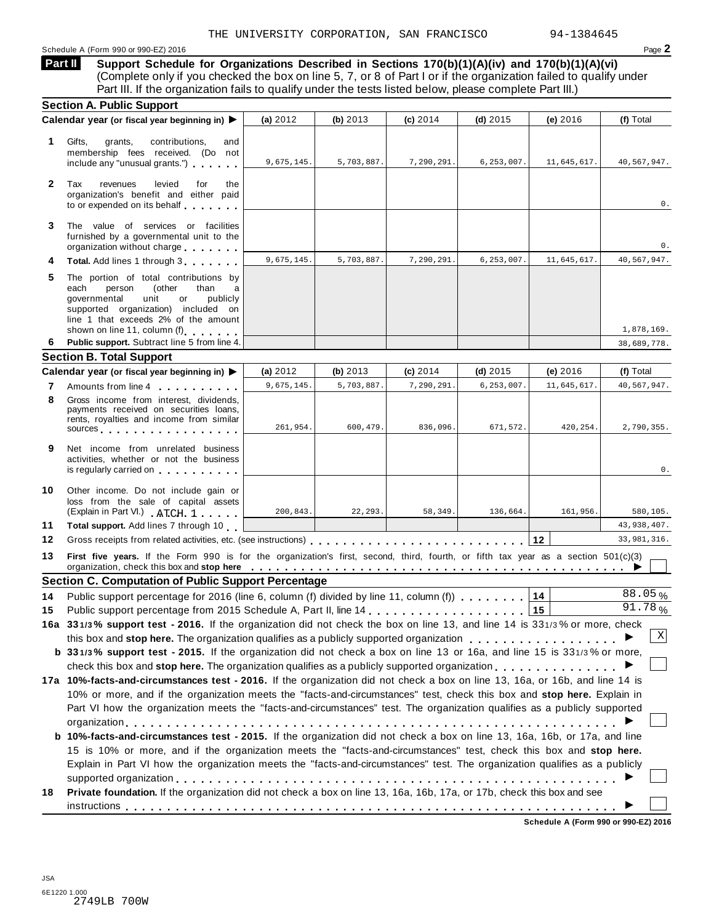Schedule <sup>A</sup> (Form <sup>990</sup> or 990-EZ) <sup>2016</sup> Page **2**

**Support Schedule for Organizations Described in Sections 170(b)(1)(A)(iv) and 170(b)(1)(A)(vi)** (Complete only if you checked the box on line 5, 7, or 8 of Part I or if the organization failed to qualify under Part III. If the organization fails to qualify under the tests listed below, please complete Part III.) **Part II**

|              | <b>Section A. Public Support</b>                                                                                                                                                                                                                                                                                |                          |                          |                        |                            |                         |                          |
|--------------|-----------------------------------------------------------------------------------------------------------------------------------------------------------------------------------------------------------------------------------------------------------------------------------------------------------------|--------------------------|--------------------------|------------------------|----------------------------|-------------------------|--------------------------|
|              | Calendar year (or fiscal year beginning in) ▶                                                                                                                                                                                                                                                                   | (a) $2012$               | (b) $2013$               | (c) 2014               | $(d)$ 2015                 | (e) 2016                | (f) Total                |
| 1            | Gifts,<br>grants,<br>contributions,<br>and<br>membership fees received. (Do not<br>include any "unusual grants.")                                                                                                                                                                                               | 9,675,145.               | 5,703,887.               | 7,290,291.             | 6, 253, 007.               | 11,645,617.             | 40,567,947.              |
| $\mathbf{2}$ | Tax<br>revenues<br>levied<br>for<br>the<br>organization's benefit and either paid<br>to or expended on its behalf                                                                                                                                                                                               |                          |                          |                        |                            |                         | 0.                       |
| 3            | The value of services or facilities<br>furnished by a governmental unit to the<br>organization without charge                                                                                                                                                                                                   |                          |                          |                        |                            |                         | 0.                       |
| 4            | Total. Add lines 1 through 3                                                                                                                                                                                                                                                                                    | 9,675,145.               | 5,703,887.               | 7,290,291.             | 6, 253, 007.               | 11,645,617.             | 40,567,947.              |
| 5            | The portion of total contributions by<br>(other<br>each<br>person<br>than<br>a<br>governmental<br>unit<br>or<br>publicly<br>supported organization) included on<br>line 1 that exceeds 2% of the amount                                                                                                         |                          |                          |                        |                            |                         |                          |
|              | shown on line 11, column (f)                                                                                                                                                                                                                                                                                    |                          |                          |                        |                            |                         | 1,878,169.               |
| 6.           | Public support. Subtract line 5 from line 4.                                                                                                                                                                                                                                                                    |                          |                          |                        |                            |                         | 38,689,778.              |
|              | <b>Section B. Total Support</b>                                                                                                                                                                                                                                                                                 |                          |                          |                        |                            |                         |                          |
|              | Calendar year (or fiscal year beginning in) ▶                                                                                                                                                                                                                                                                   | (a) $2012$<br>9,675,145. | (b) $2013$<br>5,703,887. | (c) 2014<br>7,290,291. | $(d)$ 2015<br>6, 253, 007. | (e) 2016<br>11,645,617. | (f) Total<br>40,567,947. |
| 7<br>8       | Amounts from line 4<br>Gross income from interest, dividends,<br>payments received on securities loans,<br>rents, royalties and income from similar<br>sources and the set of the set of the set of the set of the set of the set of the set of the set of the set of                                           | 261,954.                 | 600,479.                 | 836,096.               | 671,572.                   | 420,254.                | 2,790,355.               |
| 9            | Net income from unrelated business<br>activities, whether or not the business<br>is regularly carried on the control of the state of the state of the state of the state of the state of the state of the state of the state of the state of the state of the state of the state of the state of the state of t |                          |                          |                        |                            |                         | 0.                       |
| 10           | Other income. Do not include gain or<br>loss from the sale of capital assets<br>(Explain in Part VI.) ATCH 1                                                                                                                                                                                                    | 200,843.                 | 22, 293.                 | 58,349.                | 136,664.                   | 161,956.                | 580,105.                 |
| 11           | Total support. Add lines 7 through 10                                                                                                                                                                                                                                                                           |                          |                          |                        |                            |                         | 43,938,407.              |
| 12           |                                                                                                                                                                                                                                                                                                                 |                          |                          |                        |                            | 12                      | 33,981,316.              |
| 13           | First five years. If the Form 990 is for the organization's first, second, third, fourth, or fifth tax year as a section 501(c)(3)<br>organization, check this box and stop here entirely service of the service of the service of the service of the service of $\blacktriangleright$                          |                          |                          |                        |                            |                         |                          |
|              | <b>Section C. Computation of Public Support Percentage</b>                                                                                                                                                                                                                                                      |                          |                          |                        |                            |                         |                          |
| 14           | Public support percentage for 2016 (line 6, column (f) divided by line 11, column (f) $\ldots$ ,,,,,,                                                                                                                                                                                                           |                          |                          |                        |                            | 14                      | 88.05%                   |
| 15           |                                                                                                                                                                                                                                                                                                                 |                          |                          |                        |                            | 15                      | 91.78%                   |
|              | 16a 331/3% support test - 2016. If the organization did not check the box on line 13, and line 14 is 331/3% or more, check                                                                                                                                                                                      |                          |                          |                        |                            |                         |                          |
|              | this box and stop here. The organization qualifies as a publicly supported organization                                                                                                                                                                                                                         |                          |                          |                        |                            |                         | X                        |
|              | b 331/3% support test - 2015. If the organization did not check a box on line 13 or 16a, and line 15 is 331/3% or more,                                                                                                                                                                                         |                          |                          |                        |                            |                         |                          |
|              | check this box and stop here. The organization qualifies as a publicly supported organization $\ldots$ , $\ldots$ , $\ldots$                                                                                                                                                                                    |                          |                          |                        |                            |                         |                          |
|              | 17a 10%-facts-and-circumstances test - 2016. If the organization did not check a box on line 13, 16a, or 16b, and line 14 is                                                                                                                                                                                    |                          |                          |                        |                            |                         |                          |
|              | 10% or more, and if the organization meets the "facts-and-circumstances" test, check this box and stop here. Explain in                                                                                                                                                                                         |                          |                          |                        |                            |                         |                          |
|              | Part VI how the organization meets the "facts-and-circumstances" test. The organization qualifies as a publicly supported                                                                                                                                                                                       |                          |                          |                        |                            |                         |                          |
|              |                                                                                                                                                                                                                                                                                                                 |                          |                          |                        |                            |                         |                          |
|              | <b>b 10%-facts-and-circumstances test - 2015.</b> If the organization did not check a box on line 13, 16a, 16b, or 17a, and line                                                                                                                                                                                |                          |                          |                        |                            |                         |                          |
|              | 15 is 10% or more, and if the organization meets the "facts-and-circumstances" test, check this box and stop here.                                                                                                                                                                                              |                          |                          |                        |                            |                         |                          |
|              | Explain in Part VI how the organization meets the "facts-and-circumstances" test. The organization qualifies as a publicly                                                                                                                                                                                      |                          |                          |                        |                            |                         |                          |
| 18           | Private foundation. If the organization did not check a box on line 13, 16a, 16b, 17a, or 17b, check this box and see                                                                                                                                                                                           |                          |                          |                        |                            |                         |                          |
|              |                                                                                                                                                                                                                                                                                                                 |                          |                          |                        |                            |                         |                          |

**Schedule A (Form 990 or 990-EZ) 2016**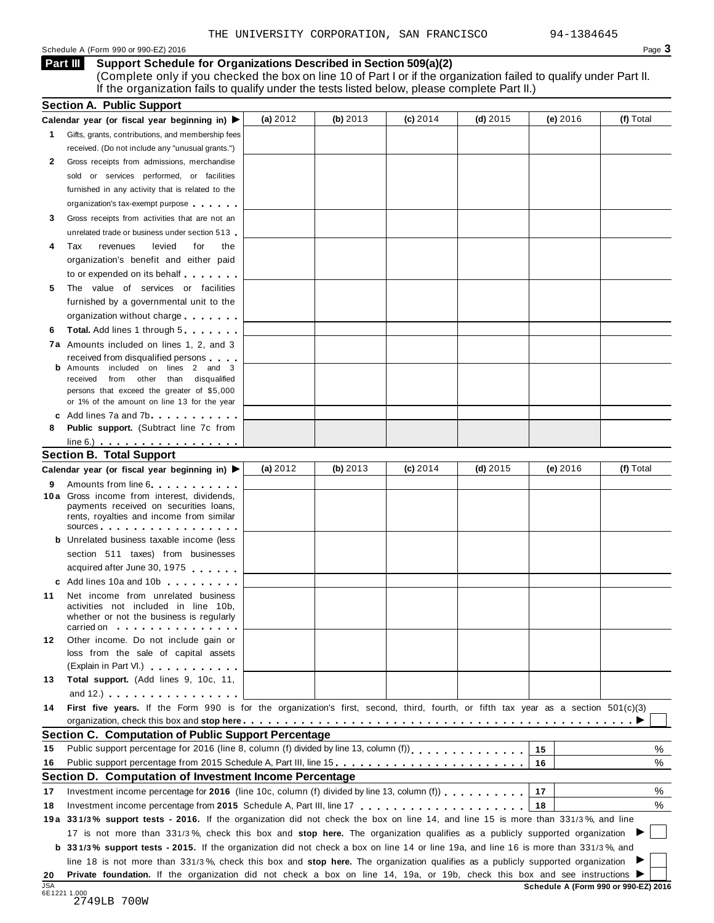Schedule <sup>A</sup> (Form <sup>990</sup> or 990-EZ) <sup>2016</sup> Page **3**

**Support Schedule for Organizations Described in Section 509(a)(2) Part III**

(Complete only if you checked the box on line 10 of Part I or if the organization failed to qualify under Part II. If the organization fails to qualify under the tests listed below, please complete Part II.)

|                      | <b>Section A. Public Support</b>                                                                                                                                                                                                           |            |            |            |            |            |           |
|----------------------|--------------------------------------------------------------------------------------------------------------------------------------------------------------------------------------------------------------------------------------------|------------|------------|------------|------------|------------|-----------|
|                      | Calendar year (or fiscal year beginning in) $\blacktriangleright$                                                                                                                                                                          | (a) 2012   | (b) 2013   | $(c)$ 2014 | $(d)$ 2015 | (e) 2016   | (f) Total |
| 1.                   | Gifts, grants, contributions, and membership fees                                                                                                                                                                                          |            |            |            |            |            |           |
|                      | received. (Do not include any "unusual grants.")                                                                                                                                                                                           |            |            |            |            |            |           |
| 2                    | Gross receipts from admissions, merchandise                                                                                                                                                                                                |            |            |            |            |            |           |
|                      | sold or services performed, or facilities                                                                                                                                                                                                  |            |            |            |            |            |           |
|                      | furnished in any activity that is related to the                                                                                                                                                                                           |            |            |            |            |            |           |
|                      | organization's tax-exempt purpose                                                                                                                                                                                                          |            |            |            |            |            |           |
| 3                    | Gross receipts from activities that are not an                                                                                                                                                                                             |            |            |            |            |            |           |
|                      | unrelated trade or business under section 513                                                                                                                                                                                              |            |            |            |            |            |           |
| 4                    | Tax<br>revenues<br>levied<br>for<br>the                                                                                                                                                                                                    |            |            |            |            |            |           |
|                      | organization's benefit and either paid                                                                                                                                                                                                     |            |            |            |            |            |           |
|                      | to or expended on its behalf                                                                                                                                                                                                               |            |            |            |            |            |           |
| 5                    | The value of services or facilities                                                                                                                                                                                                        |            |            |            |            |            |           |
|                      |                                                                                                                                                                                                                                            |            |            |            |            |            |           |
|                      | furnished by a governmental unit to the                                                                                                                                                                                                    |            |            |            |            |            |           |
|                      | organization without charge                                                                                                                                                                                                                |            |            |            |            |            |           |
| 6                    | <b>Total.</b> Add lines 1 through 5                                                                                                                                                                                                        |            |            |            |            |            |           |
|                      | 7a Amounts included on lines 1, 2, and 3                                                                                                                                                                                                   |            |            |            |            |            |           |
|                      | received from disqualified persons<br><b>b</b> Amounts included on lines 2 and 3                                                                                                                                                           |            |            |            |            |            |           |
|                      | received from other than disqualified                                                                                                                                                                                                      |            |            |            |            |            |           |
|                      | persons that exceed the greater of \$5,000                                                                                                                                                                                                 |            |            |            |            |            |           |
|                      | or 1% of the amount on line 13 for the year                                                                                                                                                                                                |            |            |            |            |            |           |
|                      | c Add lines 7a and 7b                                                                                                                                                                                                                      |            |            |            |            |            |           |
| 8                    | Public support. (Subtract line 7c from                                                                                                                                                                                                     |            |            |            |            |            |           |
|                      | $line 6.)$                                                                                                                                                                                                                                 |            |            |            |            |            |           |
|                      | <b>Section B. Total Support</b>                                                                                                                                                                                                            |            |            |            |            |            |           |
|                      | Calendar year (or fiscal year beginning in) ▶                                                                                                                                                                                              | (a) $2012$ | (b) $2013$ | $(c)$ 2014 | $(d)$ 2015 | (e) $2016$ | (f) Total |
| 9                    | Amounts from line 6                                                                                                                                                                                                                        |            |            |            |            |            |           |
|                      | 10 a Gross income from interest, dividends,                                                                                                                                                                                                |            |            |            |            |            |           |
|                      | payments received on securities loans,                                                                                                                                                                                                     |            |            |            |            |            |           |
|                      | rents, royalties and income from similar<br>sources and the set of the set of the set of the set of the set of the set of the set of the set of the set of                                                                                 |            |            |            |            |            |           |
|                      | <b>b</b> Unrelated business taxable income (less                                                                                                                                                                                           |            |            |            |            |            |           |
|                      | section 511 taxes) from businesses                                                                                                                                                                                                         |            |            |            |            |            |           |
|                      | acquired after June 30, 1975                                                                                                                                                                                                               |            |            |            |            |            |           |
|                      |                                                                                                                                                                                                                                            |            |            |            |            |            |           |
|                      | c Add lines 10a and 10b                                                                                                                                                                                                                    |            |            |            |            |            |           |
| 11                   | Net income from unrelated business                                                                                                                                                                                                         |            |            |            |            |            |           |
|                      | activities not included in line 10b,<br>whether or not the business is regularly                                                                                                                                                           |            |            |            |            |            |           |
|                      | carried on experience of the control of the set of the set of the set of the set of the set of the set of the                                                                                                                              |            |            |            |            |            |           |
| 12                   | Other income. Do not include gain or                                                                                                                                                                                                       |            |            |            |            |            |           |
|                      | loss from the sale of capital assets                                                                                                                                                                                                       |            |            |            |            |            |           |
|                      | (Explain in Part VI.) <b>All and Strategies</b>                                                                                                                                                                                            |            |            |            |            |            |           |
| 13                   | Total support. (Add lines 9, 10c, 11,                                                                                                                                                                                                      |            |            |            |            |            |           |
|                      | and 12.) $\cdots$ $\cdots$ $\cdots$ $\cdots$ $\cdots$                                                                                                                                                                                      |            |            |            |            |            |           |
| 14                   | First five years. If the Form 990 is for the organization's first, second, third, fourth, or fifth tax year as a section 501(c)(3)                                                                                                         |            |            |            |            |            |           |
|                      |                                                                                                                                                                                                                                            |            |            |            |            |            |           |
|                      | Section C. Computation of Public Support Percentage                                                                                                                                                                                        |            |            |            |            |            |           |
| 15                   | Public support percentage for 2016 (line 8, column (f) divided by line 13, column (f) [1] [1] [1] [1] Public support percentage for 2016 (line 8, column (f) [1] $\sim$ [1] [1] $\sim$ [1] [1] $\sim$ [1] $\sim$ [1] $\sim$ [1] $\sim$ [1] |            |            |            |            | 15         | %         |
|                      |                                                                                                                                                                                                                                            |            |            |            |            | 16         | %         |
|                      |                                                                                                                                                                                                                                            |            |            |            |            |            |           |
|                      | Public support percentage from 2015 Schedule A, Part III, line 15.                                                                                                                                                                         |            |            |            |            |            |           |
|                      | Section D. Computation of Investment Income Percentage                                                                                                                                                                                     |            |            |            |            |            |           |
|                      | Investment income percentage for 2016 (line 10c, column (f) divided by line 13, column (f) $\ldots$ ,,,,,,,                                                                                                                                |            |            |            |            | 17         | %         |
|                      |                                                                                                                                                                                                                                            |            |            |            |            | 18         | %         |
|                      | 19a 331/3% support tests - 2016. If the organization did not check the box on line 14, and line 15 is more than 331/3%, and line                                                                                                           |            |            |            |            |            |           |
|                      | 17 is not more than 331/3%, check this box and stop here. The organization qualifies as a publicly supported organization                                                                                                                  |            |            |            |            |            |           |
|                      | <b>b</b> 331/3% support tests - 2015. If the organization did not check a box on line 14 or line 19a, and line 16 is more than 331/3%, and                                                                                                 |            |            |            |            |            |           |
|                      | line 18 is not more than 331/3%, check this box and stop here. The organization qualifies as a publicly supported organization                                                                                                             |            |            |            |            |            |           |
| 16<br>17<br>18<br>20 | Private foundation. If the organization did not check a box on line 14, 19a, or 19b, check this box and see instructions                                                                                                                   |            |            |            |            |            |           |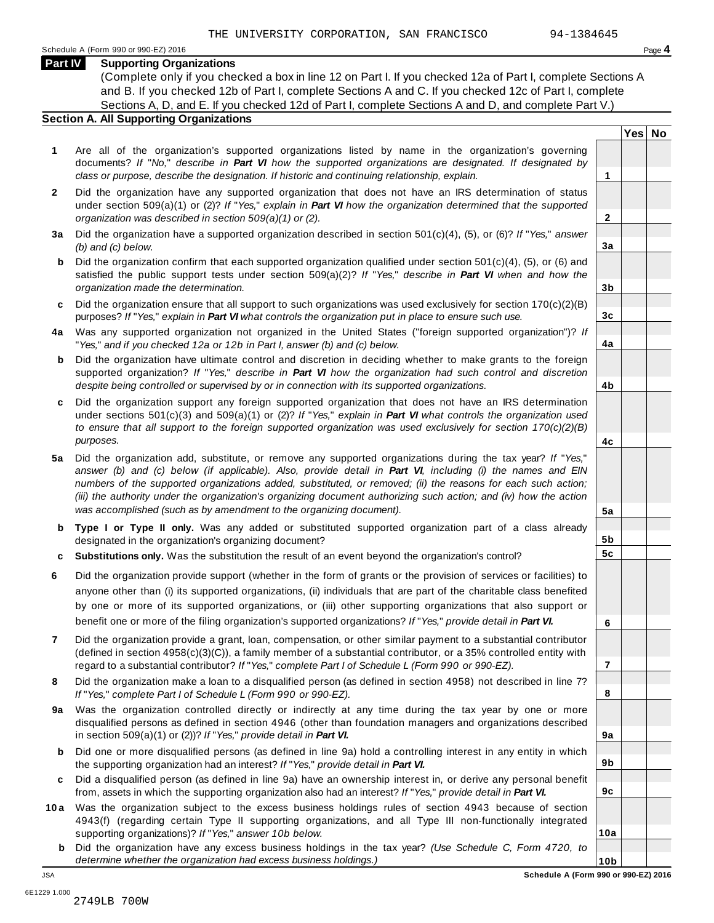#### **Part IV Supporting Organizations**

(Complete only if you checked a box in line 12 on Part I. If you checked 12a of Part I, complete Sections A and B. If you checked 12b of Part I, complete Sections A and C. If you checked 12c of Part I, complete Sections A, D, and E. If you checked 12d of Part I, complete Sections A and D, and complete Part V.)

#### **Section A. All Supporting Organizations**

- **1** Are all of the organization's supported organizations listed by name in the organization's governing documents? *If* "*No,*" *describe in Part VI how the supported organizations are designated. If designated by class or purpose, describe the designation. If historic and continuing relationship, explain.* **1**
- **2** Did the organization have any supported organization that does not have an IRS determination of status under section 509(a)(1) or (2)? *If*"*Yes,*" *explain in Part VI how the organization determined that the supported organization was described in section 509(a)(1) or (2).*
- **3 a** Did the organization have a supported organization described in section 501(c)(4), (5), or (6)? *If* "*Yes,*" *answer (b) and (c) below.*
- **b** Did the organization confirm that each supported organization qualified under section 501(c)(4), (5), or (6) and | satisfied the public support tests under section 509(a)(2)? *If* "*Yes,*" *describe in Part VI when and how the organization made the determination.*
- **c** Did the organization ensure that all support to such organizations was used exclusively for section 170(c)(2)(B) purposes? *If*"*Yes,*" *explain in Part VI what controls the organization put in place to ensure such use.*
- **4 a** Was any supported organization not organized in the United States ("foreign supported organization")? *If* "*Yes,*" *and if you checked 12a or 12b in Part I, answer (b) and (c) below.*
- **b** Did the organization have ultimate control and discretion in deciding whether to make grants to the foreign | supported organization? *If* "*Yes,*" *describe in Part VI how the organization had such control and discretion despite being controlled or supervised by or in connection with its supported organizations.*
- **c** Did the organization support any foreign supported organization that does not have an IRS determination | under sections 501(c)(3) and 509(a)(1) or (2)? *If* "*Yes,*" *explain in Part VI what controls the organization used to ensure that all support to the foreign supported organization was used exclusively for section 170(c)(2)(B) purposes.*
- **5 a** Did the organization add, substitute, or remove any supported organizations during the tax year? *If* "*Yes,*" answer (b) and (c) below (if applicable). Also, provide detail in Part VI, including (i) the names and EIN *numbers of the supported organizations added, substituted, or removed; (ii) the reasons for each such action;* (iii) the authority under the organization's organizing document authorizing such action; and (iv) how the action *was accomplished (such as by amendment to the organizing document).*
- **b** Type I or Type II only. Was any added or substituted supported organization part of a class already | designated in the organization's organizing document?
- **c Substitutions only.** Was the substitution the result of an event beyond the organization's control?
- **6** Did the organization provide support (whether in the form of grants or the provision of services or facilities) to anyone other than (i) its supported organizations, (ii) individuals that are part of the charitable class benefited by one or more of its supported organizations, or (iii) other supporting organizations that also support or benefit one or more of the filing organization's supported organizations? *If*"*Yes,*" *provide detail in Part VI.*
- **7** Did the organization provide a grant, loan, compensation, or other similar payment to a substantial contributor (defined in section 4958(c)(3)(C)), a family member of a substantial contributor, or a 35% controlled entity with regard to a substantial contributor? *If*"*Yes,*" *complete Part I of Schedule L (Form 990 or 990-EZ).*
- **8** Did the organization make a loan to a disqualified person (as defined in section 4958) not described in line 7? *If* "*Yes,*" *complete Part I of Schedule L (Form 990 or 990-EZ).*
- **a** Was the organization controlled directly or indirectly at any time during the tax year by one or more | **9** disqualified persons as defined in section 4946 (other than foundation managers and organizations described in section 509(a)(1) or (2))? *If*"*Yes,*" *provide detail in Part VI.*
- **b** Did one or more disqualified persons (as defined in line 9a) hold a controlling interest in any entity in which | the supporting organization had an interest? *If*"*Yes,*" *provide detail in Part VI.*
- **c** Did a disqualified person (as defined in line 9a) have an ownership interest in, or derive any personal benefit from, assets in which the supporting organization also had an interest? *If*"*Yes,*" *provide detail in Part VI.*
- **10a** Was the organization subject to the excess business holdings rules of section 4943 because of section | 4943(f) (regarding certain Type II supporting organizations, and all Type III non-functionally integrated supporting organizations)? *If*"*Yes,*" *answer 10b below.*
	- **b** Did the organization have any excess business holdings in the tax year? *(Use Schedule C, Form 4720, to determine whether the organization had excess business holdings.)*

**Yes No**

**2**

**3a**

**3b**

**3c**

**4a**

**4b**

**4c**

**5a**

**5b 5c**

**6**

**7**

**8**

**9a**

**9b**

**9c**

**10a**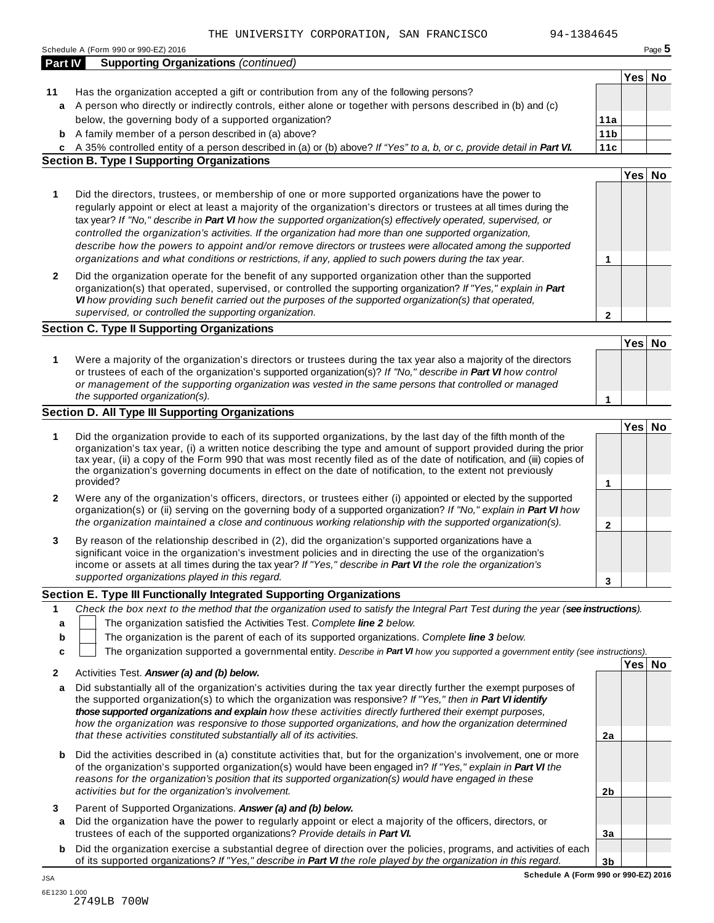|              | Schedule A (Form 990 or 990-EZ) 2016                                                                                                                                                                                                                                                                                                                                                                                                                                                     |                 |        | Page 5 |
|--------------|------------------------------------------------------------------------------------------------------------------------------------------------------------------------------------------------------------------------------------------------------------------------------------------------------------------------------------------------------------------------------------------------------------------------------------------------------------------------------------------|-----------------|--------|--------|
| Part IV      | <b>Supporting Organizations (continued)</b>                                                                                                                                                                                                                                                                                                                                                                                                                                              |                 |        |        |
|              |                                                                                                                                                                                                                                                                                                                                                                                                                                                                                          |                 | Yes No |        |
| 11           | Has the organization accepted a gift or contribution from any of the following persons?                                                                                                                                                                                                                                                                                                                                                                                                  |                 |        |        |
| a            | A person who directly or indirectly controls, either alone or together with persons described in (b) and (c)                                                                                                                                                                                                                                                                                                                                                                             |                 |        |        |
|              | below, the governing body of a supported organization?                                                                                                                                                                                                                                                                                                                                                                                                                                   | 11a             |        |        |
| b            | A family member of a person described in (a) above?                                                                                                                                                                                                                                                                                                                                                                                                                                      | 11 <sub>b</sub> |        |        |
| c            | A 35% controlled entity of a person described in (a) or (b) above? If "Yes" to a, b, or c, provide detail in Part VI.<br><b>Section B. Type I Supporting Organizations</b>                                                                                                                                                                                                                                                                                                               | 11c             |        |        |
|              |                                                                                                                                                                                                                                                                                                                                                                                                                                                                                          |                 | Yes No |        |
|              |                                                                                                                                                                                                                                                                                                                                                                                                                                                                                          |                 |        |        |
| 1            | Did the directors, trustees, or membership of one or more supported organizations have the power to<br>regularly appoint or elect at least a majority of the organization's directors or trustees at all times during the<br>tax year? If "No," describe in Part VI how the supported organization(s) effectively operated, supervised, or<br>controlled the organization's activities. If the organization had more than one supported organization,                                    |                 |        |        |
|              | describe how the powers to appoint and/or remove directors or trustees were allocated among the supported<br>organizations and what conditions or restrictions, if any, applied to such powers during the tax year.                                                                                                                                                                                                                                                                      | 1               |        |        |
|              |                                                                                                                                                                                                                                                                                                                                                                                                                                                                                          |                 |        |        |
| $\mathbf{2}$ | Did the organization operate for the benefit of any supported organization other than the supported<br>organization(s) that operated, supervised, or controlled the supporting organization? If "Yes," explain in Part<br>VI how providing such benefit carried out the purposes of the supported organization(s) that operated,                                                                                                                                                         |                 |        |        |
|              | supervised, or controlled the supporting organization.                                                                                                                                                                                                                                                                                                                                                                                                                                   | $\mathbf{2}$    |        |        |
|              | <b>Section C. Type II Supporting Organizations</b>                                                                                                                                                                                                                                                                                                                                                                                                                                       |                 |        |        |
|              |                                                                                                                                                                                                                                                                                                                                                                                                                                                                                          |                 | Yes No |        |
| 1            | Were a majority of the organization's directors or trustees during the tax year also a majority of the directors<br>or trustees of each of the organization's supported organization(s)? If "No," describe in Part VI how control                                                                                                                                                                                                                                                        |                 |        |        |
|              | or management of the supporting organization was vested in the same persons that controlled or managed<br>the supported organization(s).                                                                                                                                                                                                                                                                                                                                                 |                 |        |        |
|              |                                                                                                                                                                                                                                                                                                                                                                                                                                                                                          | 1               |        |        |
|              | <b>Section D. All Type III Supporting Organizations</b>                                                                                                                                                                                                                                                                                                                                                                                                                                  |                 |        |        |
| 1            | Did the organization provide to each of its supported organizations, by the last day of the fifth month of the<br>organization's tax year, (i) a written notice describing the type and amount of support provided during the prior<br>tax year, (ii) a copy of the Form 990 that was most recently filed as of the date of notification, and (iii) copies of<br>the organization's governing documents in effect on the date of notification, to the extent not previously<br>provided? |                 | Yes No |        |
|              |                                                                                                                                                                                                                                                                                                                                                                                                                                                                                          | 1               |        |        |
| $\mathbf{2}$ | Were any of the organization's officers, directors, or trustees either (i) appointed or elected by the supported<br>organization(s) or (ii) serving on the governing body of a supported organization? If "No," explain in Part VI how<br>the organization maintained a close and continuous working relationship with the supported organization(s).                                                                                                                                    | $\mathbf{2}$    |        |        |
| 3            | By reason of the relationship described in (2), did the organization's supported organizations have a<br>significant voice in the organization's investment policies and in directing the use of the organization's                                                                                                                                                                                                                                                                      |                 |        |        |
|              | income or assets at all times during the tax year? If "Yes," describe in Part VI the role the organization's                                                                                                                                                                                                                                                                                                                                                                             |                 |        |        |
|              | supported organizations played in this regard.                                                                                                                                                                                                                                                                                                                                                                                                                                           | 3               |        |        |
|              | Section E. Type III Functionally Integrated Supporting Organizations                                                                                                                                                                                                                                                                                                                                                                                                                     |                 |        |        |
| 1            | Check the box next to the method that the organization used to satisfy the Integral Part Test during the year (see instructions).                                                                                                                                                                                                                                                                                                                                                        |                 |        |        |
| a            | The organization satisfied the Activities Test. Complete line 2 below.                                                                                                                                                                                                                                                                                                                                                                                                                   |                 |        |        |
| b            | The organization is the parent of each of its supported organizations. Complete line 3 below.                                                                                                                                                                                                                                                                                                                                                                                            |                 |        |        |
| c            | The organization supported a governmental entity. Describe in Part VI how you supported a government entity (see instructions).                                                                                                                                                                                                                                                                                                                                                          |                 |        |        |
|              |                                                                                                                                                                                                                                                                                                                                                                                                                                                                                          |                 | Yes No |        |
| 2<br>a       | Activities Test. Answer (a) and (b) below.<br>Did substantially all of the organization's activities during the tax year directly further the exempt purposes of<br>the supported organization(s) to which the organization was responsive? If "Yes," then in Part VI identify                                                                                                                                                                                                           |                 |        |        |
|              | those supported organizations and explain how these activities directly furthered their exempt purposes,                                                                                                                                                                                                                                                                                                                                                                                 |                 |        |        |
|              | how the organization was responsive to those supported organizations, and how the organization determined                                                                                                                                                                                                                                                                                                                                                                                |                 |        |        |
|              | that these activities constituted substantially all of its activities.                                                                                                                                                                                                                                                                                                                                                                                                                   | 2a              |        |        |
| b            | Did the activities described in (a) constitute activities that, but for the organization's involvement, one or more<br>of the organization's supported organization(s) would have been engaged in? If "Yes," explain in Part VI the<br>reasons for the organization's position that its supported organization(s) would have engaged in these                                                                                                                                            |                 |        |        |
|              | activities but for the organization's involvement.                                                                                                                                                                                                                                                                                                                                                                                                                                       | 2b              |        |        |
| 3            | Parent of Supported Organizations. Answer (a) and (b) below.                                                                                                                                                                                                                                                                                                                                                                                                                             |                 |        |        |
|              |                                                                                                                                                                                                                                                                                                                                                                                                                                                                                          |                 |        |        |

- **a** Did the organization have the power to regularly appoint or elect a majority of the officers, directors, or trustees of each of the supported organizations? *Provide details in Part VI.*
- **b** Did the organization exercise a substantial degree of direction over the policies, programs, and activities of each of its supported organizations? *If"Yes," describe in Part VI the role played by the organization in this regard.*

**3a**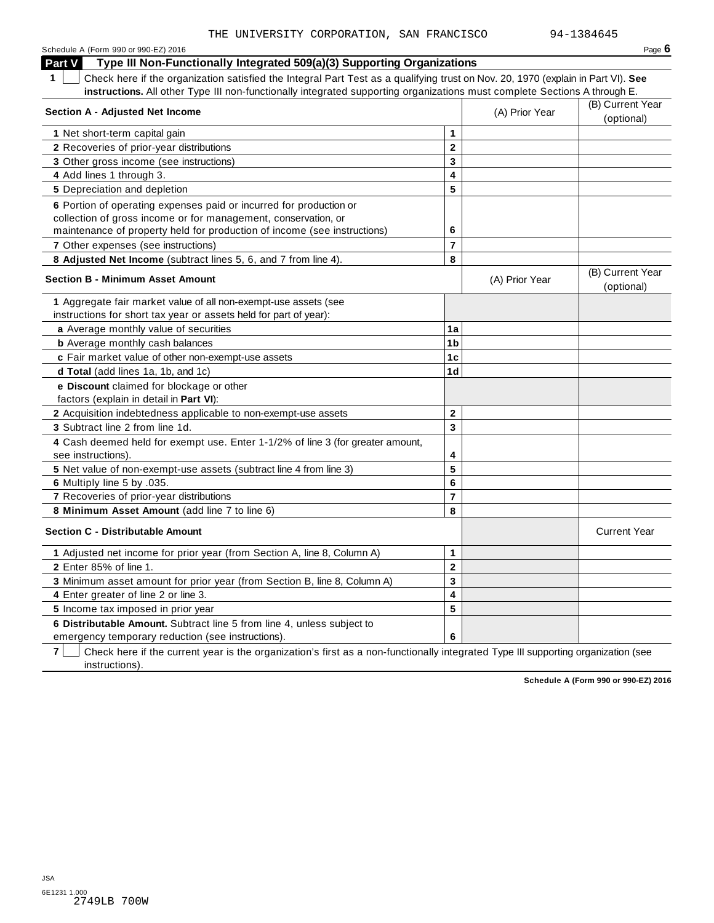| Schedule A (Form 990 or 990-EZ) 2016                                                                                                                                                                             |                |                | Page $6$                       |
|------------------------------------------------------------------------------------------------------------------------------------------------------------------------------------------------------------------|----------------|----------------|--------------------------------|
| Type III Non-Functionally Integrated 509(a)(3) Supporting Organizations<br><b>Part V</b>                                                                                                                         |                |                |                                |
| $\mathbf 1$<br>Check here if the organization satisfied the Integral Part Test as a qualifying trust on Nov. 20, 1970 (explain in Part VI). See                                                                  |                |                |                                |
| instructions. All other Type III non-functionally integrated supporting organizations must complete Sections A through E.                                                                                        |                |                |                                |
| <b>Section A - Adjusted Net Income</b>                                                                                                                                                                           |                | (A) Prior Year | (B) Current Year<br>(optional) |
| 1 Net short-term capital gain                                                                                                                                                                                    | 1              |                |                                |
| 2 Recoveries of prior-year distributions                                                                                                                                                                         | $\mathbf{2}$   |                |                                |
| 3 Other gross income (see instructions)                                                                                                                                                                          | 3              |                |                                |
| 4 Add lines 1 through 3.                                                                                                                                                                                         | 4              |                |                                |
| <b>5</b> Depreciation and depletion                                                                                                                                                                              | 5              |                |                                |
| 6 Portion of operating expenses paid or incurred for production or<br>collection of gross income or for management, conservation, or<br>maintenance of property held for production of income (see instructions) | 6              |                |                                |
| 7 Other expenses (see instructions)                                                                                                                                                                              | $\overline{7}$ |                |                                |
| 8 Adjusted Net Income (subtract lines 5, 6, and 7 from line 4).                                                                                                                                                  | 8              |                |                                |
| <b>Section B - Minimum Asset Amount</b>                                                                                                                                                                          |                | (A) Prior Year | (B) Current Year<br>(optional) |
| 1 Aggregate fair market value of all non-exempt-use assets (see                                                                                                                                                  |                |                |                                |
| instructions for short tax year or assets held for part of year):                                                                                                                                                |                |                |                                |
| a Average monthly value of securities                                                                                                                                                                            | 1a             |                |                                |
| <b>b</b> Average monthly cash balances                                                                                                                                                                           | 1 <sub>b</sub> |                |                                |
| c Fair market value of other non-exempt-use assets                                                                                                                                                               | 1 <sub>c</sub> |                |                                |
| d Total (add lines 1a, 1b, and 1c)                                                                                                                                                                               | 1 <sub>d</sub> |                |                                |
| e Discount claimed for blockage or other<br>factors (explain in detail in <b>Part VI)</b> :                                                                                                                      |                |                |                                |
| 2 Acquisition indebtedness applicable to non-exempt-use assets                                                                                                                                                   | $\mathbf{2}$   |                |                                |
| 3 Subtract line 2 from line 1d.                                                                                                                                                                                  | 3              |                |                                |
| 4 Cash deemed held for exempt use. Enter 1-1/2% of line 3 (for greater amount,<br>see instructions).                                                                                                             | 4              |                |                                |
| 5 Net value of non-exempt-use assets (subtract line 4 from line 3)                                                                                                                                               | 5              |                |                                |
| 6 Multiply line 5 by .035.                                                                                                                                                                                       | 6              |                |                                |
| 7 Recoveries of prior-year distributions                                                                                                                                                                         | $\overline{7}$ |                |                                |
| 8 Minimum Asset Amount (add line 7 to line 6)                                                                                                                                                                    | 8              |                |                                |
| <b>Section C - Distributable Amount</b>                                                                                                                                                                          |                |                | <b>Current Year</b>            |
| 1 Adjusted net income for prior year (from Section A, line 8, Column A)                                                                                                                                          | $\mathbf{1}$   |                |                                |
| 2 Enter 85% of line 1.                                                                                                                                                                                           | $\mathbf 2$    |                |                                |
| <b>3</b> Minimum asset amount for prior year (from Section B, line 8, Column A)                                                                                                                                  | 3              |                |                                |
| 4 Enter greater of line 2 or line 3.                                                                                                                                                                             | 4              |                |                                |
| 5 Income tax imposed in prior year                                                                                                                                                                               | 5              |                |                                |
| 6 Distributable Amount. Subtract line 5 from line 4, unless subject to<br>emergency temporary reduction (see instructions).                                                                                      | 6              |                |                                |

**7** Check here if the current year is the organization's first as a non-functionally integrated Type III supporting organization (see instructions).

**Schedule A (Form 990 or 990-EZ) 2016**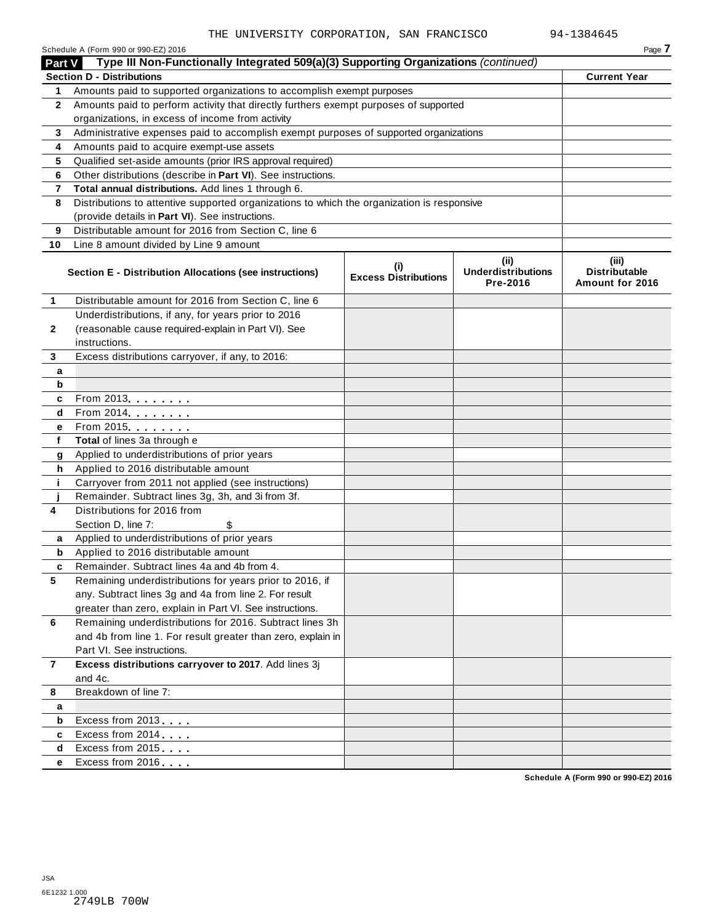|              | Schedule A (Form 990 or 990-EZ) 2016                                                       |                                    |                                               | Page 7                                           |
|--------------|--------------------------------------------------------------------------------------------|------------------------------------|-----------------------------------------------|--------------------------------------------------|
| Part V       | Type III Non-Functionally Integrated 509(a)(3) Supporting Organizations (continued)        |                                    |                                               |                                                  |
|              | <b>Section D - Distributions</b>                                                           |                                    |                                               | <b>Current Year</b>                              |
| 1            | Amounts paid to supported organizations to accomplish exempt purposes                      |                                    |                                               |                                                  |
| $\mathbf{2}$ | Amounts paid to perform activity that directly furthers exempt purposes of supported       |                                    |                                               |                                                  |
|              | organizations, in excess of income from activity                                           |                                    |                                               |                                                  |
| 3            | Administrative expenses paid to accomplish exempt purposes of supported organizations      |                                    |                                               |                                                  |
| 4            | Amounts paid to acquire exempt-use assets                                                  |                                    |                                               |                                                  |
| 5            | Qualified set-aside amounts (prior IRS approval required)                                  |                                    |                                               |                                                  |
| 6            | Other distributions (describe in Part VI). See instructions.                               |                                    |                                               |                                                  |
| 7            | Total annual distributions. Add lines 1 through 6.                                         |                                    |                                               |                                                  |
| 8            | Distributions to attentive supported organizations to which the organization is responsive |                                    |                                               |                                                  |
|              | (provide details in Part VI). See instructions.                                            |                                    |                                               |                                                  |
| 9            | Distributable amount for 2016 from Section C, line 6                                       |                                    |                                               |                                                  |
| 10           | Line 8 amount divided by Line 9 amount                                                     |                                    |                                               |                                                  |
|              | Section E - Distribution Allocations (see instructions)                                    | (i)<br><b>Excess Distributions</b> | (ii)<br><b>Underdistributions</b><br>Pre-2016 | (iii)<br><b>Distributable</b><br>Amount for 2016 |
| 1            | Distributable amount for 2016 from Section C, line 6                                       |                                    |                                               |                                                  |
|              | Underdistributions, if any, for years prior to 2016                                        |                                    |                                               |                                                  |
| 2            | (reasonable cause required-explain in Part VI). See                                        |                                    |                                               |                                                  |
|              | instructions.                                                                              |                                    |                                               |                                                  |
| 3            | Excess distributions carryover, if any, to 2016:                                           |                                    |                                               |                                                  |
| a            |                                                                                            |                                    |                                               |                                                  |
| b            |                                                                                            |                                    |                                               |                                                  |
| c            | From 2013.                                                                                 |                                    |                                               |                                                  |
| d            | From 2014 <b>Fig. 1.1.1.1.</b>                                                             |                                    |                                               |                                                  |
| е            | From 2015.                                                                                 |                                    |                                               |                                                  |
| f            | Total of lines 3a through e                                                                |                                    |                                               |                                                  |
| g            | Applied to underdistributions of prior years                                               |                                    |                                               |                                                  |
| h            | Applied to 2016 distributable amount                                                       |                                    |                                               |                                                  |
| j.           | Carryover from 2011 not applied (see instructions)                                         |                                    |                                               |                                                  |
|              | Remainder. Subtract lines 3g, 3h, and 3i from 3f.                                          |                                    |                                               |                                                  |
| 4            | Distributions for 2016 from                                                                |                                    |                                               |                                                  |
|              | Section D, line 7:<br>\$                                                                   |                                    |                                               |                                                  |
| a            | Applied to underdistributions of prior years                                               |                                    |                                               |                                                  |
| b            | Applied to 2016 distributable amount                                                       |                                    |                                               |                                                  |
| c            | Remainder. Subtract lines 4a and 4b from 4.                                                |                                    |                                               |                                                  |
| 5            | Remaining underdistributions for years prior to 2016, if                                   |                                    |                                               |                                                  |
|              | any. Subtract lines 3g and 4a from line 2. For result                                      |                                    |                                               |                                                  |
|              | greater than zero, explain in Part VI. See instructions.                                   |                                    |                                               |                                                  |
| 6            | Remaining underdistributions for 2016. Subtract lines 3h                                   |                                    |                                               |                                                  |
|              | and 4b from line 1. For result greater than zero, explain in                               |                                    |                                               |                                                  |
|              | Part VI. See instructions.                                                                 |                                    |                                               |                                                  |
| 7            | Excess distributions carryover to 2017. Add lines 3j                                       |                                    |                                               |                                                  |
|              | and 4c.                                                                                    |                                    |                                               |                                                  |
| 8            | Breakdown of line 7:                                                                       |                                    |                                               |                                                  |
| a            |                                                                                            |                                    |                                               |                                                  |
| b            | Excess from 2013                                                                           |                                    |                                               |                                                  |
| c            | Excess from 2014                                                                           |                                    |                                               |                                                  |
| d            | Excess from 2015                                                                           |                                    |                                               |                                                  |
| е            | Excess from 2016                                                                           |                                    |                                               |                                                  |
|              |                                                                                            |                                    |                                               |                                                  |

**Schedule A (Form 990 or 990-EZ) 2016**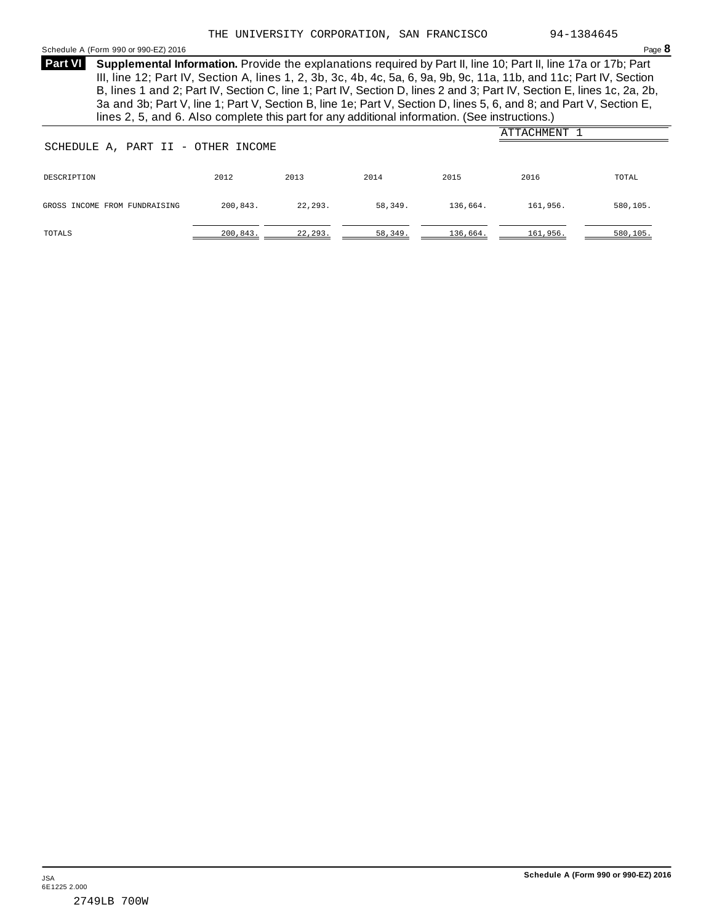#### <span id="page-20-0"></span>Schedule <sup>A</sup> (Form <sup>990</sup> or 990-EZ) <sup>2016</sup> Page **8**

**Supplemental Information.** Provide the explanations required by Part II, line 10; Part II, line 17a or 17b; Part **Part VI** III, line 12; Part IV, Section A, lines 1, 2, 3b, 3c, 4b, 4c, 5a, 6, 9a, 9b, 9c, 11a, 11b, and 11c; Part IV, Section B, lines 1 and 2; Part IV, Section C, line 1; Part IV, Section D, lines 2 and 3; Part IV, Section E, lines 1c, 2a, 2b, 3a and 3b; Part V, line 1; Part V, Section B, line 1e; Part V, Section D, lines 5, 6, and 8; and Part V, Section E, lines 2, 5, and 6. Also complete this part for any additional information. (See instructions.)

| ATTACHMENT 1<br>SCHEDULE A, PART II - OTHER INCOME |          |         |         |          |          |          |  |
|----------------------------------------------------|----------|---------|---------|----------|----------|----------|--|
| DESCRIPTION                                        | 2012     | 2013    | 2014    | 2015     | 2016     | TOTAL    |  |
| GROSS INCOME FROM FUNDRAISING                      | 200,843. | 22,293. | 58,349. | 136,664. | 161,956. | 580,105. |  |
| TOTALS                                             | 200,843. | 22,293. | 58,349. | 136,664. | 161,956. | 580,105. |  |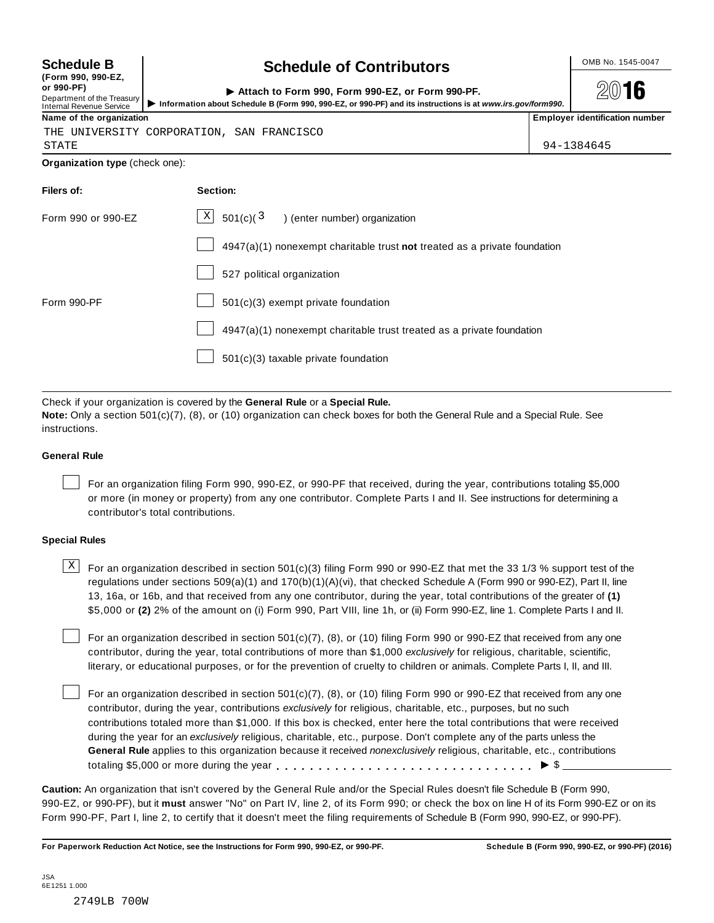| <b>Schedule B</b><br>(Form 990, 990-EZ,                                     | <b>Schedule of Contributors</b>                                                                                                                                |  |                                       |  |  |  |
|-----------------------------------------------------------------------------|----------------------------------------------------------------------------------------------------------------------------------------------------------------|--|---------------------------------------|--|--|--|
| or 990-PF)<br>Department of the Treasury<br><b>Internal Revenue Service</b> | Attach to Form 990, Form 990-EZ, or Form 990-PF.<br>Information about Schedule B (Form 990, 990-EZ, or 990-PF) and its instructions is at www.irs.gov/form990. |  |                                       |  |  |  |
| Name of the organization                                                    |                                                                                                                                                                |  | <b>Employer identification number</b> |  |  |  |
|                                                                             | THE UNIVERSITY CORPORATION, SAN FRANCISCO                                                                                                                      |  |                                       |  |  |  |
| STATE                                                                       |                                                                                                                                                                |  | 94-1384645                            |  |  |  |
| <b>Organization type (check one):</b>                                       |                                                                                                                                                                |  |                                       |  |  |  |
| Filers of:                                                                  | Section:                                                                                                                                                       |  |                                       |  |  |  |
| Form 990 or 990-EZ                                                          | $\mathbf{X}$<br>501(c)( $3$<br>) (enter number) organization                                                                                                   |  |                                       |  |  |  |
|                                                                             | $4947(a)(1)$ nonexempt charitable trust not treated as a private foundation                                                                                    |  |                                       |  |  |  |
|                                                                             | 527 political organization                                                                                                                                     |  |                                       |  |  |  |
| Form 990-PF                                                                 | 501(c)(3) exempt private foundation                                                                                                                            |  |                                       |  |  |  |
|                                                                             | $4947(a)(1)$ nonexempt charitable trust treated as a private foundation                                                                                        |  |                                       |  |  |  |
|                                                                             | $501(c)(3)$ taxable private foundation                                                                                                                         |  |                                       |  |  |  |

Check if your organization is covered by the **General Rule** or a **Special Rule.**

**Note:** Only a section 501(c)(7), (8), or (10) organization can check boxes for both the General Rule and a Special Rule. See instructions.

#### **General Rule**

For an organization filing Form 990, 990-EZ, or 990-PF that received, during the year, contributions totaling \$5,000 or more (in money or property) from any one contributor. Complete Parts I and II. See instructions for determining a contributor's total contributions.

#### **Special Rules**

 $\text{X}$  For an organization described in section 501(c)(3) filing Form 990 or 990-EZ that met the 33 1/3 % support test of the regulations under sections 509(a)(1) and 170(b)(1)(A)(vi), that checked Schedule A (Form 990 or 990-EZ), Part II, line 13, 16a, or 16b, and that received from any one contributor, during the year, total contributions of the greater of **(1)** \$5,000 or **(2)** 2% of the amount on (i) Form 990, Part VIII, line 1h, or (ii) Form 990-EZ, line 1. Complete Parts I and II.

For an organization described in section 501(c)(7), (8), or (10) filing Form 990 or 990-EZ that received from any one contributor, during the year, total contributions of more than \$1,000 *exclusively* for religious, charitable, scientific, literary, or educational purposes, or for the prevention of cruelty to children or animals. Complete Parts I, II, and III.

For an organization described in section 501(c)(7), (8), or (10) filing Form 990 or 990-EZ that received from any one contributor, during the year, contributions *exclusively* for religious, charitable, etc., purposes, but no such contributions totaled more than \$1,000. If this box is checked, enter here the total contributions that were received during the year for an *exclusively* religious, charitable, etc., purpose. Don't complete any of the parts unless the **General Rule** applies to this organization because it received *nonexclusively* religious, charitable, etc., contributions totaling \$5,000 or more during the year m m m m m m m m m m m m m m m m m m m m m m m m m m m m m m m I \$

**Caution:** An organization that isn't covered by the General Rule and/or the Special Rules doesn't file Schedule B (Form 990, 990-EZ, or 990-PF), but it **must** answer "No" on Part IV, line 2, of its Form 990; or check the box on line H of its Form 990-EZ or on its Form 990-PF, Part I, line 2, to certify that it doesn't meet the filing requirements of Schedule B (Form 990, 990-EZ, or 990-PF).

For Paperwork Reduction Act Notice, see the Instructions for Form 990, 990-EZ, or 990-PF. Schedule B (Form 990, 990-EZ, or 990-PF) (2016)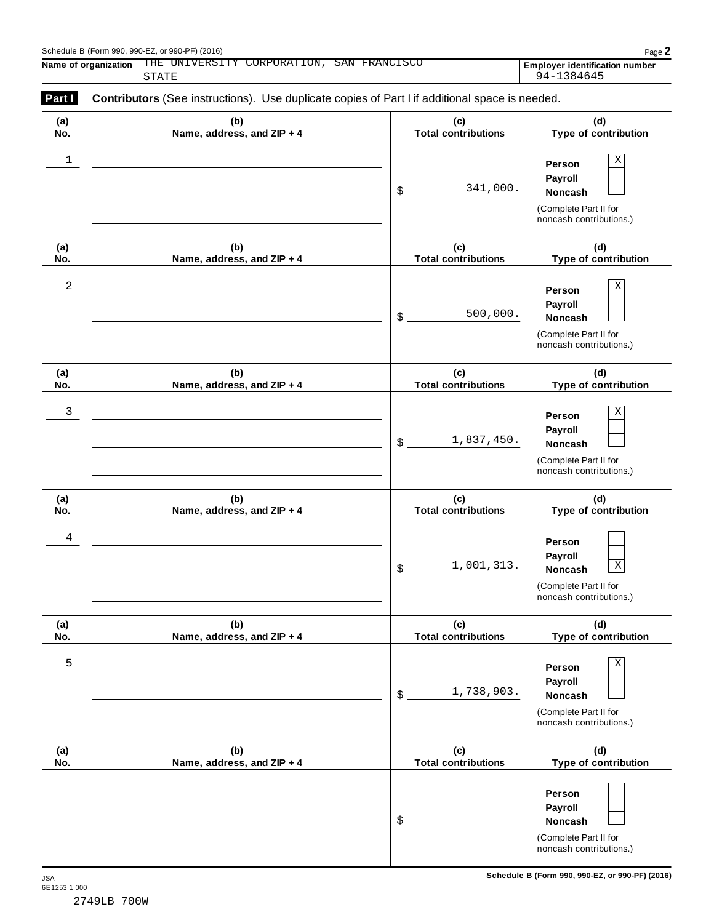**Name of organization Employer identification number** THE UNIVERSITY CORPORATION, SAN FRANCISCO THE UNIVERSITY CORPORATION, SAN FRANCISCO<br>STATE 94-1384645

| (a)<br>No. | (b)<br>Name, address, and ZIP + 4 | (c)<br><b>Total contributions</b> | (d)<br>Type of contribution                                                           |
|------------|-----------------------------------|-----------------------------------|---------------------------------------------------------------------------------------|
| 1          |                                   | 341,000.<br>\$                    | Χ<br>Person<br>Payroll<br>Noncash<br>(Complete Part II for<br>noncash contributions.) |
| (a)<br>No. | (b)<br>Name, address, and ZIP + 4 | (c)<br><b>Total contributions</b> | (d)<br>Type of contribution                                                           |
| 2          |                                   | 500,000.<br>\$                    | Χ<br>Person<br>Payroll<br>Noncash<br>(Complete Part II for<br>noncash contributions.) |
| (a)<br>No. | (b)<br>Name, address, and ZIP + 4 | (c)<br><b>Total contributions</b> | (d)<br>Type of contribution                                                           |
| 3          |                                   | 1,837,450.<br>\$                  | Χ<br>Person<br>Payroll<br>Noncash<br>(Complete Part II for<br>noncash contributions.) |
| (a)<br>No. | (b)<br>Name, address, and ZIP + 4 | (c)<br><b>Total contributions</b> | (d)<br>Type of contribution                                                           |
| 4          |                                   | 1,001,313.<br>\$                  | Person<br>Payroll<br>X<br>Noncash<br>(Complete Part II for<br>noncash contributions.) |
| (a)<br>No. | (b)<br>Name, address, and ZIP + 4 | (c)<br><b>Total contributions</b> | (d)<br>Type of contribution                                                           |
| 5          |                                   | 1,738,903.<br>\$                  | Χ<br>Person<br>Payroll<br>Noncash<br>(Complete Part II for<br>noncash contributions.) |
| (a)<br>No. | (b)<br>Name, address, and ZIP + 4 | (c)<br><b>Total contributions</b> | (d)<br>Type of contribution                                                           |
|            |                                   | \$                                | Person<br>Payroll<br>Noncash<br>(Complete Part II for<br>noncash contributions.)      |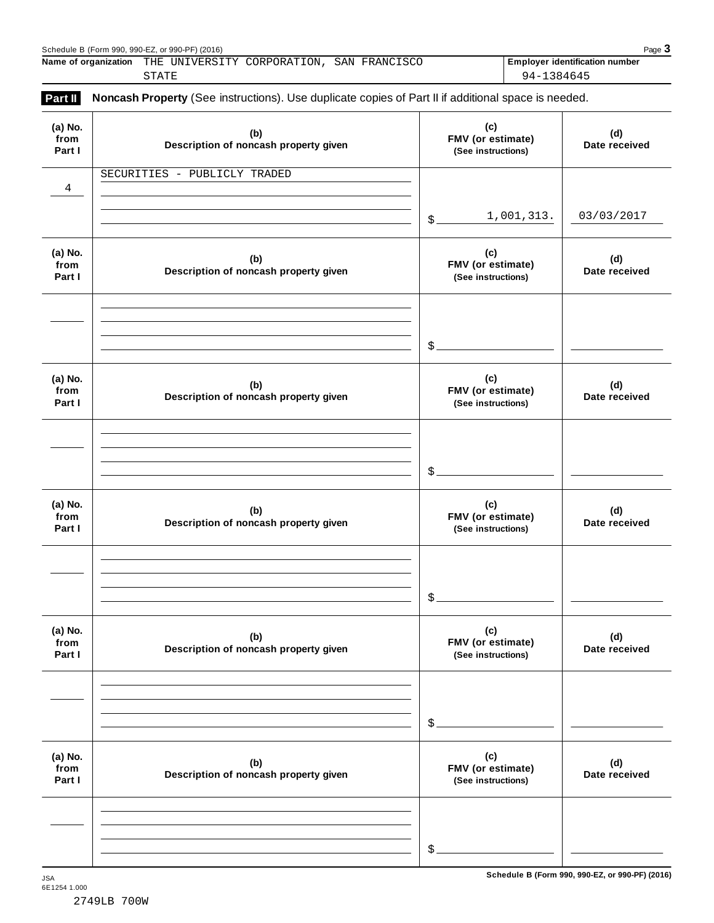| Page 3<br>Schedule B (Form 990, 990-EZ, or 990-PF) (2016) |                                                                                                     |                                       |  |  |
|-----------------------------------------------------------|-----------------------------------------------------------------------------------------------------|---------------------------------------|--|--|
| Name of organization                                      | THE UNIVERSITY CORPORATION, SAN FRANCISCO                                                           | <b>Employer identification number</b> |  |  |
|                                                           | STATE                                                                                               | 94-1384645                            |  |  |
| <b>Part II</b>                                            | Noncash Property (See instructions). Use duplicate copies of Part II if additional space is needed. |                                       |  |  |

| (a) No.<br>from<br>Part I | (b)<br>Description of noncash property given | (c)<br>FMV (or estimate)<br>(See instructions) | (d)<br>Date received |
|---------------------------|----------------------------------------------|------------------------------------------------|----------------------|
| $\overline{4}$            | SECURITIES - PUBLICLY TRADED                 |                                                |                      |
|                           |                                              | 1,001,313.<br>$\mathcal{L}$                    | 03/03/2017           |
| (a) No.<br>from<br>Part I | (b)<br>Description of noncash property given | (c)<br>FMV (or estimate)<br>(See instructions) | (d)<br>Date received |
|                           |                                              | $\mathcal{L}$                                  |                      |
| (a) No.<br>from<br>Part I | (b)<br>Description of noncash property given | (c)<br>FMV (or estimate)<br>(See instructions) | (d)<br>Date received |
|                           |                                              | $\mathcal{L}$                                  |                      |
| (a) No.<br>from<br>Part I | (b)<br>Description of noncash property given | (c)<br>FMV (or estimate)<br>(See instructions) | (d)<br>Date received |
|                           |                                              | \$.                                            |                      |
| (a) No.<br>from<br>Part I | (b)<br>Description of noncash property given | (c)<br>FMV (or estimate)<br>(See instructions) | (d)<br>Date received |
|                           |                                              | $$$ .                                          |                      |
| (a) No.<br>from<br>Part I | (b)<br>Description of noncash property given | (c)<br>FMV (or estimate)<br>(See instructions) | (d)<br>Date received |
|                           |                                              |                                                |                      |
|                           |                                              | $\mathcal{L}_{-}$                              |                      |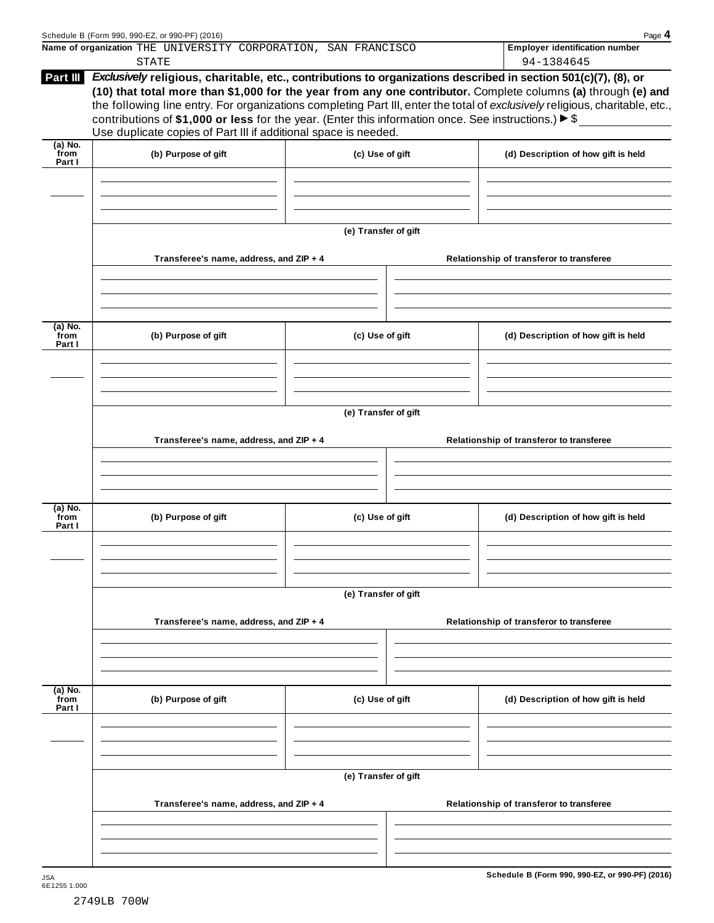|                           | Schedule B (Form 990, 990-EZ, or 990-PF) (2016)<br>Name of organization THE UNIVERSITY CORPORATION, SAN FRANCISCO                                                                                                                                                                                                                                                                                                                                                                                                                                               |                      | Page 4<br><b>Employer identification number</b> |
|---------------------------|-----------------------------------------------------------------------------------------------------------------------------------------------------------------------------------------------------------------------------------------------------------------------------------------------------------------------------------------------------------------------------------------------------------------------------------------------------------------------------------------------------------------------------------------------------------------|----------------------|-------------------------------------------------|
|                           | <b>STATE</b>                                                                                                                                                                                                                                                                                                                                                                                                                                                                                                                                                    |                      | 94-1384645                                      |
| Part III                  | Exclusively religious, charitable, etc., contributions to organizations described in section 501(c)(7), (8), or<br>(10) that total more than \$1,000 for the year from any one contributor. Complete columns (a) through (e) and<br>the following line entry. For organizations completing Part III, enter the total of exclusively religious, charitable, etc.,<br>contributions of \$1,000 or less for the year. (Enter this information once. See instructions.) $\blacktriangleright$ \$<br>Use duplicate copies of Part III if additional space is needed. |                      |                                                 |
| $(a)$ No.<br>from         |                                                                                                                                                                                                                                                                                                                                                                                                                                                                                                                                                                 |                      |                                                 |
| Part I                    | (b) Purpose of gift                                                                                                                                                                                                                                                                                                                                                                                                                                                                                                                                             | (c) Use of gift      | (d) Description of how gift is held             |
|                           |                                                                                                                                                                                                                                                                                                                                                                                                                                                                                                                                                                 | (e) Transfer of gift |                                                 |
|                           | Transferee's name, address, and ZIP + 4                                                                                                                                                                                                                                                                                                                                                                                                                                                                                                                         |                      | Relationship of transferor to transferee        |
| (a) No.<br>from<br>Part I | (b) Purpose of gift                                                                                                                                                                                                                                                                                                                                                                                                                                                                                                                                             | (c) Use of gift      | (d) Description of how gift is held             |
|                           | Transferee's name, address, and ZIP + 4                                                                                                                                                                                                                                                                                                                                                                                                                                                                                                                         | (e) Transfer of gift | Relationship of transferor to transferee        |
| (a) No.<br>from<br>Part I | (b) Purpose of gift                                                                                                                                                                                                                                                                                                                                                                                                                                                                                                                                             | (c) Use of gift      | (d) Description of how gift is held             |
|                           |                                                                                                                                                                                                                                                                                                                                                                                                                                                                                                                                                                 | (e) Transfer of gift |                                                 |
|                           | Transferee's name, address, and ZIP + 4                                                                                                                                                                                                                                                                                                                                                                                                                                                                                                                         |                      | Relationship of transferor to transferee        |
| (a) No.<br>from<br>Part I | (b) Purpose of gift                                                                                                                                                                                                                                                                                                                                                                                                                                                                                                                                             | (c) Use of gift      | (d) Description of how gift is held             |
|                           |                                                                                                                                                                                                                                                                                                                                                                                                                                                                                                                                                                 |                      |                                                 |
|                           |                                                                                                                                                                                                                                                                                                                                                                                                                                                                                                                                                                 | (e) Transfer of gift |                                                 |
|                           | Transferee's name, address, and ZIP + 4                                                                                                                                                                                                                                                                                                                                                                                                                                                                                                                         |                      | Relationship of transferor to transferee        |
|                           |                                                                                                                                                                                                                                                                                                                                                                                                                                                                                                                                                                 |                      |                                                 |
|                           |                                                                                                                                                                                                                                                                                                                                                                                                                                                                                                                                                                 |                      |                                                 |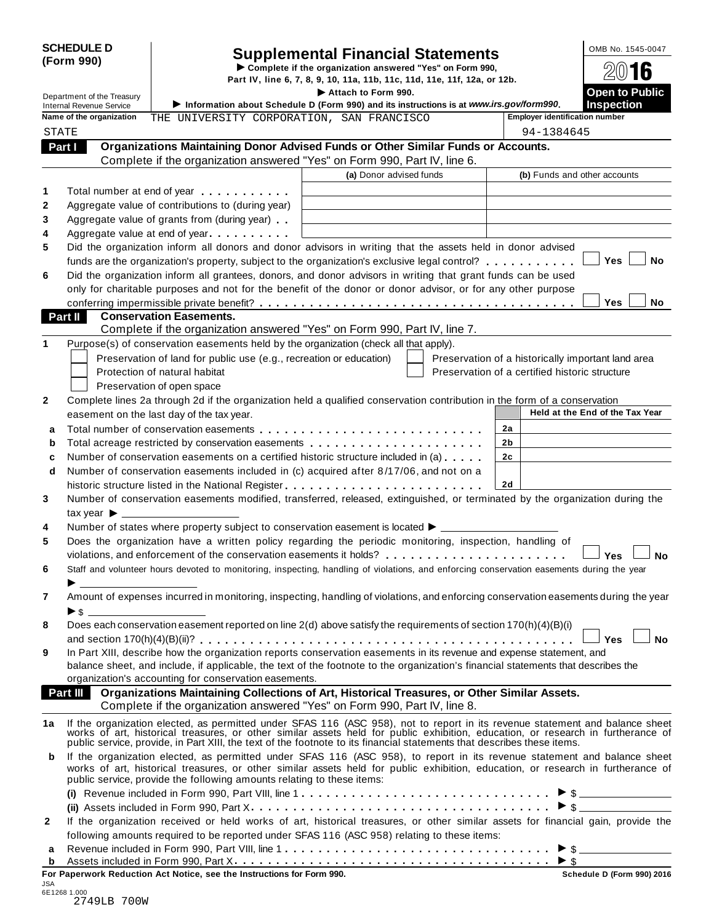| <b>SCHEDULE D</b> |  |
|-------------------|--|
| (Form 990)        |  |

# SCHEDULE D<br>
Supplemental Financial Statements<br>
Form 990) Part IV, line 6, 7, 8, 9, 10, 11a, 11b, 11c, 11d, 11e, 11f, 12a, or 12b.

|                                 | Department of the Treasury     |                                                                                                                                                                                                                                | Part IV, line 6, 7, 8, 9, 10, 11a, 11b, 11c, 11d, 11e, 11f, 12a, or 12b.<br>Attach to Form 990. |                                                | <b>Open to Public</b>                              |           |
|---------------------------------|--------------------------------|--------------------------------------------------------------------------------------------------------------------------------------------------------------------------------------------------------------------------------|-------------------------------------------------------------------------------------------------|------------------------------------------------|----------------------------------------------------|-----------|
| <b>Internal Revenue Service</b> |                                | Information about Schedule D (Form 990) and its instructions is at www.irs.gov/form990.                                                                                                                                        |                                                                                                 |                                                | <b>Inspection</b>                                  |           |
|                                 | Name of the organization       | THE UNIVERSITY CORPORATION, SAN FRANCISCO                                                                                                                                                                                      |                                                                                                 | <b>Employer identification number</b>          |                                                    |           |
| <b>STATE</b>                    |                                |                                                                                                                                                                                                                                |                                                                                                 | 94-1384645                                     |                                                    |           |
| Part I                          |                                | Organizations Maintaining Donor Advised Funds or Other Similar Funds or Accounts.                                                                                                                                              |                                                                                                 |                                                |                                                    |           |
|                                 |                                | Complete if the organization answered "Yes" on Form 990, Part IV, line 6.                                                                                                                                                      |                                                                                                 |                                                |                                                    |           |
|                                 |                                |                                                                                                                                                                                                                                | (a) Donor advised funds                                                                         |                                                | (b) Funds and other accounts                       |           |
|                                 |                                | Total number at end of year example.                                                                                                                                                                                           |                                                                                                 |                                                |                                                    |           |
|                                 |                                | Aggregate value of contributions to (during year)                                                                                                                                                                              |                                                                                                 |                                                |                                                    |           |
|                                 |                                | Aggregate value of grants from (during year)                                                                                                                                                                                   |                                                                                                 |                                                |                                                    |           |
|                                 |                                | Aggregate value at end of year                                                                                                                                                                                                 |                                                                                                 |                                                |                                                    |           |
|                                 |                                | Did the organization inform all donors and donor advisors in writing that the assets held in donor advised                                                                                                                     |                                                                                                 |                                                |                                                    |           |
|                                 |                                | funds are the organization's property, subject to the organization's exclusive legal control?                                                                                                                                  |                                                                                                 |                                                | Yes                                                | No        |
|                                 |                                | Did the organization inform all grantees, donors, and donor advisors in writing that grant funds can be used                                                                                                                   |                                                                                                 |                                                |                                                    |           |
|                                 |                                | only for charitable purposes and not for the benefit of the donor or donor advisor, or for any other purpose                                                                                                                   |                                                                                                 |                                                |                                                    |           |
|                                 |                                |                                                                                                                                                                                                                                |                                                                                                 |                                                | <b>Yes</b>                                         | No        |
| Part II                         |                                | <b>Conservation Easements.</b>                                                                                                                                                                                                 |                                                                                                 |                                                |                                                    |           |
|                                 |                                | Complete if the organization answered "Yes" on Form 990, Part IV, line 7.<br>Purpose(s) of conservation easements held by the organization (check all that apply).                                                             |                                                                                                 |                                                |                                                    |           |
|                                 |                                |                                                                                                                                                                                                                                |                                                                                                 |                                                |                                                    |           |
|                                 |                                | Preservation of land for public use (e.g., recreation or education)<br>Protection of natural habitat                                                                                                                           |                                                                                                 | Preservation of a certified historic structure | Preservation of a historically important land area |           |
|                                 |                                | Preservation of open space                                                                                                                                                                                                     |                                                                                                 |                                                |                                                    |           |
|                                 |                                | Complete lines 2a through 2d if the organization held a qualified conservation contribution in the form of a conservation                                                                                                      |                                                                                                 |                                                |                                                    |           |
|                                 |                                | easement on the last day of the tax year.                                                                                                                                                                                      |                                                                                                 |                                                | Held at the End of the Tax Year                    |           |
| a                               |                                |                                                                                                                                                                                                                                |                                                                                                 | 2a                                             |                                                    |           |
| b                               |                                | Total acreage restricted by conservation easements                                                                                                                                                                             |                                                                                                 | 2b                                             |                                                    |           |
|                                 |                                | Number of conservation easements on a certified historic structure included in (a)                                                                                                                                             |                                                                                                 | 2 <sub>c</sub>                                 |                                                    |           |
| c<br>d                          |                                | Number of conservation easements included in (c) acquired after 8/17/06, and not on a                                                                                                                                          |                                                                                                 |                                                |                                                    |           |
|                                 |                                |                                                                                                                                                                                                                                |                                                                                                 | 2d                                             |                                                    |           |
|                                 |                                | Number of conservation easements modified, transferred, released, extinguished, or terminated by the organization during the                                                                                                   |                                                                                                 |                                                |                                                    |           |
|                                 | tax year $\blacktriangleright$ |                                                                                                                                                                                                                                |                                                                                                 |                                                |                                                    |           |
|                                 |                                | Number of states where property subject to conservation easement is located > __________                                                                                                                                       |                                                                                                 |                                                |                                                    |           |
|                                 |                                | Does the organization have a written policy regarding the periodic monitoring, inspection, handling of                                                                                                                         |                                                                                                 |                                                |                                                    |           |
|                                 |                                | violations, and enforcement of the conservation easements it holds?                                                                                                                                                            |                                                                                                 |                                                | Yes                                                | <b>No</b> |
|                                 |                                | Staff and volunteer hours devoted to monitoring, inspecting, handling of violations, and enforcing conservation easements during the year                                                                                      |                                                                                                 |                                                |                                                    |           |
|                                 |                                |                                                                                                                                                                                                                                |                                                                                                 |                                                |                                                    |           |
|                                 |                                | Amount of expenses incurred in monitoring, inspecting, handling of violations, and enforcing conservation easements during the year                                                                                            |                                                                                                 |                                                |                                                    |           |
|                                 |                                |                                                                                                                                                                                                                                |                                                                                                 |                                                |                                                    |           |
|                                 |                                | Does each conservation easement reported on line 2(d) above satisfy the requirements of section 170(h)(4)(B)(i)                                                                                                                |                                                                                                 |                                                |                                                    |           |
|                                 |                                |                                                                                                                                                                                                                                |                                                                                                 |                                                | <b>Yes</b>                                         | <b>No</b> |
|                                 |                                | In Part XIII, describe how the organization reports conservation easements in its revenue and expense statement, and                                                                                                           |                                                                                                 |                                                |                                                    |           |
|                                 |                                | balance sheet, and include, if applicable, the text of the footnote to the organization's financial statements that describes the                                                                                              |                                                                                                 |                                                |                                                    |           |
|                                 |                                | organization's accounting for conservation easements.                                                                                                                                                                          |                                                                                                 |                                                |                                                    |           |
|                                 |                                | Part III Organizations Maintaining Collections of Art, Historical Treasures, or Other Similar Assets.                                                                                                                          |                                                                                                 |                                                |                                                    |           |
|                                 |                                | Complete if the organization answered "Yes" on Form 990, Part IV, line 8.                                                                                                                                                      |                                                                                                 |                                                |                                                    |           |
| 1a                              |                                | If the organization elected, as permitted under SFAS 116 (ASC 958), not to report in its revenue statement and balance sheet works of art, historical treasures, or other similar assets held for public exhibition, education |                                                                                                 |                                                |                                                    |           |
|                                 |                                | public service, provide, in Part XIII, the text of the footnote to its financial statements that describes these items.                                                                                                        |                                                                                                 |                                                |                                                    |           |
| b                               |                                | If the organization elected, as permitted under SFAS 116 (ASC 958), to report in its revenue statement and balance sheet                                                                                                       |                                                                                                 |                                                |                                                    |           |
|                                 |                                | works of art, historical treasures, or other similar assets held for public exhibition, education, or research in furtherance of                                                                                               |                                                                                                 |                                                |                                                    |           |
|                                 |                                | public service, provide the following amounts relating to these items:                                                                                                                                                         |                                                                                                 |                                                |                                                    |           |
|                                 |                                |                                                                                                                                                                                                                                |                                                                                                 |                                                |                                                    |           |
|                                 |                                |                                                                                                                                                                                                                                |                                                                                                 |                                                |                                                    |           |
| $\mathbf{2}$                    |                                | If the organization received or held works of art, historical treasures, or other similar assets for financial gain, provide the                                                                                               |                                                                                                 |                                                |                                                    |           |
|                                 |                                | following amounts required to be reported under SFAS 116 (ASC 958) relating to these items:                                                                                                                                    |                                                                                                 |                                                |                                                    |           |
| а                               |                                |                                                                                                                                                                                                                                |                                                                                                 |                                                |                                                    |           |
| b                               |                                | For Paperwork Reduction Act Notice, see the Instructions for Form 990.                                                                                                                                                         |                                                                                                 |                                                | Schedule D (Form 990) 2016                         |           |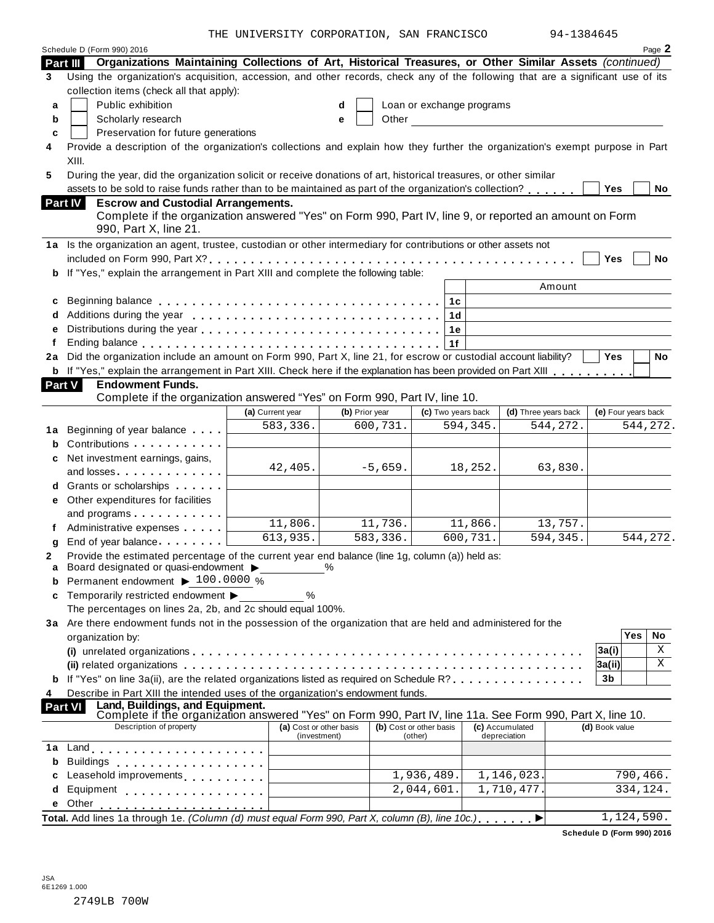THE UNIVERSITY CORPORATION, SAN FRANCISCO 94-138464

|          | Schedule D (Form 990) 2016                                                                                                                                        |                         |                |           |                           |          |                                                   |                            |                     | Page 2   |
|----------|-------------------------------------------------------------------------------------------------------------------------------------------------------------------|-------------------------|----------------|-----------|---------------------------|----------|---------------------------------------------------|----------------------------|---------------------|----------|
| Part III | Organizations Maintaining Collections of Art, Historical Treasures, or Other Similar Assets (continued)                                                           |                         |                |           |                           |          |                                                   |                            |                     |          |
| 3        | Using the organization's acquisition, accession, and other records, check any of the following that are a significant use of its                                  |                         |                |           |                           |          |                                                   |                            |                     |          |
|          | collection items (check all that apply):                                                                                                                          |                         |                |           |                           |          |                                                   |                            |                     |          |
| a        | Public exhibition                                                                                                                                                 |                         | d              |           | Loan or exchange programs |          |                                                   |                            |                     |          |
| b        | Scholarly research                                                                                                                                                |                         | e              | Other     |                           |          | <u> 1980 - John Stein, amerikansk politiker (</u> |                            |                     |          |
| c        | Preservation for future generations                                                                                                                               |                         |                |           |                           |          |                                                   |                            |                     |          |
| 4        | Provide a description of the organization's collections and explain how they further the organization's exempt purpose in Part                                    |                         |                |           |                           |          |                                                   |                            |                     |          |
|          | XIII.                                                                                                                                                             |                         |                |           |                           |          |                                                   |                            |                     |          |
| 5        | During the year, did the organization solicit or receive donations of art, historical treasures, or other similar                                                 |                         |                |           |                           |          |                                                   |                            |                     |          |
|          | assets to be sold to raise funds rather than to be maintained as part of the organization's collection?                                                           |                         |                |           |                           |          |                                                   | Yes                        |                     | No       |
|          | Part IV<br><b>Escrow and Custodial Arrangements.</b>                                                                                                              |                         |                |           |                           |          |                                                   |                            |                     |          |
|          | Complete if the organization answered "Yes" on Form 990, Part IV, line 9, or reported an amount on Form<br>990, Part X, line 21.                                  |                         |                |           |                           |          |                                                   |                            |                     |          |
|          | 1a Is the organization an agent, trustee, custodian or other intermediary for contributions or other assets not                                                   |                         |                |           |                           |          |                                                   |                            |                     |          |
|          |                                                                                                                                                                   |                         |                |           |                           |          |                                                   | Yes                        |                     | No       |
|          | If "Yes," explain the arrangement in Part XIII and complete the following table:                                                                                  |                         |                |           |                           |          |                                                   |                            |                     |          |
|          |                                                                                                                                                                   |                         |                |           |                           |          | Amount                                            |                            |                     |          |
| c        |                                                                                                                                                                   |                         |                |           | 1c                        |          |                                                   |                            |                     |          |
| d        |                                                                                                                                                                   |                         |                |           | 1d                        |          |                                                   |                            |                     |          |
| e        |                                                                                                                                                                   |                         |                |           | 1e                        |          |                                                   |                            |                     |          |
| f        | Ending balance enterprised and the series of the series are series and the series of the series of the series o                                                   |                         |                |           | 1f                        |          |                                                   |                            |                     |          |
| 2a l     | Did the organization include an amount on Form 990, Part X, line 21, for escrow or custodial account liability?                                                   |                         |                |           |                           |          |                                                   | <b>Yes</b>                 |                     | No       |
|          | <b>b</b> If "Yes," explain the arrangement in Part XIII. Check here if the explanation has been provided on Part XIII<br><b>Endowment Funds.</b><br><b>Part V</b> |                         |                |           |                           |          |                                                   |                            |                     |          |
|          | Complete if the organization answered "Yes" on Form 990, Part IV, line 10.                                                                                        |                         |                |           |                           |          |                                                   |                            |                     |          |
|          |                                                                                                                                                                   | (a) Current year        | (b) Prior year |           | (c) Two years back        |          | (d) Three years back                              |                            | (e) Four years back |          |
|          |                                                                                                                                                                   | 583,336.                |                | 600,731.  |                           | 594,345. | 544, 272.                                         |                            |                     | 544,272. |
| 1a       | Beginning of year balance                                                                                                                                         |                         |                |           |                           |          |                                                   |                            |                     |          |
| b        | Contributions                                                                                                                                                     |                         |                |           |                           |          |                                                   |                            |                     |          |
| с        | Net investment earnings, gains,<br>and losses experience and losses                                                                                               | 42,405.                 |                | $-5,659.$ |                           | 18,252.  | 63,830.                                           |                            |                     |          |
|          | Grants or scholarships <b>State of State State</b>                                                                                                                |                         |                |           |                           |          |                                                   |                            |                     |          |
| е        | Other expenditures for facilities                                                                                                                                 |                         |                |           |                           |          |                                                   |                            |                     |          |
|          | and programs                                                                                                                                                      |                         |                |           |                           |          |                                                   |                            |                     |          |
|          | Administrative expenses                                                                                                                                           | 11,806.                 |                | 11,736.   |                           | 11,866.  | 13,757.                                           |                            |                     |          |
|          | End of year balance                                                                                                                                               | 613,935.                |                | 583,336.  |                           | 600,731. | 594, 345.                                         |                            |                     | 544,272. |
| 2        | Provide the estimated percentage of the current year end balance (line 1g, column (a)) held as:                                                                   |                         |                |           |                           |          |                                                   |                            |                     |          |
| a        | Board designated or quasi-endowment >                                                                                                                             |                         | $\frac{0}{0}$  |           |                           |          |                                                   |                            |                     |          |
| b        | Permanent endowment ▶ 100.0000 %                                                                                                                                  |                         |                |           |                           |          |                                                   |                            |                     |          |
| c        | Temporarily restricted endowment ▶                                                                                                                                | $\sim$ %                |                |           |                           |          |                                                   |                            |                     |          |
|          | The percentages on lines 2a, 2b, and 2c should equal 100%.                                                                                                        |                         |                |           |                           |          |                                                   |                            |                     |          |
|          | 3a Are there endowment funds not in the possession of the organization that are held and administered for the                                                     |                         |                |           |                           |          |                                                   |                            |                     |          |
|          | organization by:                                                                                                                                                  |                         |                |           |                           |          |                                                   |                            | Yes                 | No       |
|          |                                                                                                                                                                   |                         |                |           |                           |          |                                                   | 3a(i)                      |                     | Χ        |
|          |                                                                                                                                                                   |                         |                |           |                           |          |                                                   | 3a(ii)                     |                     | X        |
|          | If "Yes" on line 3a(ii), are the related organizations listed as required on Schedule R?                                                                          |                         |                |           |                           |          |                                                   | 3b                         |                     |          |
| 4        | Describe in Part XIII the intended uses of the organization's endowment funds.                                                                                    |                         |                |           |                           |          |                                                   |                            |                     |          |
|          | Land, Buildings, and Equipment.<br>Complete if the organization answered "Yes" on Form 990, Part IV, line 11a. See Form 990, Part X, line 10.<br>Part VI          |                         |                |           |                           |          |                                                   |                            |                     |          |
|          | Description of property                                                                                                                                           | (a) Cost or other basis |                |           | (b) Cost or other basis   |          | (c) Accumulated                                   | (d) Book value             |                     |          |
| 1a       |                                                                                                                                                                   | (investment)            |                |           | (other)                   |          | depreciation                                      |                            |                     |          |
| b        | <b>Buildings</b><br>.                                                                                                                                             |                         |                |           |                           |          |                                                   |                            |                     |          |
| c        | Leasehold improvements entitled and the set of                                                                                                                    |                         |                |           | 1,936,489.                |          | 1,146,023.                                        |                            | 790,466.            |          |
| d        | Equipment                                                                                                                                                         |                         |                |           | 2,044,601.                |          | 1,710,477.                                        |                            | 334,124.            |          |
| е        |                                                                                                                                                                   |                         |                |           |                           |          |                                                   |                            |                     |          |
|          | Total. Add lines 1a through 1e. (Column (d) must equal Form 990, Part X, column (B), line 10c.).                                                                  |                         |                |           |                           |          |                                                   |                            | 1,124,590.          |          |
|          |                                                                                                                                                                   |                         |                |           |                           |          |                                                   | Pohodulo D (Form 000) 2016 |                     |          |

**Schedule D (Form 990) 2016**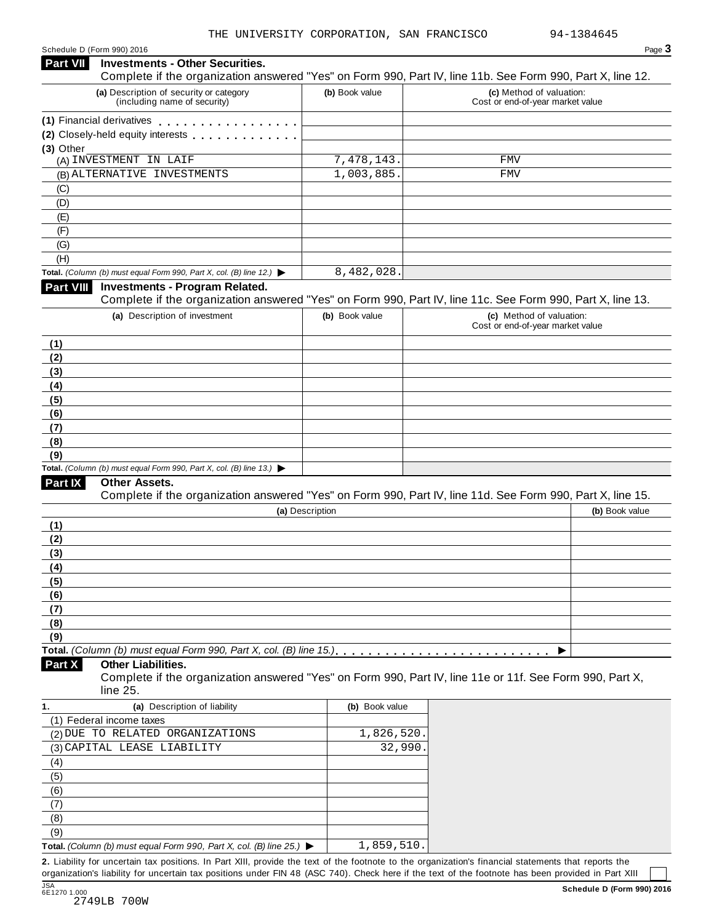| Schedule D (Form 990) 2016                                                               |                 | Page 3                                                                                                     |
|------------------------------------------------------------------------------------------|-----------------|------------------------------------------------------------------------------------------------------------|
| Part VII<br><b>Investments - Other Securities.</b>                                       |                 | Complete if the organization answered "Yes" on Form 990, Part IV, line 11b. See Form 990, Part X, line 12. |
| (a) Description of security or category<br>(including name of security)                  | (b) Book value  | (c) Method of valuation:<br>Cost or end-of-year market value                                               |
| (1) Financial derivatives                                                                |                 |                                                                                                            |
| (2) Closely-held equity interests                                                        |                 |                                                                                                            |
| $(3)$ Other                                                                              |                 |                                                                                                            |
| (A) INVESTMENT IN LAIF                                                                   | 7,478,143.      | FMV                                                                                                        |
| (B) ALTERNATIVE INVESTMENTS                                                              | 1,003,885       | <b>FMV</b>                                                                                                 |
| (C)                                                                                      |                 |                                                                                                            |
| (D)                                                                                      |                 |                                                                                                            |
| (E)                                                                                      |                 |                                                                                                            |
| (F)                                                                                      |                 |                                                                                                            |
| (G)<br>(H)                                                                               |                 |                                                                                                            |
| Total. (Column (b) must equal Form 990, Part X, col. (B) line 12.) $\blacktriangleright$ | 8,482,028.      |                                                                                                            |
| <b>Part VIII</b><br><b>Investments - Program Related.</b>                                |                 |                                                                                                            |
|                                                                                          |                 | Complete if the organization answered "Yes" on Form 990, Part IV, line 11c. See Form 990, Part X, line 13. |
| (a) Description of investment                                                            | (b) Book value  | (c) Method of valuation:                                                                                   |
|                                                                                          |                 | Cost or end-of-year market value                                                                           |
| (1)                                                                                      |                 |                                                                                                            |
| (2)                                                                                      |                 |                                                                                                            |
| (3)                                                                                      |                 |                                                                                                            |
| (4)                                                                                      |                 |                                                                                                            |
| (5)                                                                                      |                 |                                                                                                            |
| (6)                                                                                      |                 |                                                                                                            |
| (7)                                                                                      |                 |                                                                                                            |
| (8)                                                                                      |                 |                                                                                                            |
| (9)                                                                                      |                 |                                                                                                            |
| Total. (Column (b) must equal Form 990, Part X, col. (B) line 13.) $\blacktriangleright$ |                 |                                                                                                            |
| <b>Part IX</b><br>Other Assets.                                                          |                 |                                                                                                            |
|                                                                                          |                 | Complete if the organization answered "Yes" on Form 990, Part IV, line 11d. See Form 990, Part X, line 15. |
|                                                                                          | (a) Description | (b) Book value                                                                                             |
| (1)                                                                                      |                 |                                                                                                            |
| (2)                                                                                      |                 |                                                                                                            |
| (3)                                                                                      |                 |                                                                                                            |
| (4)                                                                                      |                 |                                                                                                            |
| <u>(5)</u>                                                                               |                 |                                                                                                            |
| (6)                                                                                      |                 |                                                                                                            |
| <u>(7)</u><br>(8)                                                                        |                 |                                                                                                            |
| (9)                                                                                      |                 |                                                                                                            |
| Total. (Column (b) must equal Form 990, Part X, col. (B) line 15.)                       |                 | ▶                                                                                                          |
| <b>Other Liabilities.</b><br>Part X                                                      |                 |                                                                                                            |
| line 25.                                                                                 |                 | Complete if the organization answered "Yes" on Form 990, Part IV, line 11e or 11f. See Form 990, Part X,   |
| (a) Description of liability<br>1.                                                       | (b) Book value  |                                                                                                            |
| (1) Federal income taxes                                                                 |                 |                                                                                                            |
| (2) DUE TO RELATED ORGANIZATIONS                                                         | 1,826,520.      |                                                                                                            |
| (3) CAPITAL LEASE LIABILITY                                                              | 32,990          |                                                                                                            |
| (4)                                                                                      |                 |                                                                                                            |
| (5)                                                                                      |                 |                                                                                                            |
| (6)                                                                                      |                 |                                                                                                            |
| (7)                                                                                      |                 |                                                                                                            |
| (8)                                                                                      |                 |                                                                                                            |
| (9)                                                                                      |                 |                                                                                                            |
| Total. (Column (b) must equal Form 990, Part X, col. (B) line 25.) $\blacktriangleright$ | 1,859,510.      |                                                                                                            |

**2.** Liability for uncertain tax positions. In Part XIII, provide the text of the footnote to the organization's financial statements that reports the organization's liability for uncertain tax positions under FIN 48 (ASC 740). Check here ifthe text of the footnote has been provided in Part XIII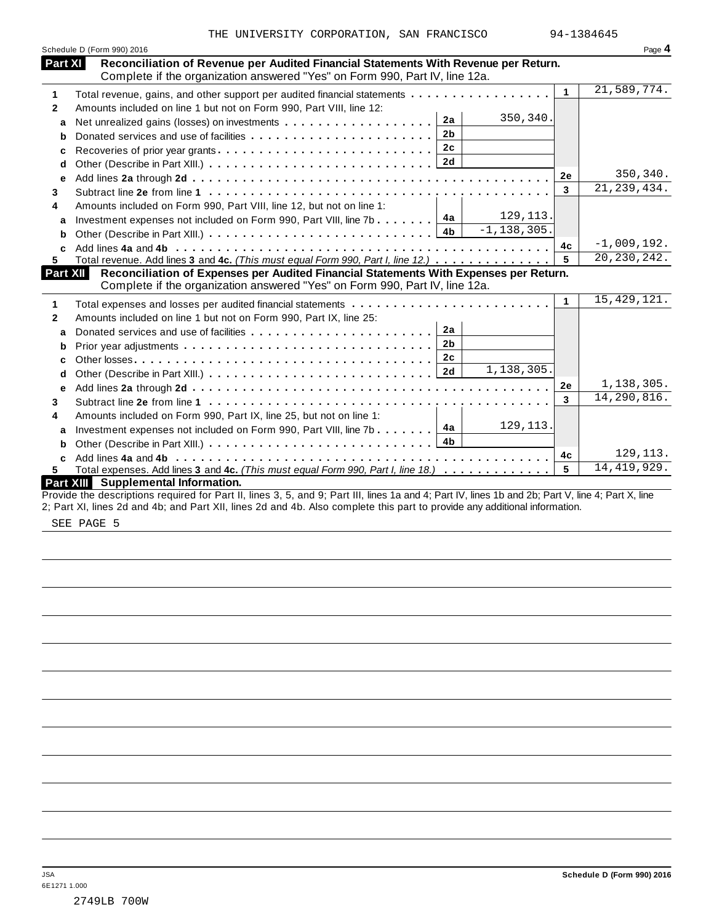|                  | Schedule D (Form 990) 2016                                                                                                                                         |                         | Page 4        |
|------------------|--------------------------------------------------------------------------------------------------------------------------------------------------------------------|-------------------------|---------------|
| Part XI          | Reconciliation of Revenue per Audited Financial Statements With Revenue per Return.<br>Complete if the organization answered "Yes" on Form 990, Part IV, line 12a. |                         |               |
| 1                | Total revenue, gains, and other support per audited financial statements                                                                                           | $\mathbf{1}$            | 21,589,774.   |
| $\mathbf{2}$     | Amounts included on line 1 but not on Form 990, Part VIII, line 12:                                                                                                |                         |               |
| a                | 350,340.<br>2a                                                                                                                                                     |                         |               |
| b                | 2 <sub>b</sub>                                                                                                                                                     |                         |               |
| c                | 2c<br>Recoveries of prior year grants                                                                                                                              |                         |               |
| d                |                                                                                                                                                                    |                         |               |
| е                |                                                                                                                                                                    | 2e                      | 350,340.      |
| 3                |                                                                                                                                                                    | $\overline{\mathbf{3}}$ | 21, 239, 434. |
| 4                | Amounts included on Form 990, Part VIII, line 12, but not on line 1:                                                                                               |                         |               |
| a                | 129,113.<br>Investment expenses not included on Form 990, Part VIII, line 7b $\boxed{4a}$                                                                          |                         |               |
| b                | $-1, 138, 305.$<br>4 <sub>b</sub>                                                                                                                                  |                         |               |
| C.               |                                                                                                                                                                    | 4c                      | $-1,009,192.$ |
| 5.               | Total revenue. Add lines 3 and 4c. (This must equal Form 990, Part I, line 12.)                                                                                    |                         | 20, 230, 242. |
| <b>Part XII</b>  | Reconciliation of Expenses per Audited Financial Statements With Expenses per Return.                                                                              |                         |               |
|                  | Complete if the organization answered "Yes" on Form 990, Part IV, line 12a.                                                                                        |                         |               |
| 1                |                                                                                                                                                                    | $\mathbf 1$             | 15, 429, 121. |
| $\mathbf{2}$     | Amounts included on line 1 but not on Form 990, Part IX, line 25:                                                                                                  |                         |               |
| a                | 2a                                                                                                                                                                 |                         |               |
| b                | 2 <sub>b</sub>                                                                                                                                                     |                         |               |
| c                | 2c                                                                                                                                                                 |                         |               |
| d                | 1,138,305.<br>2d                                                                                                                                                   |                         |               |
| е                |                                                                                                                                                                    | 2e                      | 1,138,305.    |
| 3                |                                                                                                                                                                    | 3                       | 14,290,816.   |
| 4                | Amounts included on Form 990, Part IX, line 25, but not on line 1:                                                                                                 |                         |               |
| a                | 129, 113.<br>4a<br>Investment expenses not included on Form 990, Part VIII, line 7b                                                                                |                         |               |
| b                | 4b                                                                                                                                                                 |                         |               |
| C                |                                                                                                                                                                    | 4с                      | 129, 113.     |
| 5.               | Total expenses. Add lines 3 and 4c. (This must equal Form 990, Part I, line 18.)                                                                                   | 5                       | 14, 419, 929. |
| <b>Part XIII</b> | <b>Supplemental Information.</b>                                                                                                                                   |                         |               |
|                  | Provide the descriptions required for Part II, lines 3, 5, and 9; Part III, lines 1a and 4; Part IV, lines 1b and 2b; Part V, line 4; Part X, line                 |                         |               |
|                  | 2; Part XI, lines 2d and 4b; and Part XII, lines 2d and 4b. Also complete this part to provide any additional information.                                         |                         |               |

SEE PAGE 5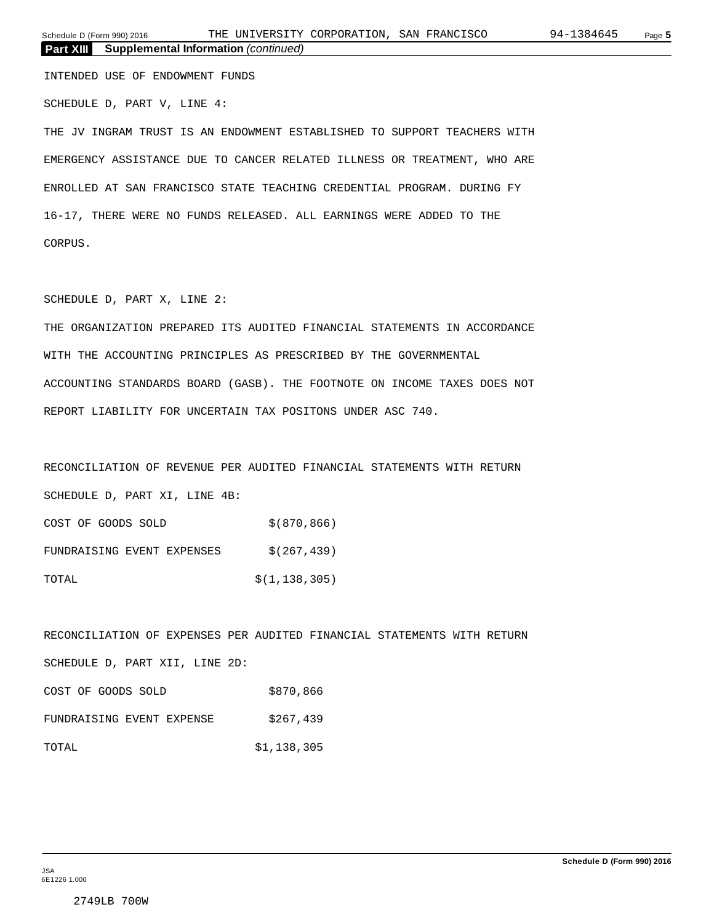INTENDED USE OF ENDOWMENT FUNDS

SCHEDULE D, PART V, LINE 4:

THE JV INGRAM TRUST IS AN ENDOWMENT ESTABLISHED TO SUPPORT TEACHERS WITH EMERGENCY ASSISTANCE DUE TO CANCER RELATED ILLNESS OR TREATMENT, WHO ARE ENROLLED AT SAN FRANCISCO STATE TEACHING CREDENTIAL PROGRAM. DURING FY 16-17, THERE WERE NO FUNDS RELEASED. ALL EARNINGS WERE ADDED TO THE CORPUS.

#### SCHEDULE D, PART X, LINE 2:

THE ORGANIZATION PREPARED ITS AUDITED FINANCIAL STATEMENTS IN ACCORDANCE WITH THE ACCOUNTING PRINCIPLES AS PRESCRIBED BY THE GOVERNMENTAL ACCOUNTING STANDARDS BOARD (GASB). THE FOOTNOTE ON INCOME TAXES DOES NOT REPORT LIABILITY FOR UNCERTAIN TAX POSITONS UNDER ASC 740.

RECONCILIATION OF REVENUE PER AUDITED FINANCIAL STATEMENTS WITH RETURN SCHEDULE D, PART XI, LINE 4B: COST OF GOODS SOLD \$(870,866) FUNDRAISING EVENT EXPENSES  $\frac{1}{267,439}$ TOTAL  $\zeta(1,138,305)$ 

RECONCILIATION OF EXPENSES PER AUDITED FINANCIAL STATEMENTS WITH RETURN SCHEDULE D, PART XII, LINE 2D: COST OF GOODS SOLD \$870,866 FUNDRAISING EVENT EXPENSE \$267,439 TOTAL \$1,138,305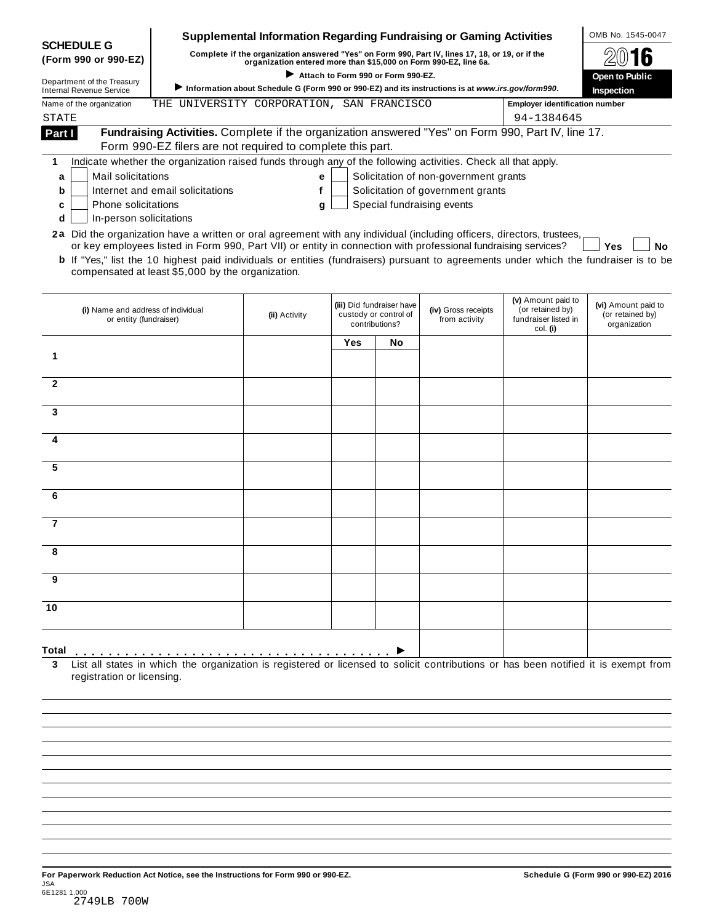|                                                                                                                        |                                                                                                                                                                                                                                                                | <b>Supplemental Information Regarding Fundraising or Gaming Activities</b>                                                                                           |     |                                                                      |                                       |                                                                            | OMB No. 1545-0047                                       |
|------------------------------------------------------------------------------------------------------------------------|----------------------------------------------------------------------------------------------------------------------------------------------------------------------------------------------------------------------------------------------------------------|----------------------------------------------------------------------------------------------------------------------------------------------------------------------|-----|----------------------------------------------------------------------|---------------------------------------|----------------------------------------------------------------------------|---------------------------------------------------------|
| <b>SCHEDULE G</b><br>(Form 990 or 990-EZ)                                                                              |                                                                                                                                                                                                                                                                | Complete if the organization answered "Yes" on Form 990, Part IV, lines 17, 18, or 19, or if the<br>organization entered more than \$15,000 on Form 990-EZ, line 6a. |     |                                                                      |                                       |                                                                            |                                                         |
| Department of the Treasury                                                                                             |                                                                                                                                                                                                                                                                |                                                                                                                                                                      |     | Attach to Form 990 or Form 990-EZ.                                   |                                       |                                                                            | <b>Open to Public</b>                                   |
| <b>Internal Revenue Service</b>                                                                                        |                                                                                                                                                                                                                                                                | Information about Schedule G (Form 990 or 990-EZ) and its instructions is at www.irs.gov/form990.                                                                    |     |                                                                      |                                       |                                                                            | Inspection                                              |
| Name of the organization                                                                                               | THE UNIVERSITY CORPORATION, SAN FRANCISCO                                                                                                                                                                                                                      |                                                                                                                                                                      |     |                                                                      |                                       | <b>Employer identification number</b>                                      |                                                         |
| <b>STATE</b>                                                                                                           |                                                                                                                                                                                                                                                                |                                                                                                                                                                      |     |                                                                      |                                       | 94-1384645                                                                 |                                                         |
| Part I                                                                                                                 | Fundraising Activities. Complete if the organization answered "Yes" on Form 990, Part IV, line 17.                                                                                                                                                             |                                                                                                                                                                      |     |                                                                      |                                       |                                                                            |                                                         |
|                                                                                                                        | Form 990-EZ filers are not required to complete this part.                                                                                                                                                                                                     |                                                                                                                                                                      |     |                                                                      |                                       |                                                                            |                                                         |
| 1                                                                                                                      | Indicate whether the organization raised funds through any of the following activities. Check all that apply.                                                                                                                                                  |                                                                                                                                                                      |     |                                                                      |                                       |                                                                            |                                                         |
| <b>Mail solicitations</b><br>a                                                                                         |                                                                                                                                                                                                                                                                | е                                                                                                                                                                    |     |                                                                      | Solicitation of non-government grants |                                                                            |                                                         |
| b                                                                                                                      | Internet and email solicitations                                                                                                                                                                                                                               | f                                                                                                                                                                    |     |                                                                      | Solicitation of government grants     |                                                                            |                                                         |
| Phone solicitations<br>c                                                                                               |                                                                                                                                                                                                                                                                | g                                                                                                                                                                    |     |                                                                      | Special fundraising events            |                                                                            |                                                         |
| In-person solicitations<br>d                                                                                           |                                                                                                                                                                                                                                                                |                                                                                                                                                                      |     |                                                                      |                                       |                                                                            |                                                         |
| 2a Did the organization have a written or oral agreement with any individual (including officers, directors, trustees, |                                                                                                                                                                                                                                                                |                                                                                                                                                                      |     |                                                                      |                                       |                                                                            |                                                         |
|                                                                                                                        | or key employees listed in Form 990, Part VII) or entity in connection with professional fundraising services?<br><b>b</b> If "Yes," list the 10 highest paid individuals or entities (fundraisers) pursuant to agreements under which the fundraiser is to be |                                                                                                                                                                      |     |                                                                      |                                       |                                                                            | Yes<br>No                                               |
|                                                                                                                        | compensated at least \$5,000 by the organization.                                                                                                                                                                                                              |                                                                                                                                                                      |     |                                                                      |                                       |                                                                            |                                                         |
|                                                                                                                        |                                                                                                                                                                                                                                                                |                                                                                                                                                                      |     |                                                                      |                                       |                                                                            |                                                         |
| (i) Name and address of individual<br>or entity (fundraiser)                                                           |                                                                                                                                                                                                                                                                | (ii) Activity                                                                                                                                                        |     | (iii) Did fundraiser have<br>custody or control of<br>contributions? | (iv) Gross receipts<br>from activity  | (v) Amount paid to<br>(or retained by)<br>fundraiser listed in<br>col. (i) | (vi) Amount paid to<br>(or retained by)<br>organization |
|                                                                                                                        |                                                                                                                                                                                                                                                                |                                                                                                                                                                      | Yes | No                                                                   |                                       |                                                                            |                                                         |
| 1                                                                                                                      |                                                                                                                                                                                                                                                                |                                                                                                                                                                      |     |                                                                      |                                       |                                                                            |                                                         |
|                                                                                                                        |                                                                                                                                                                                                                                                                |                                                                                                                                                                      |     |                                                                      |                                       |                                                                            |                                                         |
| $\mathbf{2}$                                                                                                           |                                                                                                                                                                                                                                                                |                                                                                                                                                                      |     |                                                                      |                                       |                                                                            |                                                         |
|                                                                                                                        |                                                                                                                                                                                                                                                                |                                                                                                                                                                      |     |                                                                      |                                       |                                                                            |                                                         |
| 3                                                                                                                      |                                                                                                                                                                                                                                                                |                                                                                                                                                                      |     |                                                                      |                                       |                                                                            |                                                         |
|                                                                                                                        |                                                                                                                                                                                                                                                                |                                                                                                                                                                      |     |                                                                      |                                       |                                                                            |                                                         |
| 4                                                                                                                      |                                                                                                                                                                                                                                                                |                                                                                                                                                                      |     |                                                                      |                                       |                                                                            |                                                         |
|                                                                                                                        |                                                                                                                                                                                                                                                                |                                                                                                                                                                      |     |                                                                      |                                       |                                                                            |                                                         |
| 5                                                                                                                      |                                                                                                                                                                                                                                                                |                                                                                                                                                                      |     |                                                                      |                                       |                                                                            |                                                         |
|                                                                                                                        |                                                                                                                                                                                                                                                                |                                                                                                                                                                      |     |                                                                      |                                       |                                                                            |                                                         |
| 6                                                                                                                      |                                                                                                                                                                                                                                                                |                                                                                                                                                                      |     |                                                                      |                                       |                                                                            |                                                         |
|                                                                                                                        |                                                                                                                                                                                                                                                                |                                                                                                                                                                      |     |                                                                      |                                       |                                                                            |                                                         |
| 7                                                                                                                      |                                                                                                                                                                                                                                                                |                                                                                                                                                                      |     |                                                                      |                                       |                                                                            |                                                         |
|                                                                                                                        |                                                                                                                                                                                                                                                                |                                                                                                                                                                      |     |                                                                      |                                       |                                                                            |                                                         |
|                                                                                                                        |                                                                                                                                                                                                                                                                |                                                                                                                                                                      |     |                                                                      |                                       |                                                                            |                                                         |
|                                                                                                                        |                                                                                                                                                                                                                                                                |                                                                                                                                                                      |     |                                                                      |                                       |                                                                            |                                                         |
| 9                                                                                                                      |                                                                                                                                                                                                                                                                |                                                                                                                                                                      |     |                                                                      |                                       |                                                                            |                                                         |
|                                                                                                                        |                                                                                                                                                                                                                                                                |                                                                                                                                                                      |     |                                                                      |                                       |                                                                            |                                                         |
| 10                                                                                                                     |                                                                                                                                                                                                                                                                |                                                                                                                                                                      |     |                                                                      |                                       |                                                                            |                                                         |
|                                                                                                                        |                                                                                                                                                                                                                                                                |                                                                                                                                                                      |     |                                                                      |                                       |                                                                            |                                                         |
|                                                                                                                        |                                                                                                                                                                                                                                                                |                                                                                                                                                                      |     |                                                                      |                                       |                                                                            |                                                         |
| Total                                                                                                                  |                                                                                                                                                                                                                                                                |                                                                                                                                                                      |     |                                                                      |                                       |                                                                            |                                                         |
| 3                                                                                                                      | List all states in which the organization is registered or licensed to solicit contributions or has been notified it is exempt from                                                                                                                            |                                                                                                                                                                      |     |                                                                      |                                       |                                                                            |                                                         |

registration or licensing.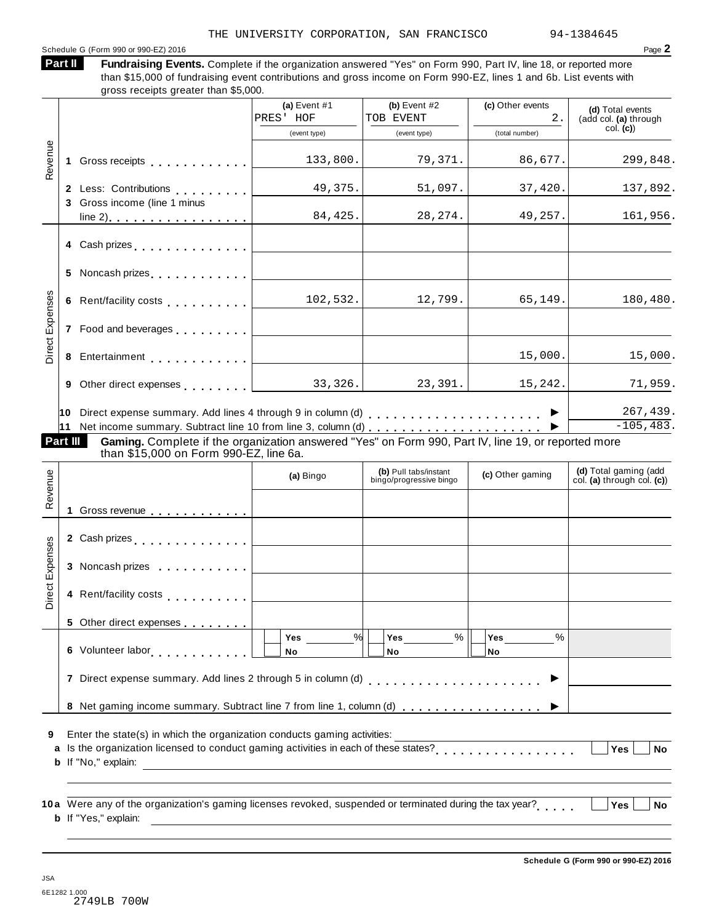#### Schedule <sup>G</sup> (Form <sup>990</sup> or 990-EZ) <sup>2016</sup> Page **2**

Fundraising Events. Complete if the organization answered "Yes" on Form 990, Part IV, line 18, or reported more than \$15,000 of fundraising event contributions and gross income on Form 990-EZ, lines 1 and 6b. List events with gross receipts greater than \$5,000. **Part II**

|                      |                                                                                                                                                                                                                                | (a) Event $#1$<br>PRES' HOF | (b) Event $#2$<br>TOB EVENT                      | (c) Other events<br>$2$ . | (d) Total events<br>(add col. (a) through           |
|----------------------|--------------------------------------------------------------------------------------------------------------------------------------------------------------------------------------------------------------------------------|-----------------------------|--------------------------------------------------|---------------------------|-----------------------------------------------------|
|                      |                                                                                                                                                                                                                                | (event type)                | (event type)                                     | (total number)            | col. (c)                                            |
| Revenue              |                                                                                                                                                                                                                                | 133,800.                    | 79,371.                                          | 86,677.                   | 299,848.                                            |
|                      | 2 Less: Contributions [19]                                                                                                                                                                                                     | 49,375.                     | 51,097.                                          | 37,420.                   | 137,892.                                            |
|                      | 3 Gross income (line 1 minus                                                                                                                                                                                                   | 84,425.                     | 28, 274.                                         | 49,257.                   | 161,956.                                            |
|                      | 4 Cash prizes                                                                                                                                                                                                                  |                             |                                                  |                           |                                                     |
|                      | 5 Noncash prizes                                                                                                                                                                                                               |                             |                                                  |                           |                                                     |
|                      | 6 Rent/facility costs [100]                                                                                                                                                                                                    | 102,532.                    | 12,799.                                          | 65,149.                   | 180,480.                                            |
| Direct Expenses      | 7 Food and beverages [1, 1, 1, 1, 1, 1]                                                                                                                                                                                        |                             |                                                  |                           |                                                     |
|                      |                                                                                                                                                                                                                                |                             |                                                  | 15,000.                   | 15,000.                                             |
|                      | 9 Other direct expenses                                                                                                                                                                                                        | 33,326.                     | 23,391.                                          | 15,242.                   | 71,959.                                             |
| 10<br>11<br>Part III | Gaming. Complete if the organization answered "Yes" on Form 990, Part IV, line 19, or reported more<br>than \$15,000 on Form 990-EZ, line 6a.                                                                                  |                             |                                                  | ▸                         | 267,439.<br>$-105, 483.$                            |
| Revenue              |                                                                                                                                                                                                                                | (a) Bingo                   | (b) Pull tabs/instant<br>bingo/progressive bingo | (c) Other gaming          | (d) Total gaming (add<br>col. (a) through col. (c)) |
|                      |                                                                                                                                                                                                                                |                             |                                                  |                           |                                                     |
|                      | 1 Gross revenue                                                                                                                                                                                                                |                             |                                                  |                           |                                                     |
|                      |                                                                                                                                                                                                                                |                             |                                                  |                           |                                                     |
|                      | 3 Noncash prizes                                                                                                                                                                                                               |                             |                                                  |                           |                                                     |
| Direct Expenses      |                                                                                                                                                                                                                                |                             |                                                  |                           |                                                     |
|                      | 5 Other direct expenses                                                                                                                                                                                                        |                             |                                                  |                           |                                                     |
|                      | 6 Volunteer labor en entrancement of the set of the set of the set of the set of the set of the set of the set of the set of the set of the set of the set of the set of the set of the set of the set of the set of the set o | %<br>Yes<br>No              | $\%$<br><b>Yes</b><br>No                         | Yes<br>%<br>No            |                                                     |
|                      | 7 Direct expense summary. Add lines 2 through 5 in column (d)                                                                                                                                                                  |                             | and a range and and                              |                           |                                                     |
|                      | 8 Net gaming income summary. Subtract line 7 from line 1, column (d)                                                                                                                                                           |                             |                                                  |                           |                                                     |

**b** If "Yes," explain: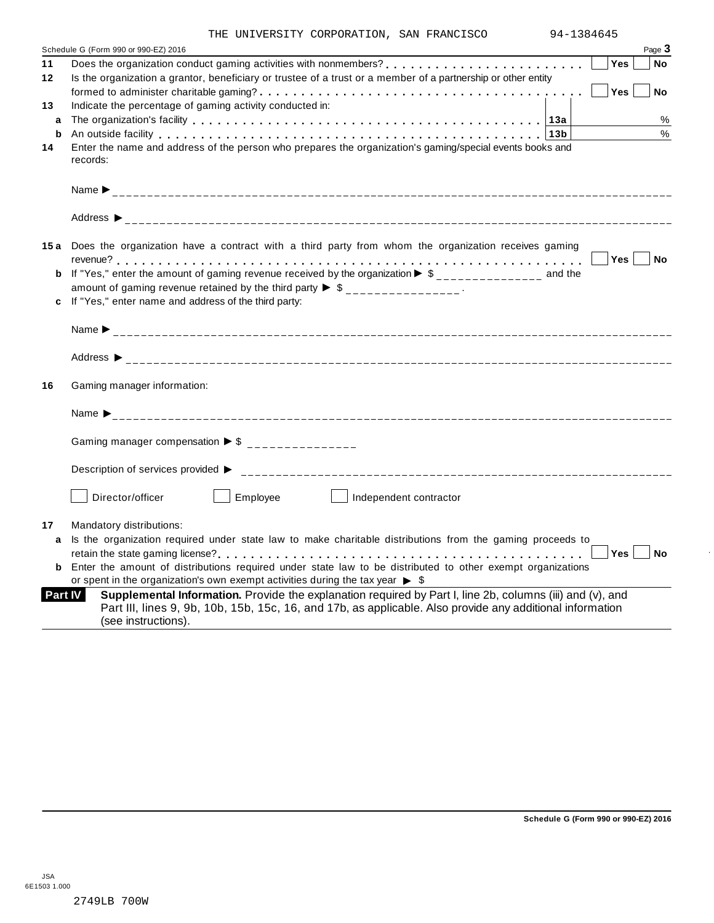| THE UNIVERSITY CORPORATION, SAN FRANCISCO |  | 94-1384645 |
|-------------------------------------------|--|------------|

|         | Page 3<br>Schedule G (Form 990 or 990-EZ) 2016                                                                                                                                                                                                |
|---------|-----------------------------------------------------------------------------------------------------------------------------------------------------------------------------------------------------------------------------------------------|
| 11      | <b>Yes</b><br><b>No</b>                                                                                                                                                                                                                       |
| 12      | Is the organization a grantor, beneficiary or trustee of a trust or a member of a partnership or other entity                                                                                                                                 |
|         | Yes<br><b>No</b>                                                                                                                                                                                                                              |
| 13      | Indicate the percentage of gaming activity conducted in:                                                                                                                                                                                      |
| a       | %                                                                                                                                                                                                                                             |
| b       | %<br>An outside facility enterpreteration of the control of the control of the control of the control of the control of the control of the control of the control of the control of the control of the control of the control of th           |
| 14      | Enter the name and address of the person who prepares the organization's gaming/special events books and<br>records:                                                                                                                          |
|         |                                                                                                                                                                                                                                               |
|         |                                                                                                                                                                                                                                               |
|         | 15a Does the organization have a contract with a third party from whom the organization receives gaming                                                                                                                                       |
|         | i No<br>Yes                                                                                                                                                                                                                                   |
|         | <b>b</b> If "Yes," enter the amount of gaming revenue received by the organization $\triangleright$ \$______________ and the                                                                                                                  |
|         | amount of gaming revenue retained by the third party $\triangleright$ \$ _______________.                                                                                                                                                     |
|         | c If "Yes," enter name and address of the third party:                                                                                                                                                                                        |
|         |                                                                                                                                                                                                                                               |
|         |                                                                                                                                                                                                                                               |
| 16      | Gaming manager information:                                                                                                                                                                                                                   |
|         |                                                                                                                                                                                                                                               |
|         | Gaming manager compensation $\triangleright$ \$ ________________                                                                                                                                                                              |
|         | Description of services provided ▶                                                                                                                                                                                                            |
|         | Director/officer<br>Employee<br>Independent contractor                                                                                                                                                                                        |
| 17      | Mandatory distributions:                                                                                                                                                                                                                      |
| a       | Is the organization required under state law to make charitable distributions from the gaming proceeds to                                                                                                                                     |
|         | Yes<br><b>No</b>                                                                                                                                                                                                                              |
|         | Enter the amount of distributions required under state law to be distributed to other exempt organizations                                                                                                                                    |
|         | or spent in the organization's own exempt activities during the tax year $\triangleright$ \$                                                                                                                                                  |
| Part IV | Supplemental Information. Provide the explanation required by Part I, line 2b, columns (iii) and (v), and<br>Part III, lines 9, 9b, 10b, 15b, 15c, 16, and 17b, as applicable. Also provide any additional information<br>(see instructions). |
|         |                                                                                                                                                                                                                                               |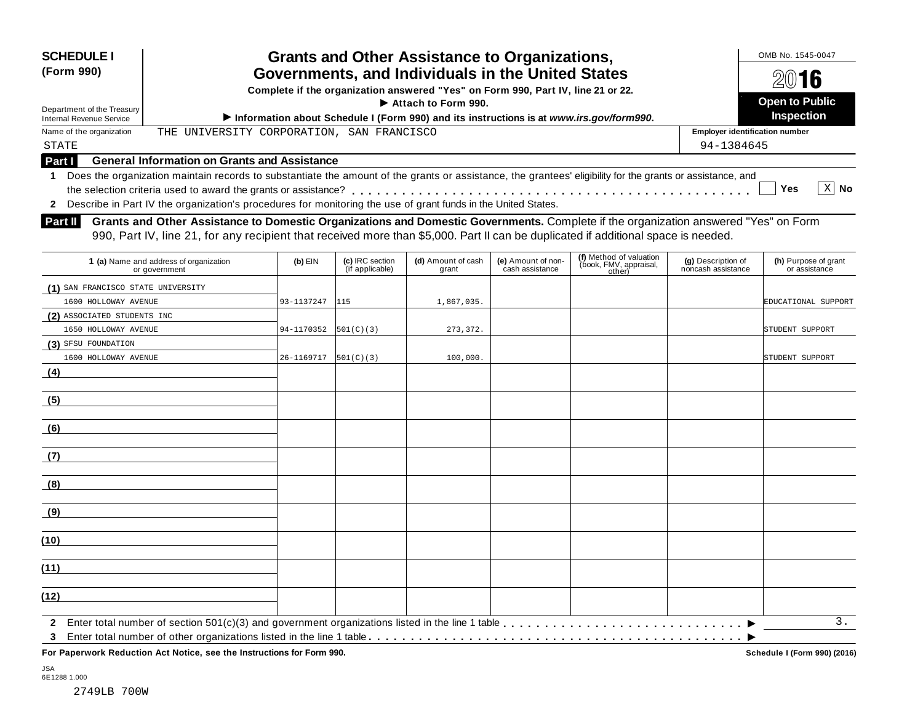| <b>SCHEDULE I</b>                                             |                                                                                                                                                                                                                                                                                                                     |            |                 | <b>Grants and Other Assistance to Organizations,</b> |                    |                                                             |                                       | OMB No. 1545-0047         |  |  |
|---------------------------------------------------------------|---------------------------------------------------------------------------------------------------------------------------------------------------------------------------------------------------------------------------------------------------------------------------------------------------------------------|------------|-----------------|------------------------------------------------------|--------------------|-------------------------------------------------------------|---------------------------------------|---------------------------|--|--|
| (Form 990)                                                    |                                                                                                                                                                                                                                                                                                                     |            |                 | Governments, and Individuals in the United States    |                    |                                                             |                                       | 2016                      |  |  |
|                                                               | Complete if the organization answered "Yes" on Form 990, Part IV, line 21 or 22.<br>Attach to Form 990.                                                                                                                                                                                                             |            |                 |                                                      |                    |                                                             |                                       |                           |  |  |
| Department of the Treasury<br><b>Internal Revenue Service</b> | Information about Schedule I (Form 990) and its instructions is at www.irs.gov/form990.                                                                                                                                                                                                                             |            |                 |                                                      |                    |                                                             |                                       |                           |  |  |
| Name of the organization                                      | THE UNIVERSITY CORPORATION, SAN FRANCISCO                                                                                                                                                                                                                                                                           |            |                 |                                                      |                    |                                                             | <b>Employer identification number</b> | Inspection                |  |  |
| STATE                                                         |                                                                                                                                                                                                                                                                                                                     |            |                 |                                                      |                    |                                                             | 94-1384645                            |                           |  |  |
| Part I                                                        | <b>General Information on Grants and Assistance</b>                                                                                                                                                                                                                                                                 |            |                 |                                                      |                    |                                                             |                                       |                           |  |  |
| $\mathbf{1}$                                                  | Does the organization maintain records to substantiate the amount of the grants or assistance, the grantees' eligibility for the grants or assistance, and<br>2 Describe in Part IV the organization's procedures for monitoring the use of grant funds in the United States.                                       |            |                 |                                                      |                    |                                                             |                                       | $\mathbf{X}$<br>Yes<br>No |  |  |
| Part II                                                       | Grants and Other Assistance to Domestic Organizations and Domestic Governments. Complete if the organization answered "Yes" on Form<br>990, Part IV, line 21, for any recipient that received more than \$5,000. Part II can be duplicated if additional space is needed.<br>1 (a) Name and address of organization | $(b)$ EIN  | (c) IRC section | (d) Amount of cash                                   | (e) Amount of non- |                                                             | (g) Description of                    | (h) Purpose of grant      |  |  |
|                                                               | or government                                                                                                                                                                                                                                                                                                       |            | (if applicable) | grant                                                | cash assistance    | (f) Method of valuation<br>(book, FMV, appraisal,<br>other) | noncash assistance                    | or assistance             |  |  |
| (1) SAN FRANCISCO STATE UNIVERSITY                            |                                                                                                                                                                                                                                                                                                                     |            |                 |                                                      |                    |                                                             |                                       |                           |  |  |
| 1600 HOLLOWAY AVENUE                                          |                                                                                                                                                                                                                                                                                                                     | 93-1137247 | 115             | 1,867,035.                                           |                    |                                                             |                                       | EDUCATIONAL SUPPORT       |  |  |
| (2) ASSOCIATED STUDENTS INC                                   |                                                                                                                                                                                                                                                                                                                     |            |                 |                                                      |                    |                                                             |                                       |                           |  |  |
| 1650 HOLLOWAY AVENUE                                          |                                                                                                                                                                                                                                                                                                                     | 94-1170352 | 501(C)(3)       | 273,372.                                             |                    |                                                             |                                       | STUDENT SUPPORT           |  |  |
| (3) SFSU FOUNDATION                                           |                                                                                                                                                                                                                                                                                                                     |            |                 |                                                      |                    |                                                             |                                       |                           |  |  |
| 1600 HOLLOWAY AVENUE                                          |                                                                                                                                                                                                                                                                                                                     | 26-1169717 | 501(C)(3)       | 100,000.                                             |                    |                                                             |                                       | STUDENT SUPPORT           |  |  |
| (4)                                                           |                                                                                                                                                                                                                                                                                                                     |            |                 |                                                      |                    |                                                             |                                       |                           |  |  |
| (5)                                                           |                                                                                                                                                                                                                                                                                                                     |            |                 |                                                      |                    |                                                             |                                       |                           |  |  |
| (6)                                                           |                                                                                                                                                                                                                                                                                                                     |            |                 |                                                      |                    |                                                             |                                       |                           |  |  |
| (7)                                                           |                                                                                                                                                                                                                                                                                                                     |            |                 |                                                      |                    |                                                             |                                       |                           |  |  |
| (8)                                                           |                                                                                                                                                                                                                                                                                                                     |            |                 |                                                      |                    |                                                             |                                       |                           |  |  |
| (9)                                                           |                                                                                                                                                                                                                                                                                                                     |            |                 |                                                      |                    |                                                             |                                       |                           |  |  |
| (10)                                                          |                                                                                                                                                                                                                                                                                                                     |            |                 |                                                      |                    |                                                             |                                       |                           |  |  |
| (11)                                                          |                                                                                                                                                                                                                                                                                                                     |            |                 |                                                      |                    |                                                             |                                       |                           |  |  |
| (12)                                                          |                                                                                                                                                                                                                                                                                                                     |            |                 |                                                      |                    |                                                             |                                       |                           |  |  |

**2** Enter total number of section 501(c)(3) and government organizations listed in the line 1 table **manufacture** is a section for the line of section  $\frac{1}{n}$ I **3** Enter total number of other organizations listed in the line 1 table m m m m m m m m m m m m m m m m m m m m m m m m m m m m m m m m m m m m m m m m m m m m m

**For Paperwork Reduction Act Notice, see the Instructions for Form 990. Schedule I (Form 990) (2016)**

3.

JSA 6E1288 1.000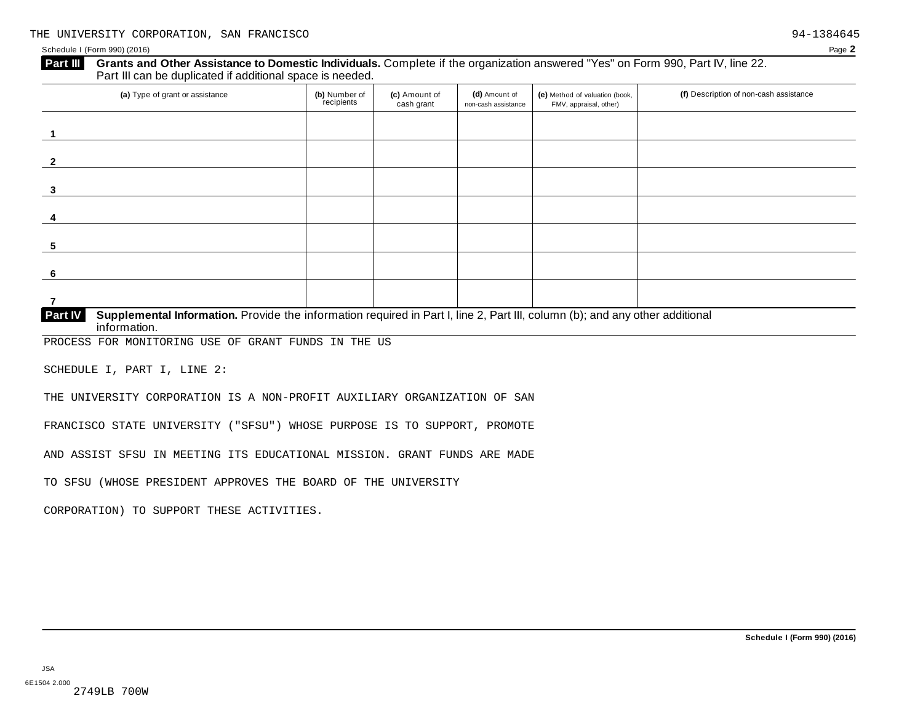| (a) Type of grant or assistance | (b) Number of<br>recipients | (c) Amount of<br>cash grant | (d) Amount of<br>non-cash assistance | (e) Method of valuation (book,<br>FMV, appraisal, other) | (f) Description of non-cash assistance |
|---------------------------------|-----------------------------|-----------------------------|--------------------------------------|----------------------------------------------------------|----------------------------------------|
|                                 |                             |                             |                                      |                                                          |                                        |
|                                 |                             |                             |                                      |                                                          |                                        |
|                                 |                             |                             |                                      |                                                          |                                        |
|                                 |                             |                             |                                      |                                                          |                                        |
|                                 |                             |                             |                                      |                                                          |                                        |
|                                 |                             |                             |                                      |                                                          |                                        |
|                                 |                             |                             |                                      |                                                          |                                        |

PROCESS FOR MONITORING USE OF GRANT FUNDS IN THE US

SCHEDULE I, PART I, LINE 2:

THE UNIVERSITY CORPORATION IS A NON-PROFIT AUXILIARY ORGANIZATION OF SAN

FRANCISCO STATE UNIVERSITY ("SFSU") WHOSE PURPOSE IS TO SUPPORT, PROMOTE

AND ASSIST SFSU IN MEETING ITS EDUCATIONAL MISSION. GRANT FUNDS ARE MADE

TO SFSU (WHOSE PRESIDENT APPROVES THE BOARD OF THE UNIVERSITY

CORPORATION) TO SUPPORT THESE ACTIVITIES.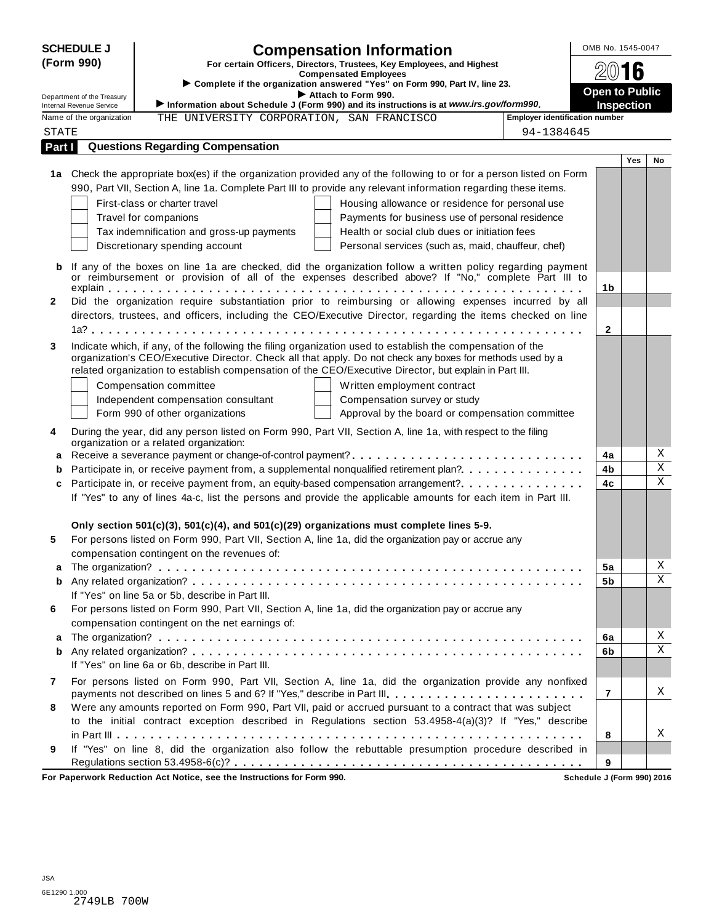|              | <b>SCHEDULE J</b>          | <b>Compensation Information</b>                                                                                                                                                                                     | OMB No. 1545-0047     |            |              |
|--------------|----------------------------|---------------------------------------------------------------------------------------------------------------------------------------------------------------------------------------------------------------------|-----------------------|------------|--------------|
|              | (Form 990)                 | For certain Officers, Directors, Trustees, Key Employees, and Highest                                                                                                                                               |                       |            |              |
|              |                            | <b>Compensated Employees</b><br>Complete if the organization answered "Yes" on Form 990, Part IV, line 23.                                                                                                          |                       | 16         |              |
|              | Department of the Treasury | Attach to Form 990.                                                                                                                                                                                                 | <b>Open to Public</b> |            |              |
|              | Internal Revenue Service   | Information about Schedule J (Form 990) and its instructions is at www.irs.gov/form990.                                                                                                                             | <b>Inspection</b>     |            |              |
|              | Name of the organization   | <b>Employer identification number</b><br>THE UNIVERSITY CORPORATION, SAN FRANCISCO                                                                                                                                  |                       |            |              |
| <b>STATE</b> |                            | 94-1384645                                                                                                                                                                                                          |                       |            |              |
| Part I       |                            | <b>Questions Regarding Compensation</b>                                                                                                                                                                             |                       | <b>Yes</b> | <b>No</b>    |
|              |                            | 1a Check the appropriate box(es) if the organization provided any of the following to or for a person listed on Form                                                                                                |                       |            |              |
|              |                            | 990, Part VII, Section A, line 1a. Complete Part III to provide any relevant information regarding these items.                                                                                                     |                       |            |              |
|              |                            | First-class or charter travel<br>Housing allowance or residence for personal use                                                                                                                                    |                       |            |              |
|              |                            | Payments for business use of personal residence<br>Travel for companions                                                                                                                                            |                       |            |              |
|              |                            | Tax indemnification and gross-up payments<br>Health or social club dues or initiation fees                                                                                                                          |                       |            |              |
|              |                            | Discretionary spending account<br>Personal services (such as, maid, chauffeur, chef)                                                                                                                                |                       |            |              |
|              |                            |                                                                                                                                                                                                                     |                       |            |              |
| b            |                            | If any of the boxes on line 1a are checked, did the organization follow a written policy regarding payment<br>or reimbursement or provision of all of the expenses described above? If "No," complete Part III to   |                       |            |              |
|              |                            |                                                                                                                                                                                                                     | 1 <sub>b</sub>        |            |              |
| 2            |                            | Did the organization require substantiation prior to reimbursing or allowing expenses incurred by all                                                                                                               |                       |            |              |
|              |                            | directors, trustees, and officers, including the CEO/Executive Director, regarding the items checked on line                                                                                                        |                       |            |              |
|              |                            |                                                                                                                                                                                                                     | $\mathbf{2}$          |            |              |
| 3            |                            | Indicate which, if any, of the following the filing organization used to establish the compensation of the                                                                                                          |                       |            |              |
|              |                            | organization's CEO/Executive Director. Check all that apply. Do not check any boxes for methods used by a<br>related organization to establish compensation of the CEO/Executive Director, but explain in Part III. |                       |            |              |
|              |                            | Compensation committee<br>Written employment contract                                                                                                                                                               |                       |            |              |
|              |                            | Compensation survey or study<br>Independent compensation consultant                                                                                                                                                 |                       |            |              |
|              |                            | Form 990 of other organizations<br>Approval by the board or compensation committee                                                                                                                                  |                       |            |              |
|              |                            |                                                                                                                                                                                                                     |                       |            |              |
| 4            |                            | During the year, did any person listed on Form 990, Part VII, Section A, line 1a, with respect to the filing<br>organization or a related organization:                                                             |                       |            |              |
| a            |                            |                                                                                                                                                                                                                     | 4a                    |            | Χ            |
| b            |                            | Participate in, or receive payment from, a supplemental nonqualified retirement plan?.                                                                                                                              | 4b                    |            | $\mathbf{X}$ |
| c            |                            | Participate in, or receive payment from, an equity-based compensation arrangement?                                                                                                                                  | 4c                    |            | X            |
|              |                            | If "Yes" to any of lines 4a-c, list the persons and provide the applicable amounts for each item in Part III.                                                                                                       |                       |            |              |
|              |                            |                                                                                                                                                                                                                     |                       |            |              |
|              |                            | Only section $501(c)(3)$ , $501(c)(4)$ , and $501(c)(29)$ organizations must complete lines 5-9.                                                                                                                    |                       |            |              |
| 5            |                            | For persons listed on Form 990, Part VII, Section A, line 1a, did the organization pay or accrue any                                                                                                                |                       |            |              |
|              |                            | compensation contingent on the revenues of:                                                                                                                                                                         | 5a                    |            | Χ            |
| а<br>b       |                            |                                                                                                                                                                                                                     | 5b                    |            | Χ            |
|              |                            | If "Yes" on line 5a or 5b, describe in Part III.                                                                                                                                                                    |                       |            |              |
| 6            |                            | For persons listed on Form 990, Part VII, Section A, line 1a, did the organization pay or accrue any                                                                                                                |                       |            |              |
|              |                            | compensation contingent on the net earnings of:                                                                                                                                                                     |                       |            |              |
| a            |                            |                                                                                                                                                                                                                     | 6a                    |            | Χ            |
| b            |                            |                                                                                                                                                                                                                     | 6b                    |            | X            |
|              |                            | If "Yes" on line 6a or 6b, describe in Part III.                                                                                                                                                                    |                       |            |              |
| 7            |                            | For persons listed on Form 990, Part VII, Section A, line 1a, did the organization provide any nonfixed                                                                                                             |                       |            |              |
|              |                            | payments not described on lines 5 and 6? If "Yes," describe in Part III.                                                                                                                                            | $\overline{7}$        |            | X            |
| 8            |                            | Were any amounts reported on Form 990, Part VII, paid or accrued pursuant to a contract that was subject                                                                                                            |                       |            |              |
|              |                            | to the initial contract exception described in Regulations section 53.4958-4(a)(3)? If "Yes," describe                                                                                                              |                       |            |              |
|              |                            | If "Yes" on line 8, did the organization also follow the rebuttable presumption procedure described in                                                                                                              | 8                     |            | Χ            |
| 9            |                            |                                                                                                                                                                                                                     | 9                     |            |              |
|              |                            |                                                                                                                                                                                                                     |                       |            |              |

**For Paperwork Reduction Act Notice, see the Instructions for Form 990. Schedule J (Form 990) 2016**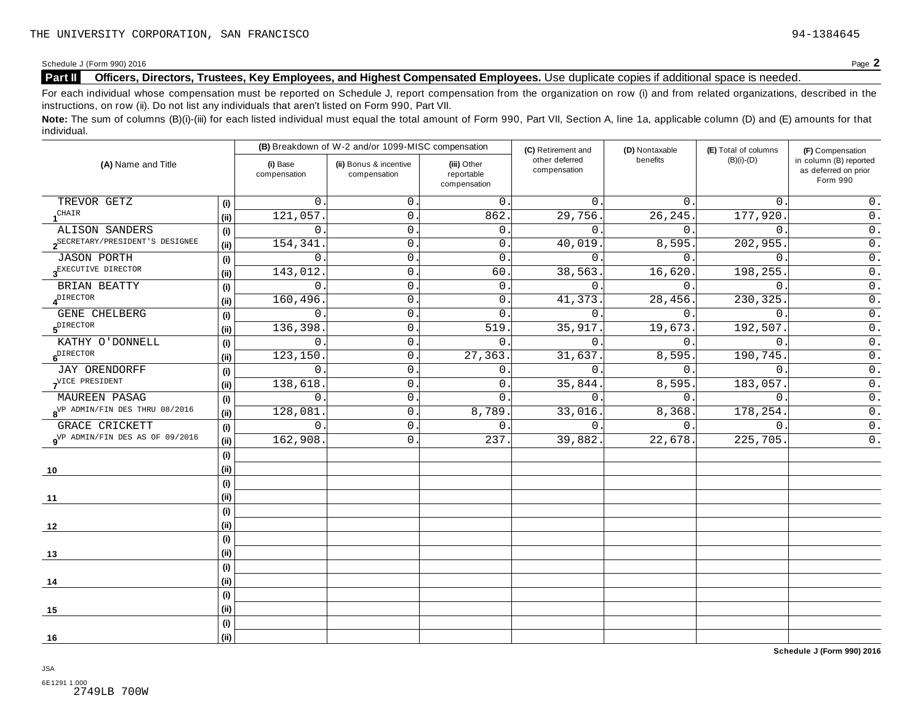#### **Part II Officers, Directors, Trustees, Key Employees, and Highest Compensated Employees.** Use duplicate copies ifadditional space is needed.

For each individual whose compensation must be reported on Schedule J, report compensation from the organization on row (i) and from related organizations, described in the instructions, on row (ii). Do not list any individuals that aren't listed on Form 990, Part VII.

Note: The sum of columns (B)(i)-(iii) for each listed individual must equal the total amount of Form 990, Part VII, Section A, line 1a, applicable column (D) and (E) amounts for that individual.

|                                             |     |                          | (B) Breakdown of W-2 and/or 1099-MISC compensation |                                           | (C) Retirement and             | (D) Nontaxable | (E) Total of columns | (F) Compensation                                           |  |
|---------------------------------------------|-----|--------------------------|----------------------------------------------------|-------------------------------------------|--------------------------------|----------------|----------------------|------------------------------------------------------------|--|
| (A) Name and Title                          |     | (i) Base<br>compensation | (ii) Bonus & incentive<br>compensation             | (iii) Other<br>reportable<br>compensation | other deferred<br>compensation | benefits       | $(B)(i)-(D)$         | in column (B) reported<br>as deferred on prior<br>Form 990 |  |
| TREVOR GETZ                                 | (i) | 0                        | $\mathbf 0$                                        | $\overline{0}$ .                          | $\Omega$ .                     | 0.             | $\mathbf{0}$ .       | $0$ .                                                      |  |
| CHAIR                                       | (i) | 121,057                  | 0.                                                 | 862                                       | 29,756.                        | 26, 245.       | 177,920.             | $\overline{0}$ .                                           |  |
| ALISON SANDERS                              | (i) | 0                        | $\mathsf{O}$ .                                     | 0.                                        | $\Omega$                       | 0.             | $\mathbf{0}$ .       | $\overline{0}$ .                                           |  |
| 2SECRETARY/PRESIDENT'S DESIGNEE             | (i) | 154,341                  | $\mathsf{O}$ .                                     | 0.                                        | 40,019                         | 8,595.         | 202,955              | $0$ .                                                      |  |
| <b>JASON PORTH</b>                          | (i) | $\mathbf 0$              | $\mathbf{0}$ .                                     | $\mathbf 0$                               | $\mathbf 0$ .                  | 0.             | $\mathbf{0}$ .       | $\overline{0}$ .                                           |  |
| 3 <sup>EXECUTIVE</sup> DIRECTOR             | (i) | 143,012                  | $\mathbf{0}$ .                                     | 60                                        | 38,563                         | 16,620         | 198,255              | $\overline{0}$ .                                           |  |
| BRIAN BEATTY                                | (i) | 0                        | 0                                                  | $\overline{0}$ .                          | 0.                             | 0.             | $\mathbf{0}$ .       | $0$ .                                                      |  |
| DIRECTOR                                    | (i) | 160,496                  | 0                                                  | 0.                                        | 41,373.                        | 28,456.        | 230,325.             | $\overline{0}$ .                                           |  |
| <b>GENE CHELBERG</b>                        | (i) | $\mathbf 0$              | $\mathsf{O}$                                       | $\mathbf{0}$                              | $\mathbf 0$ .                  | 0.             | $\mathbf{0}$ .       | $\overline{0}$ .                                           |  |
| $5^{\text{DIFFOR}}$                         | (i) | 136,398                  | $\mathbf{0}$ .                                     | 519                                       | 35,917.                        | 19,673.        | 192,507.             | $\overline{0}$ .                                           |  |
| KATHY O'DONNELL                             | (i) | 0                        | 0.                                                 | $\mathbf{0}$                              | 0.                             | 0.             | $\mathsf{0}$ .       | $\overline{\overline{\mathbf{0}}}$ .                       |  |
| $6^{DIRECTOR}$                              | (i) | 123,150                  | $\mathsf{O}$ .                                     | 27,363.                                   | 31,637.                        | 8,595.         | 190,745.             | $\overline{0}$ .                                           |  |
| <b>JAY ORENDORFF</b>                        | (i) | 0                        | $\mathbf{0}$ .                                     | 0.                                        | $\mathbf 0$ .                  | 0.             | $\mathsf{O}$ .       | $\overline{0}$ .                                           |  |
| VICE PRESIDENT                              | (i) | 138,618                  | $\mathbf{0}$ .                                     | $\overline{0}$ .                          | 35,844                         | 8,595.         | 183,057.             | $\overline{0}$ .                                           |  |
| MAUREEN PASAG                               | (i) | 0                        | $\mathsf{O}$ .                                     | $\overline{0}$ .                          | $\Omega$ .                     | 0.             | $\mathbf{0}$ .       | $\overline{0}$ .                                           |  |
| 8 <sup>VP</sup> ADMIN/FIN DES THRU 08/2016  | (i) | 128,081                  | $0$ .                                              | 8,789.                                    | 33,016.                        | 8,368.         | 178,254.             | $\overline{0}$ .                                           |  |
| GRACE CRICKETT                              | (i) | $\mathbf 0$              | $\mathbf{0}$ .                                     | $\overline{0}$                            | $\mathbf{0}$ .                 | 0.             | $\mathbf{0}$ .       | $\overline{0}$ .                                           |  |
| 9 <sup>VP</sup> ADMIN/FIN DES AS OF 09/2016 | (i) | 162,908                  | $\mathbf{0}$ .                                     | 237                                       | 39,882.                        | 22,678.        | 225,705              | 0.                                                         |  |
|                                             | (i) |                          |                                                    |                                           |                                |                |                      |                                                            |  |
| 10                                          | (i) |                          |                                                    |                                           |                                |                |                      |                                                            |  |
|                                             | (i) |                          |                                                    |                                           |                                |                |                      |                                                            |  |
| 11                                          | (i) |                          |                                                    |                                           |                                |                |                      |                                                            |  |
|                                             | (i) |                          |                                                    |                                           |                                |                |                      |                                                            |  |
| 12                                          | (i) |                          |                                                    |                                           |                                |                |                      |                                                            |  |
|                                             | (i) |                          |                                                    |                                           |                                |                |                      |                                                            |  |
| 13                                          | (i) |                          |                                                    |                                           |                                |                |                      |                                                            |  |
|                                             | (i) |                          |                                                    |                                           |                                |                |                      |                                                            |  |
| 14                                          | (i) |                          |                                                    |                                           |                                |                |                      |                                                            |  |
|                                             | (i) |                          |                                                    |                                           |                                |                |                      |                                                            |  |
| 15                                          | (i) |                          |                                                    |                                           |                                |                |                      |                                                            |  |
|                                             | (i) |                          |                                                    |                                           |                                |                |                      |                                                            |  |
| 16                                          | (i) |                          |                                                    |                                           |                                |                |                      |                                                            |  |

**Schedule J (Form 990) 2016**

JSA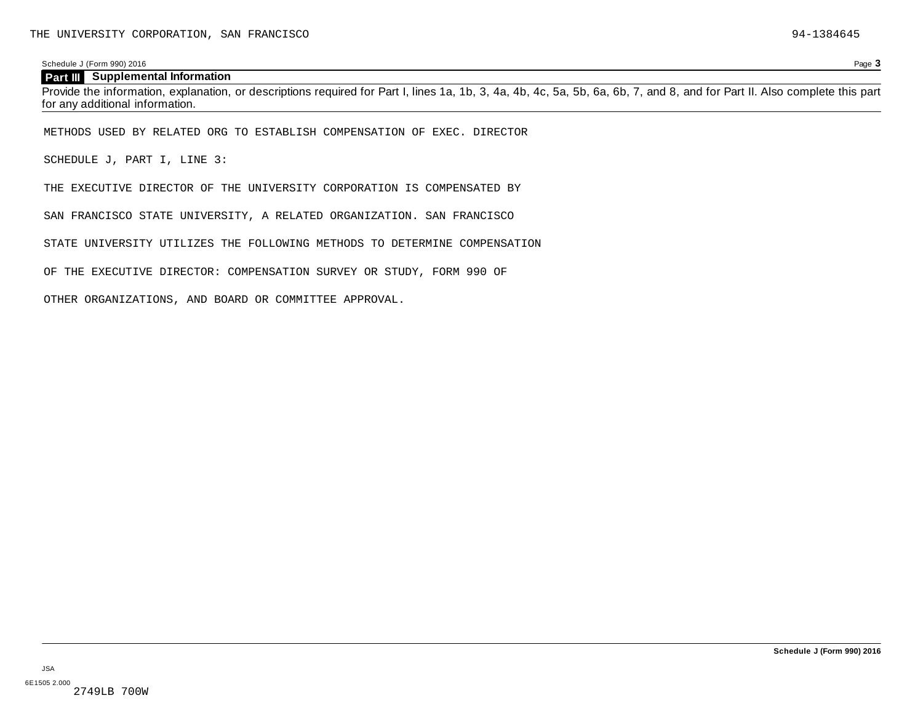#### **Part III Supplemental Information**

Provide the information, explanation, or descriptions required for Part I, lines 1a, 1b, 3, 4a, 4b, 4c, 5a, 5b, 6a, 6b, 7, and 8, and for Part II. Also complete this part for any additional information.

METHODS USED BY RELATED ORG TO ESTABLISH COMPENSATION OF EXEC. DIRECTOR

SCHEDULE J, PART I, LINE 3:

THE EXECUTIVE DIRECTOR OF THE UNIVERSITY CORPORATION IS COMPENSATED BY

SAN FRANCISCO STATE UNIVERSITY, A RELATED ORGANIZATION. SAN FRANCISCO

STATE UNIVERSITY UTILIZES THE FOLLOWING METHODS TO DETERMINE COMPENSATION

OF THE EXECUTIVE DIRECTOR: COMPENSATION SURVEY OR STUDY, FORM 990 OF

OTHER ORGANIZATIONS, AND BOARD OR COMMITTEE APPROVAL.

**Schedule J (Form 990) 2016**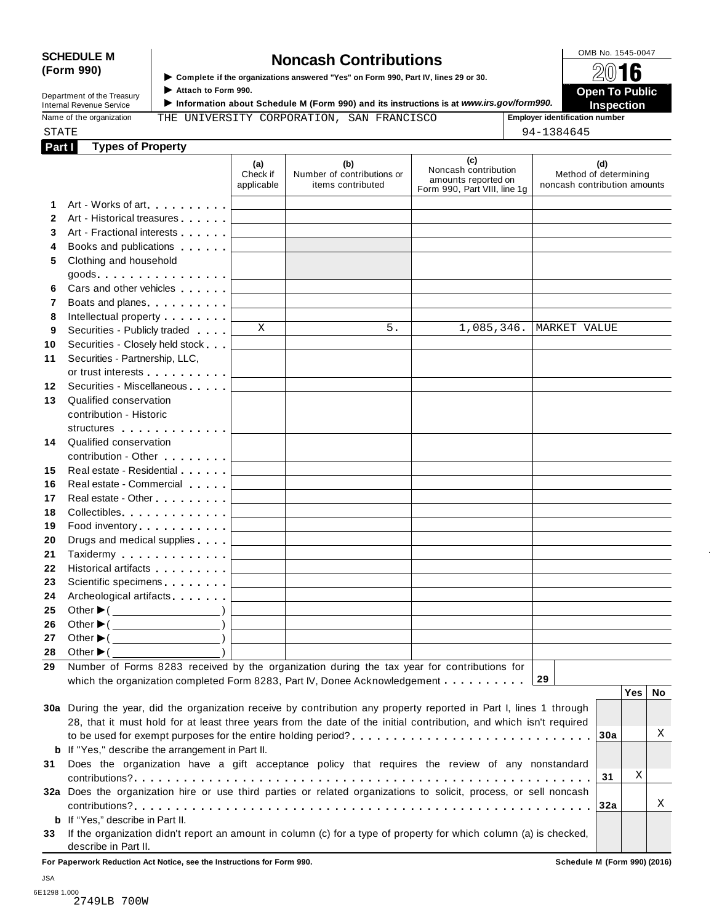# SCHEDULE M<br> **SCHEDULE** M **SOMB No. 1545-0047**<br>  $\bullet$  Complete if the organizations answered "Yes" on Form 990, Part IV, lines 29 or 30.

**(Form 990)** I **Complete if the organizations answered "Yes" on Form 990, Part IV, lines <sup>29</sup> or 30.** À¾µº I ► Complete if the organizations answered "Yes" on Form 990, Part IV, lines 29 or 30.<br>Department of the Treasury Attach to Form 990.<br>Department of the Treasury Attach to Form 990.

Internal Revenue Service I**Information about Schedule <sup>M</sup> (Form 990) and its instructions is at** *www.irs.gov/form990.* **Inspection**

|              | Name of the organization                                                                                        |                               | THE UNIVERSITY CORPORATION, SAN FRANCISCO              |                                                                                    | <b>Employer identification number</b>                        |
|--------------|-----------------------------------------------------------------------------------------------------------------|-------------------------------|--------------------------------------------------------|------------------------------------------------------------------------------------|--------------------------------------------------------------|
| <b>STATE</b> |                                                                                                                 |                               |                                                        |                                                                                    | 94-1384645                                                   |
|              | <b>Types of Property</b><br>Part I                                                                              |                               |                                                        |                                                                                    |                                                              |
|              |                                                                                                                 | (a)<br>Check if<br>applicable | (b)<br>Number of contributions or<br>items contributed | (c)<br>Noncash contribution<br>amounts reported on<br>Form 990, Part VIII, line 1g | (d)<br>Method of determining<br>noncash contribution amounts |
| 1            | Art - Works of art.                                                                                             |                               |                                                        |                                                                                    |                                                              |
| 2            | Art - Historical treasures                                                                                      |                               |                                                        |                                                                                    |                                                              |
| 3            | Art - Fractional interests                                                                                      |                               |                                                        |                                                                                    |                                                              |
| 4            | Books and publications <b>Solutions</b>                                                                         |                               |                                                        |                                                                                    |                                                              |
| 5            | Clothing and household                                                                                          |                               |                                                        |                                                                                    |                                                              |
|              | $goods$                                                                                                         |                               |                                                        |                                                                                    |                                                              |
| 6            | Cars and other vehicles                                                                                         |                               |                                                        |                                                                                    |                                                              |
| 7            | Boats and planes                                                                                                |                               |                                                        |                                                                                    |                                                              |
| 8            | Intellectual property <b>Algebra</b>                                                                            |                               |                                                        |                                                                                    |                                                              |
| 9            | Securities - Publicly traded                                                                                    | Χ                             | $5.$                                                   | 1,085,346.                                                                         | MARKET VALUE                                                 |
| 10           | Securities - Closely held stock                                                                                 |                               |                                                        |                                                                                    |                                                              |
| 11           | Securities - Partnership, LLC,                                                                                  |                               |                                                        |                                                                                    |                                                              |
|              | or trust interests [1]                                                                                          |                               |                                                        |                                                                                    |                                                              |
| 12           | Securities - Miscellaneous                                                                                      |                               |                                                        |                                                                                    |                                                              |
| 13           | Qualified conservation                                                                                          |                               |                                                        |                                                                                    |                                                              |
|              | contribution - Historic                                                                                         |                               |                                                        |                                                                                    |                                                              |
|              |                                                                                                                 |                               |                                                        |                                                                                    |                                                              |
| 14           | Qualified conservation                                                                                          |                               |                                                        |                                                                                    |                                                              |
|              | contribution - Other                                                                                            |                               |                                                        |                                                                                    |                                                              |
| 15           | Real estate - Residential                                                                                       |                               |                                                        |                                                                                    |                                                              |
| 16           | Real estate - Commercial                                                                                        |                               |                                                        |                                                                                    |                                                              |
| 17           | Real estate - Other <b>Called a Contact Contact Advertision</b>                                                 |                               |                                                        |                                                                                    |                                                              |
| 18           |                                                                                                                 |                               |                                                        |                                                                                    |                                                              |
| 19           | Food inventory                                                                                                  |                               |                                                        |                                                                                    |                                                              |
| 20           | Drugs and medical supplies                                                                                      |                               |                                                        |                                                                                    |                                                              |
| 21           | Taxidermy                                                                                                       |                               |                                                        |                                                                                    |                                                              |
| 22           | Historical artifacts <b>All Accords</b>                                                                         |                               |                                                        |                                                                                    |                                                              |
| 23           | Scientific specimens [1994]                                                                                     |                               |                                                        |                                                                                    |                                                              |
| 24           | Archeological artifacts                                                                                         |                               |                                                        |                                                                                    |                                                              |
| 25           | Other $\blacktriangleright$ ( $\qquad \qquad$                                                                   |                               |                                                        |                                                                                    |                                                              |
| 26           | Other $\blacktriangleright$ ( $\qquad \qquad$                                                                   |                               |                                                        |                                                                                    |                                                              |
| 27           |                                                                                                                 |                               |                                                        |                                                                                    |                                                              |
|              | the contract of the contract of the contract of the contract of the contract of the contract of the contract of |                               |                                                        |                                                                                    |                                                              |

**28** Other ► ( **28** Other ► ( **29** Number of Forms 8283 received by the organization during the tax year for contributions for which the organization completed Form 8283, Part IV, Donee Acknowledgement mand m m and 29

) )

|     |                                                                                                                                           |    | Yes⊺ |   |
|-----|-------------------------------------------------------------------------------------------------------------------------------------------|----|------|---|
| 30a | During the year, did the organization receive by contribution any property reported in Part I, lines 1 through                            |    |      |   |
|     | 28, that it must hold for at least three years from the date of the initial contribution, and which isn't required                        |    |      |   |
|     |                                                                                                                                           |    |      | Х |
|     | <b>b</b> If "Yes," describe the arrangement in Part II.                                                                                   |    |      |   |
| 31  | Does the organization have a gift acceptance policy that requires the review of any nonstandard                                           |    |      |   |
|     |                                                                                                                                           | 31 | Χ    |   |
|     | 32a Does the organization hire or use third parties or related organizations to solicit, process, or sell noncash                         |    |      |   |
|     |                                                                                                                                           |    |      |   |
|     | <b>b</b> If "Yes," describe in Part II.                                                                                                   |    |      |   |
| 33  | If the organization didn't report an amount in column (c) for a type of property for which column (a) is checked,<br>describe in Part II. |    |      |   |

**For Paperwork Reduction Act Notice, see the Instructions for Form 990. Schedule M (Form 990) (2016)**

**28**

Other  $\blacktriangleright$  (  $\_$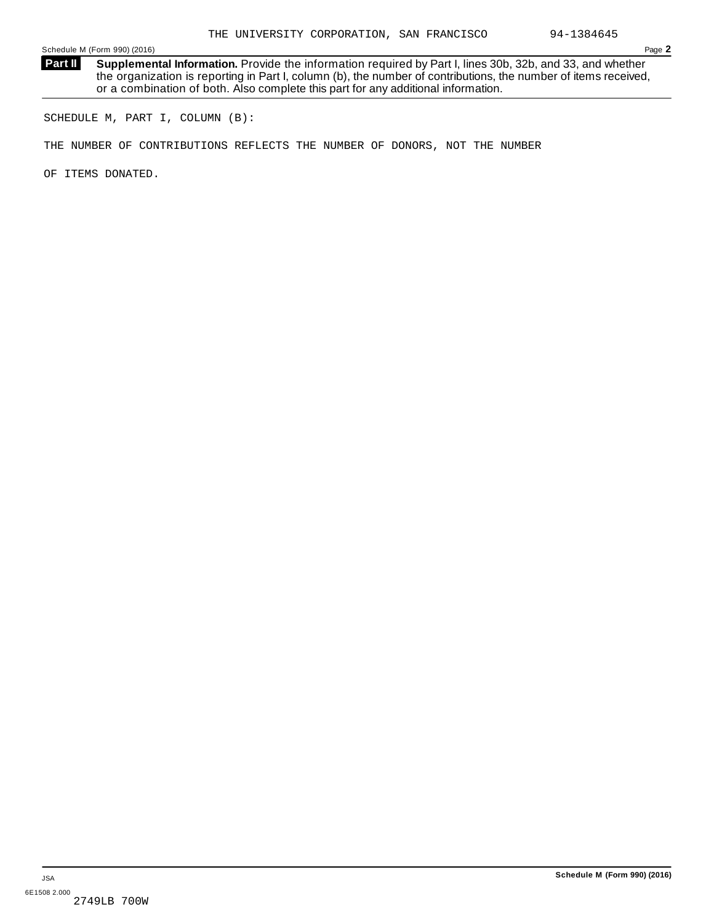**Supplemental Information.** Provide the information required by Part I, lines 30b, 32b, and 33, and whether the organization is reporting in Part I, column (b), the number of contributions, the number of items received, or a combination of both. Also complete this part for any additional information. **Part II**

SCHEDULE M, PART I, COLUMN (B):

THE NUMBER OF CONTRIBUTIONS REFLECTS THE NUMBER OF DONORS, NOT THE NUMBER

OF ITEMS DONATED.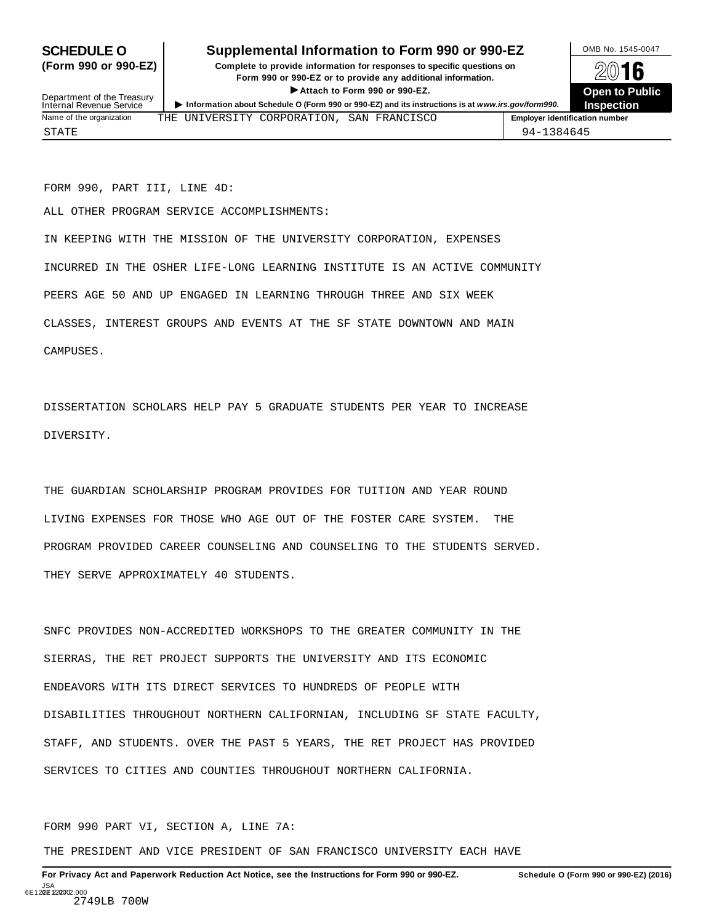#### **SCHEDULE O** Supplemental Information to Form 990 or 990-EZ DMB No. 1545-0047

**(Form 990 or 990-EZ) Complete to provide information for responses to specific questions on** plete to provide information for responses to specific questions on  $\mathbb{Z}^{\square}$  **16 EXECUTE:** Attach to Form 990 or 990-EZ.<br>
Attach to Form 990 or 990-EZ.<br> **Company of the Company of the Company of the Company of the Company of the Company of the Company of the Company of the Company of the Company of th** 



| Department of the Treasury<br>Internal Revenue Service |  |                                           | <b>PALLAGE LO FULLE 330 OF 330-EZ.</b><br>Information about Schedule O (Form 990 or 990-EZ) and its instructions is at www.irs.gov/form990. |            | <b>Open to Publi</b><br><b>Inspection</b> |
|--------------------------------------------------------|--|-------------------------------------------|---------------------------------------------------------------------------------------------------------------------------------------------|------------|-------------------------------------------|
| Name of the organization                               |  | THE UNIVERSITY CORPORATION, SAN FRANCISCO |                                                                                                                                             |            | <b>Employer identification number</b>     |
| STATE                                                  |  |                                           |                                                                                                                                             | 94-1384645 |                                           |

FORM 990, PART III, LINE 4D:

ALL OTHER PROGRAM SERVICE ACCOMPLISHMENTS:

IN KEEPING WITH THE MISSION OF THE UNIVERSITY CORPORATION, EXPENSES INCURRED IN THE OSHER LIFE-LONG LEARNING INSTITUTE IS AN ACTIVE COMMUNITY PEERS AGE 50 AND UP ENGAGED IN LEARNING THROUGH THREE AND SIX WEEK CLASSES, INTEREST GROUPS AND EVENTS AT THE SF STATE DOWNTOWN AND MAIN CAMPUSES.

DISSERTATION SCHOLARS HELP PAY 5 GRADUATE STUDENTS PER YEAR TO INCREASE DIVERSITY.

THE GUARDIAN SCHOLARSHIP PROGRAM PROVIDES FOR TUITION AND YEAR ROUND LIVING EXPENSES FOR THOSE WHO AGE OUT OF THE FOSTER CARE SYSTEM. THE PROGRAM PROVIDED CAREER COUNSELING AND COUNSELING TO THE STUDENTS SERVED. THEY SERVE APPROXIMATELY 40 STUDENTS.

SNFC PROVIDES NON-ACCREDITED WORKSHOPS TO THE GREATER COMMUNITY IN THE SIERRAS, THE RET PROJECT SUPPORTS THE UNIVERSITY AND ITS ECONOMIC ENDEAVORS WITH ITS DIRECT SERVICES TO HUNDREDS OF PEOPLE WITH DISABILITIES THROUGHOUT NORTHERN CALIFORNIAN, INCLUDING SF STATE FACULTY, STAFF, AND STUDENTS. OVER THE PAST 5 YEARS, THE RET PROJECT HAS PROVIDED SERVICES TO CITIES AND COUNTIES THROUGHOUT NORTHERN CALIFORNIA.

#### FORM 990 PART VI, SECTION A, LINE 7A:

THE PRESIDENT AND VICE PRESIDENT OF SAN FRANCISCO UNIVERSITY EACH HAVE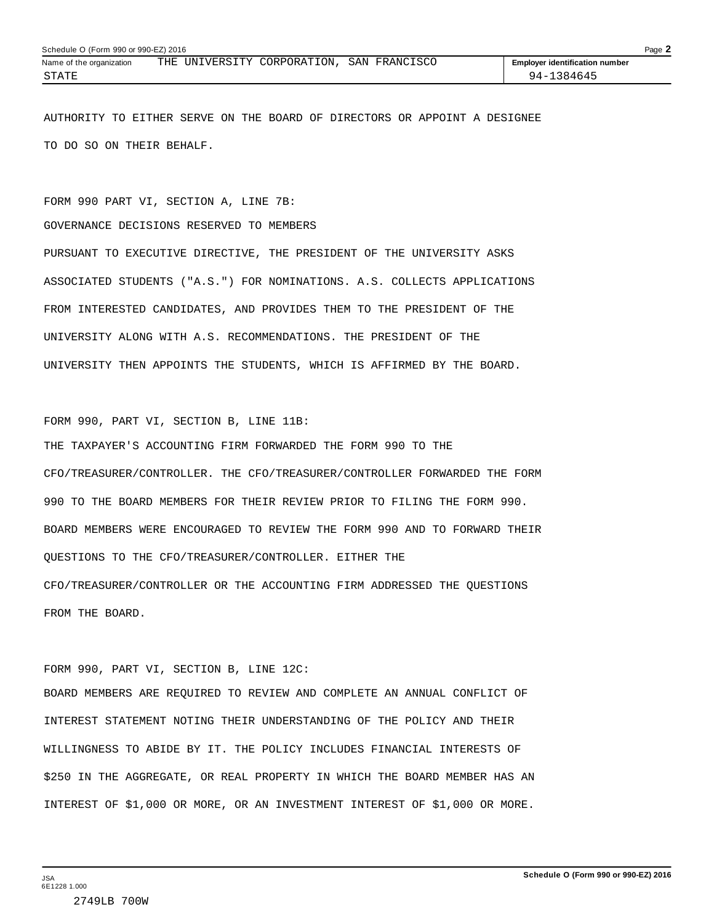AUTHORITY TO EITHER SERVE ON THE BOARD OF DIRECTORS OR APPOINT A DESIGNEE TO DO SO ON THEIR BEHALF.

FORM 990 PART VI, SECTION A, LINE 7B: GOVERNANCE DECISIONS RESERVED TO MEMBERS PURSUANT TO EXECUTIVE DIRECTIVE, THE PRESIDENT OF THE UNIVERSITY ASKS ASSOCIATED STUDENTS ("A.S.") FOR NOMINATIONS. A.S. COLLECTS APPLICATIONS FROM INTERESTED CANDIDATES, AND PROVIDES THEM TO THE PRESIDENT OF THE UNIVERSITY ALONG WITH A.S. RECOMMENDATIONS. THE PRESIDENT OF THE UNIVERSITY THEN APPOINTS THE STUDENTS, WHICH IS AFFIRMED BY THE BOARD.

FORM 990, PART VI, SECTION B, LINE 11B:

THE TAXPAYER'S ACCOUNTING FIRM FORWARDED THE FORM 990 TO THE CFO/TREASURER/CONTROLLER. THE CFO/TREASURER/CONTROLLER FORWARDED THE FORM 990 TO THE BOARD MEMBERS FOR THEIR REVIEW PRIOR TO FILING THE FORM 990. BOARD MEMBERS WERE ENCOURAGED TO REVIEW THE FORM 990 AND TO FORWARD THEIR QUESTIONS TO THE CFO/TREASURER/CONTROLLER. EITHER THE CFO/TREASURER/CONTROLLER OR THE ACCOUNTING FIRM ADDRESSED THE QUESTIONS FROM THE BOARD.

FORM 990, PART VI, SECTION B, LINE 12C: BOARD MEMBERS ARE REQUIRED TO REVIEW AND COMPLETE AN ANNUAL CONFLICT OF INTEREST STATEMENT NOTING THEIR UNDERSTANDING OF THE POLICY AND THEIR WILLINGNESS TO ABIDE BY IT. THE POLICY INCLUDES FINANCIAL INTERESTS OF \$250 IN THE AGGREGATE, OR REAL PROPERTY IN WHICH THE BOARD MEMBER HAS AN INTEREST OF \$1,000 OR MORE, OR AN INVESTMENT INTEREST OF \$1,000 OR MORE.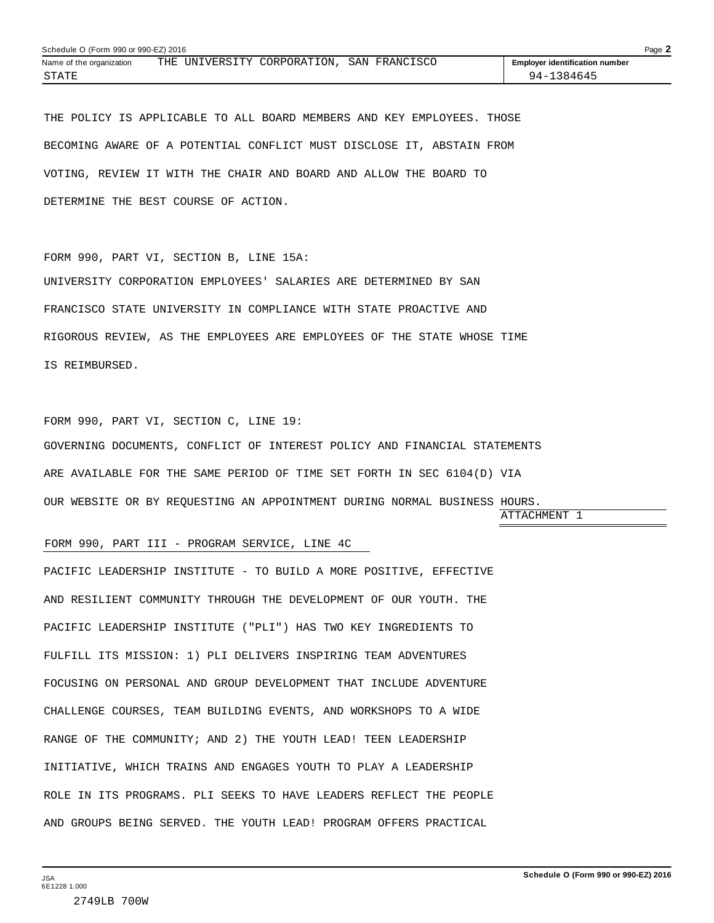<span id="page-42-0"></span>

| Schedule O (Form 990 or 990-EZ) 2016 |  |  |                                           |  |  |  | Page $\blacktriangle$                 |  |
|--------------------------------------|--|--|-------------------------------------------|--|--|--|---------------------------------------|--|
| Name of the organization             |  |  | THE UNIVERSITY CORPORATION, SAN FRANCISCO |  |  |  | <b>Employer identification number</b> |  |
| STATE                                |  |  |                                           |  |  |  | 94-1384645                            |  |

THE POLICY IS APPLICABLE TO ALL BOARD MEMBERS AND KEY EMPLOYEES. THOSE BECOMING AWARE OF A POTENTIAL CONFLICT MUST DISCLOSE IT, ABSTAIN FROM VOTING, REVIEW IT WITH THE CHAIR AND BOARD AND ALLOW THE BOARD TO DETERMINE THE BEST COURSE OF ACTION.

FORM 990, PART VI, SECTION B, LINE 15A: UNIVERSITY CORPORATION EMPLOYEES' SALARIES ARE DETERMINED BY SAN FRANCISCO STATE UNIVERSITY IN COMPLIANCE WITH STATE PROACTIVE AND RIGOROUS REVIEW, AS THE EMPLOYEES ARE EMPLOYEES OF THE STATE WHOSE TIME IS REIMBURSED.

FORM 990, PART VI, SECTION C, LINE 19:

GOVERNING DOCUMENTS, CONFLICT OF INTEREST POLICY AND FINANCIAL STATEMENTS ARE AVAILABLE FOR THE SAME PERIOD OF TIME SET FORTH IN SEC 6104(D) VIA OUR WEBSITE OR BY REQUESTING AN APPOINTMENT DURING NORMAL BUSINESS HOURS.

ATTACHMENT 1

#### FORM 990, PART III - PROGRAM SERVICE, LINE 4C

PACIFIC LEADERSHIP INSTITUTE - TO BUILD A MORE POSITIVE, EFFECTIVE AND RESILIENT COMMUNITY THROUGH THE DEVELOPMENT OF OUR YOUTH. THE PACIFIC LEADERSHIP INSTITUTE ("PLI") HAS TWO KEY INGREDIENTS TO FULFILL ITS MISSION: 1) PLI DELIVERS INSPIRING TEAM ADVENTURES FOCUSING ON PERSONAL AND GROUP DEVELOPMENT THAT INCLUDE ADVENTURE CHALLENGE COURSES, TEAM BUILDING EVENTS, AND WORKSHOPS TO A WIDE RANGE OF THE COMMUNITY; AND 2) THE YOUTH LEAD! TEEN LEADERSHIP INITIATIVE, WHICH TRAINS AND ENGAGES YOUTH TO PLAY A LEADERSHIP ROLE IN ITS PROGRAMS. PLI SEEKS TO HAVE LEADERS REFLECT THE PEOPLE AND GROUPS BEING SERVED. THE YOUTH LEAD! PROGRAM OFFERS PRACTICAL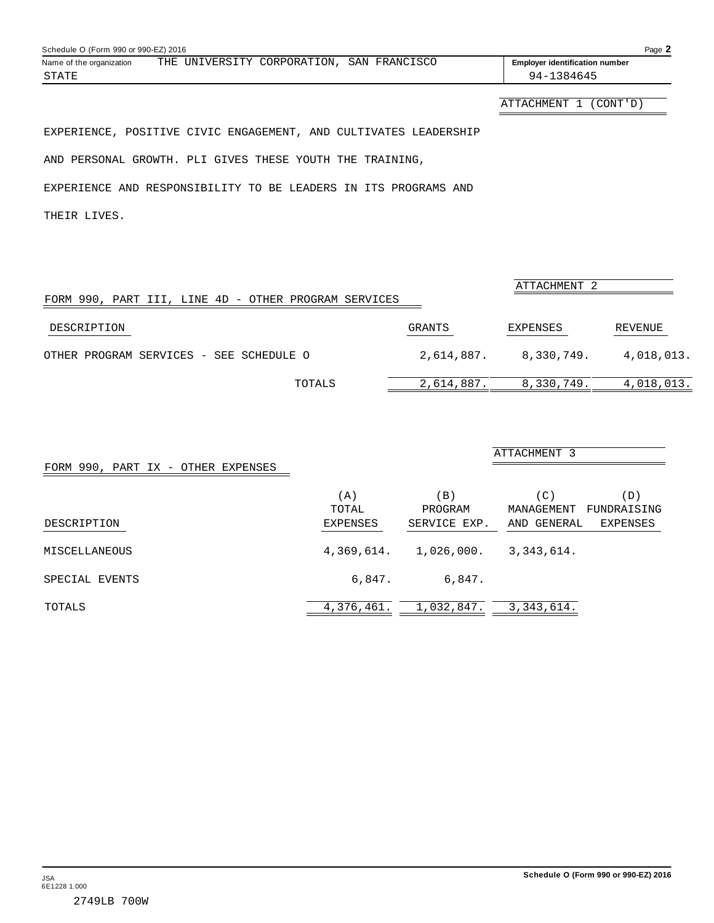<span id="page-43-0"></span>

| Schedule O (Form 990 or 990-EZ) 2016<br>Page $\blacktriangle$ |     |  |                         |  |                 |  |                                       |  |
|---------------------------------------------------------------|-----|--|-------------------------|--|-----------------|--|---------------------------------------|--|
| Name of the organization                                      | THE |  | UNIVERSITY CORPORATION, |  | , SAN FRANCISCO |  | <b>Employer identification number</b> |  |
| STATE                                                         |     |  |                         |  |                 |  | 94-1384645                            |  |

ATTACHMENT 1 (CONT'D)

EXPERIENCE, POSITIVE CIVIC ENGAGEMENT, AND CULTIVATES LEADERSHIP

AND PERSONAL GROWTH. PLI GIVES THESE YOUTH THE TRAINING,

EXPERIENCE AND RESPONSIBILITY TO BE LEADERS IN ITS PROGRAMS AND

THEIR LIVES.

|             |  |  |                                         |        | FORM 990, PART III, LINE 4D - OTHER PROGRAM SERVICES |               | ATTACHMENT 2 |            |
|-------------|--|--|-----------------------------------------|--------|------------------------------------------------------|---------------|--------------|------------|
| DESCRIPTION |  |  |                                         |        |                                                      | <b>GRANTS</b> | EXPENSES     | REVENUE    |
|             |  |  | OTHER PROGRAM SERVICES - SEE SCHEDULE O |        |                                                      | 2,614,887.    | 8,330,749.   | 4,018,013. |
|             |  |  |                                         | TOTALS |                                                      | 2,614,887.    | 8,330,749.   | 4,018,013. |

|                                    |            |              | ATTACHMENT 3 |             |
|------------------------------------|------------|--------------|--------------|-------------|
| FORM 990, PART IX - OTHER EXPENSES |            |              |              |             |
|                                    | (A)        | (B)          | (C)          | (D)         |
|                                    | TOTAL      | PROGRAM      | MANAGEMENT   | FUNDRAISING |
| DESCRIPTION                        | EXPENSES   | SERVICE EXP. | AND GENERAL  | EXPENSES    |
| MISCELLANEOUS                      | 4,369,614. | 1,026,000.   | 3, 343, 614. |             |
| SPECIAL EVENTS                     | 6,847.     | 6,847.       |              |             |
| TOTALS                             | 4,376,461. | 1,032,847.   | 3,343,614.   |             |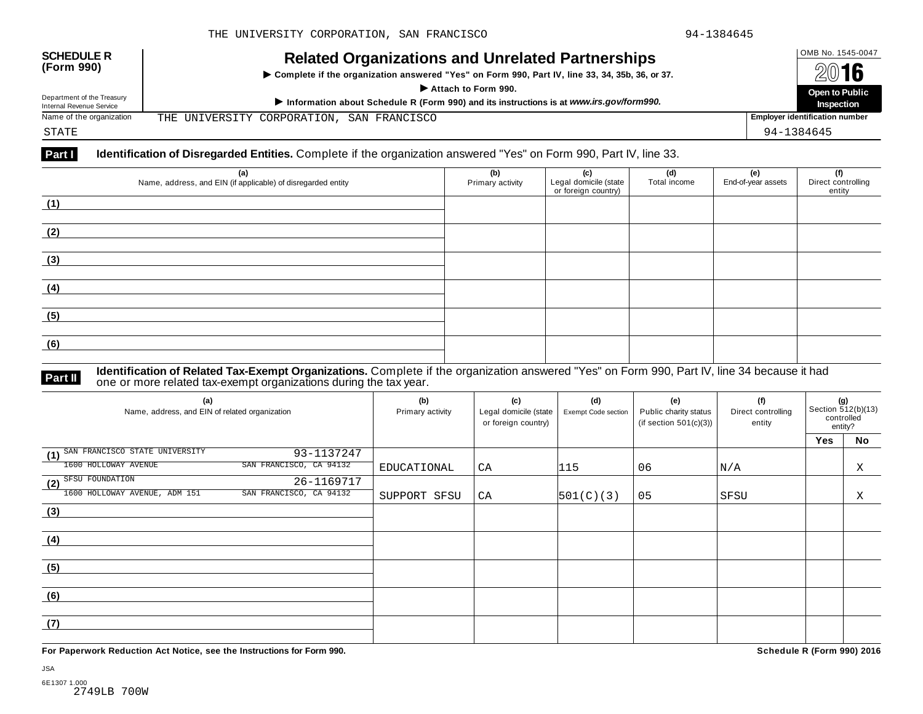| <b>SCHEDULE R</b><br>(Form 990)                        | <b>Related Organizations and Unrelated Partnerships</b><br>▶ Complete if the organization answered "Yes" on Form 990, Part IV, line 33, 34, 35b, 36, or 37.<br>Attach to Form 990. |  |                                |  |  |  |  |  |
|--------------------------------------------------------|------------------------------------------------------------------------------------------------------------------------------------------------------------------------------------|--|--------------------------------|--|--|--|--|--|
| Department of the Treasury<br>Internal Revenue Service | Information about Schedule R (Form 990) and its instructions is at www.irs.gov/form990.                                                                                            |  | Open to Public<br>Inspection   |  |  |  |  |  |
| Name of the organization                               | THE UNIVERSITY CORPORATION, SAN FRANCISCO                                                                                                                                          |  | Employer identification number |  |  |  |  |  |
| STATE                                                  | 94-1384645                                                                                                                                                                         |  |                                |  |  |  |  |  |

#### **Part I Identification of Disregarded Entities.** Complete if the organization answered "Yes" on Form 990, Part IV, line 33.

| (a)<br>Name, address, and EIN (if applicable) of disregarded entity | (b)<br>Primary activity | (c)<br>Legal domicile (state<br>or foreign country) | (d)<br>Total income | (e)<br>End-of-year assets | (f)<br>Direct controlling<br>entity |
|---------------------------------------------------------------------|-------------------------|-----------------------------------------------------|---------------------|---------------------------|-------------------------------------|
| (1)                                                                 |                         |                                                     |                     |                           |                                     |
| (2)                                                                 |                         |                                                     |                     |                           |                                     |
| (3)                                                                 |                         |                                                     |                     |                           |                                     |
| (4)                                                                 |                         |                                                     |                     |                           |                                     |
| (5)                                                                 |                         |                                                     |                     |                           |                                     |
| (6)                                                                 |                         |                                                     |                     |                           |                                     |

## **Part II Identification of Related Tax-Exempt Organizations.** Complete if the organization answered "Yes" on Form 990, Part IV, line 34 because it had<br>The one or more related tax-exempt organizations during the tax year.

| (a)<br>Name, address, and EIN of related organization    | (b)<br>Primary activity | (c)<br>Legal domicile (state<br>or foreign country) | (d)<br>Exempt Code section | (e)<br>Public charity status<br>(if section $501(c)(3)$ ) | (f)<br>Direct controlling<br>entity | (g)<br>Section 512(b)(13)<br>controlled<br>entity? |    |
|----------------------------------------------------------|-------------------------|-----------------------------------------------------|----------------------------|-----------------------------------------------------------|-------------------------------------|----------------------------------------------------|----|
|                                                          |                         |                                                     |                            |                                                           |                                     | <b>Yes</b>                                         | No |
| (1) SAN FRANCISCO STATE UNIVERSITY<br>93-1137247         |                         |                                                     |                            |                                                           |                                     |                                                    |    |
| SAN FRANCISCO, CA 94132<br>1600 HOLLOWAY AVENUE          | EDUCATIONAL             | CA                                                  | 115                        | 06                                                        | N/A                                 |                                                    | Χ  |
| (2) SFSU FOUNDATION<br>26-1169717                        |                         |                                                     |                            |                                                           |                                     |                                                    |    |
| 1600 HOLLOWAY AVENUE, ADM 151<br>SAN FRANCISCO, CA 94132 | SUPPORT SFSU            | CA                                                  | 501(C)(3)                  | 05                                                        | <b>SFSU</b>                         |                                                    | Χ  |
| (3)                                                      |                         |                                                     |                            |                                                           |                                     |                                                    |    |
|                                                          |                         |                                                     |                            |                                                           |                                     |                                                    |    |
| (4)                                                      |                         |                                                     |                            |                                                           |                                     |                                                    |    |
|                                                          |                         |                                                     |                            |                                                           |                                     |                                                    |    |
| (5)                                                      |                         |                                                     |                            |                                                           |                                     |                                                    |    |
|                                                          |                         |                                                     |                            |                                                           |                                     |                                                    |    |
| (6)                                                      |                         |                                                     |                            |                                                           |                                     |                                                    |    |
|                                                          |                         |                                                     |                            |                                                           |                                     |                                                    |    |
| (7)                                                      |                         |                                                     |                            |                                                           |                                     |                                                    |    |
|                                                          |                         |                                                     |                            |                                                           |                                     |                                                    |    |

**For Paperwork Reduction Act Notice, see the Instructions for Form 990. Schedule R (Form 990) 2016**

JSA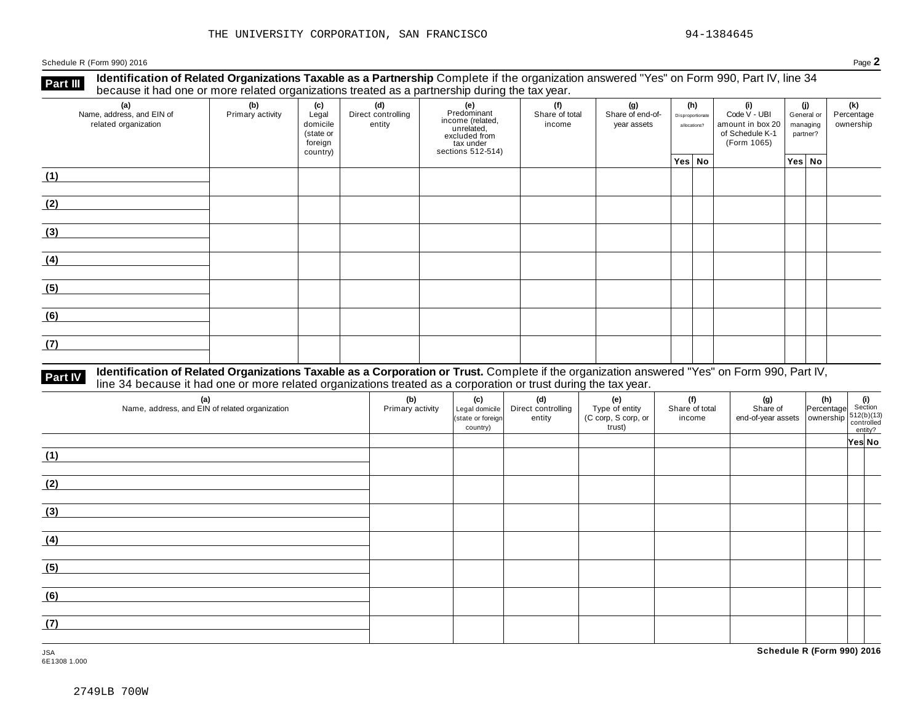Schedule <sup>R</sup> (Form 990) <sup>2016</sup> Page **2**

**Identification of Related Organizations Taxable as a Partnership** Complete if the organization answered "Yes" on Form 990, Part IV, line 34 **because it had one or more related organizations <b>i axable as a Partnership** Complete if the organization of more related organizations treated as a partnership during the tax year.

| (a)<br>Name, address, and EIN of<br>related organization | (b)<br>Primary activity | (c)<br>Legal<br>domicile<br>(state or<br>foreign<br>country) | (d)<br>Direct controlling<br>entity | (e)<br>Predominant<br>income (related,<br>unrelated,<br>excluded from<br>tax under<br>sections 512-514) | (f)<br>Share of total<br>income | (g)<br>Share of end-of-<br>year assets | (h)<br>Disproportionate<br>allocations? |  | (i)<br>Code V - UBI<br>amount in box 20<br>of Schedule K-1<br>(Form 1065) | (j)<br>General or<br>managing<br>partner? |            | (k)<br>Percentage<br>ownership |
|----------------------------------------------------------|-------------------------|--------------------------------------------------------------|-------------------------------------|---------------------------------------------------------------------------------------------------------|---------------------------------|----------------------------------------|-----------------------------------------|--|---------------------------------------------------------------------------|-------------------------------------------|------------|--------------------------------|
|                                                          |                         |                                                              |                                     |                                                                                                         |                                 |                                        | Yes No                                  |  |                                                                           |                                           | $ Yes $ No |                                |
| (1)                                                      |                         |                                                              |                                     |                                                                                                         |                                 |                                        |                                         |  |                                                                           |                                           |            |                                |
| (2)                                                      |                         |                                                              |                                     |                                                                                                         |                                 |                                        |                                         |  |                                                                           |                                           |            |                                |
| (3)                                                      |                         |                                                              |                                     |                                                                                                         |                                 |                                        |                                         |  |                                                                           |                                           |            |                                |
| (4)                                                      |                         |                                                              |                                     |                                                                                                         |                                 |                                        |                                         |  |                                                                           |                                           |            |                                |
| (5)                                                      |                         |                                                              |                                     |                                                                                                         |                                 |                                        |                                         |  |                                                                           |                                           |            |                                |
| (6)                                                      |                         |                                                              |                                     |                                                                                                         |                                 |                                        |                                         |  |                                                                           |                                           |            |                                |
| (7)                                                      |                         |                                                              |                                     |                                                                                                         |                                 |                                        |                                         |  |                                                                           |                                           |            |                                |

## **Part IV** Identification of Related Organizations Taxable as a Corporation or Trust. Complete if the organization answered "Yes" on Form 990, Part IV,<br>line 34 because it had one or more related organizations treated as a c

| (a)<br>Name, address, and EIN of related organization | (b)<br>Primary activity | (c)<br>Legal domicile<br>(state or foreign<br>country) | (d)<br>Direct controlling<br>entity | (e)<br>Type of entity<br>(C corp, S corp, or<br>trust) | (f)<br>Share of total<br>income | (g)<br>Share of<br>end-of-year assets<br>whership<br>ownership<br>ontrolled<br>entity? | $\begin{vmatrix} \mathbf{h} \\ \mathbf{Percentage} \end{vmatrix}$ Section |        |
|-------------------------------------------------------|-------------------------|--------------------------------------------------------|-------------------------------------|--------------------------------------------------------|---------------------------------|----------------------------------------------------------------------------------------|---------------------------------------------------------------------------|--------|
|                                                       |                         |                                                        |                                     |                                                        |                                 |                                                                                        |                                                                           | Yes No |
| (1)                                                   |                         |                                                        |                                     |                                                        |                                 |                                                                                        |                                                                           |        |
| (2)                                                   |                         |                                                        |                                     |                                                        |                                 |                                                                                        |                                                                           |        |
| (3)                                                   |                         |                                                        |                                     |                                                        |                                 |                                                                                        |                                                                           |        |
| (4)                                                   |                         |                                                        |                                     |                                                        |                                 |                                                                                        |                                                                           |        |
| (5)                                                   |                         |                                                        |                                     |                                                        |                                 |                                                                                        |                                                                           |        |
| (6)                                                   |                         |                                                        |                                     |                                                        |                                 |                                                                                        |                                                                           |        |
| (7)                                                   |                         |                                                        |                                     |                                                        |                                 |                                                                                        |                                                                           |        |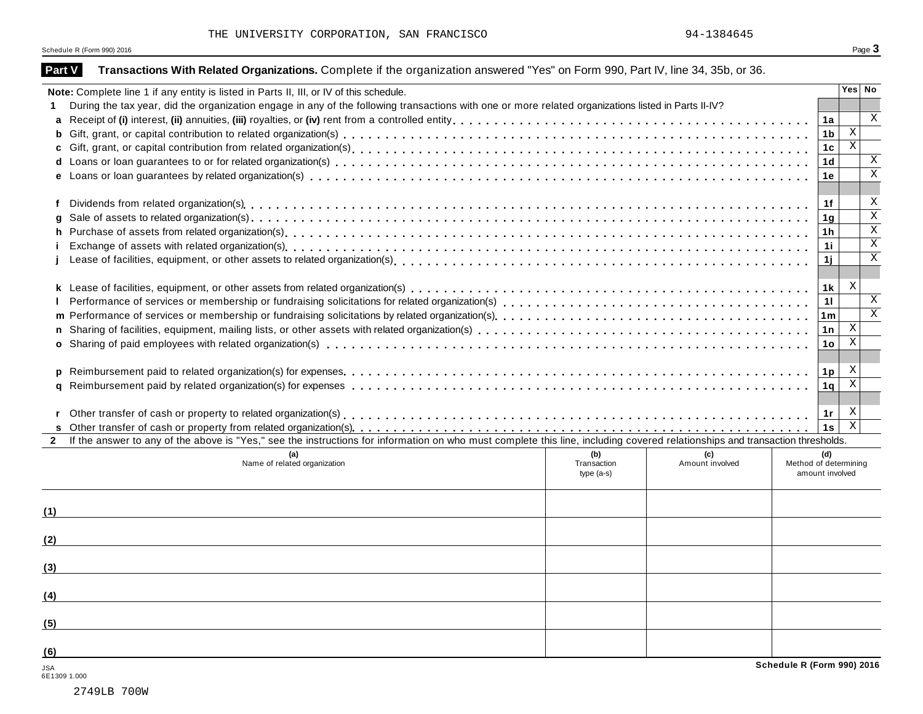Schedule R (Form 990) 2016  $\overline{\textbf{S}}$  Page  $\overline{\textbf{3}}$ 

| Part V       | Transactions With Related Organizations. Complete if the organization answered "Yes" on Form 990, Part IV, line 34, 35b, or 36.                                              |                |                           |                                  |  |  |  |  |  |  |
|--------------|------------------------------------------------------------------------------------------------------------------------------------------------------------------------------|----------------|---------------------------|----------------------------------|--|--|--|--|--|--|
|              | Note: Complete line 1 if any entity is listed in Parts II, III, or IV of this schedule.                                                                                      |                | Yes No                    |                                  |  |  |  |  |  |  |
|              | During the tax year, did the organization engage in any of the following transactions with one or more related organizations listed in Parts II-IV?                          |                |                           |                                  |  |  |  |  |  |  |
|              |                                                                                                                                                                              | 1a             |                           | X                                |  |  |  |  |  |  |
| b            |                                                                                                                                                                              | 1 <sub>b</sub> | $\mathbf{X}$              |                                  |  |  |  |  |  |  |
|              |                                                                                                                                                                              | 1 <sub>c</sub> | $\overline{\mathbf{x}}$   |                                  |  |  |  |  |  |  |
|              |                                                                                                                                                                              | 1 <sub>d</sub> |                           | $\boldsymbol{\mathrm{X}}$        |  |  |  |  |  |  |
|              |                                                                                                                                                                              | 1е             |                           | $\mathbf X$                      |  |  |  |  |  |  |
|              |                                                                                                                                                                              |                |                           |                                  |  |  |  |  |  |  |
| f            |                                                                                                                                                                              | 1f             |                           | X                                |  |  |  |  |  |  |
| q            |                                                                                                                                                                              | 1 <sub>q</sub> |                           | $\overline{X}$<br>$\overline{X}$ |  |  |  |  |  |  |
| h            |                                                                                                                                                                              |                |                           |                                  |  |  |  |  |  |  |
|              |                                                                                                                                                                              |                |                           |                                  |  |  |  |  |  |  |
|              |                                                                                                                                                                              |                |                           |                                  |  |  |  |  |  |  |
|              |                                                                                                                                                                              |                |                           |                                  |  |  |  |  |  |  |
|              |                                                                                                                                                                              | 1k<br>11       | $\boldsymbol{\mathrm{X}}$ | $\mathbf X$                      |  |  |  |  |  |  |
|              |                                                                                                                                                                              |                |                           |                                  |  |  |  |  |  |  |
|              |                                                                                                                                                                              |                |                           |                                  |  |  |  |  |  |  |
| n.           |                                                                                                                                                                              |                |                           |                                  |  |  |  |  |  |  |
|              |                                                                                                                                                                              | 1 <sub>o</sub> | $\,$ X                    |                                  |  |  |  |  |  |  |
|              |                                                                                                                                                                              |                |                           |                                  |  |  |  |  |  |  |
| p            |                                                                                                                                                                              | 1 <sub>p</sub> | X<br>$\mathbf X$          |                                  |  |  |  |  |  |  |
| q            |                                                                                                                                                                              | 1q             |                           |                                  |  |  |  |  |  |  |
|              |                                                                                                                                                                              |                | X                         |                                  |  |  |  |  |  |  |
| r            |                                                                                                                                                                              | 1r<br>1s       | $\overline{\mathbf{x}}$   |                                  |  |  |  |  |  |  |
| $\mathbf{2}$ | If the answer to any of the above is "Yes," see the instructions for information on who must complete this line, including covered relationships and transaction thresholds. |                |                           |                                  |  |  |  |  |  |  |
|              | (b)<br>(a)<br>(c)                                                                                                                                                            | (d)            |                           |                                  |  |  |  |  |  |  |
|              | Name of related organization<br>Transaction<br>Amount involved<br>Method of determining                                                                                      |                |                           |                                  |  |  |  |  |  |  |
|              | amount involved<br>type $(a-s)$                                                                                                                                              |                |                           |                                  |  |  |  |  |  |  |
|              |                                                                                                                                                                              |                |                           |                                  |  |  |  |  |  |  |
| (1)          |                                                                                                                                                                              |                |                           |                                  |  |  |  |  |  |  |
|              |                                                                                                                                                                              |                |                           |                                  |  |  |  |  |  |  |
| (2)          |                                                                                                                                                                              |                |                           |                                  |  |  |  |  |  |  |
|              |                                                                                                                                                                              |                |                           |                                  |  |  |  |  |  |  |
| (3)          |                                                                                                                                                                              |                |                           |                                  |  |  |  |  |  |  |
|              |                                                                                                                                                                              |                |                           |                                  |  |  |  |  |  |  |
| (4)          |                                                                                                                                                                              |                |                           |                                  |  |  |  |  |  |  |
|              |                                                                                                                                                                              |                |                           |                                  |  |  |  |  |  |  |
| (5)          |                                                                                                                                                                              |                |                           |                                  |  |  |  |  |  |  |
|              |                                                                                                                                                                              |                |                           |                                  |  |  |  |  |  |  |
| (6)          |                                                                                                                                                                              |                |                           |                                  |  |  |  |  |  |  |
| JSA          | Schedule R (Form 990) 2016<br>6E1309 1.000                                                                                                                                   |                |                           |                                  |  |  |  |  |  |  |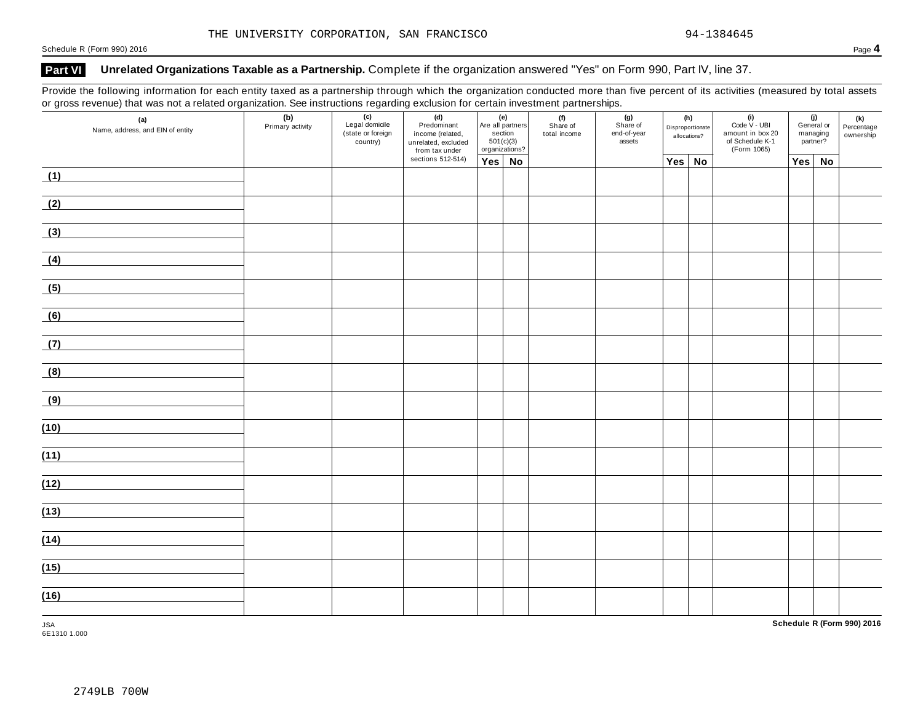#### **Part VI Unrelated Organizations Taxable as a Partnership.** Complete if the organization answered "Yes" on Form 990, Part IV, line 37.

Provide the following information for each entity taxed as a partnership through which the organization conducted more than five percent of its activities (measured by total assets or gross revenue) that was not a related organization. See instructions regarding exclusion for certain investment partnerships.

| $\tilde{}$<br>(a)<br>Name, address, and EIN of entity | (b)<br>Primary activity | $\tilde{\phantom{a}}$<br>(c)<br>Legal domicile<br>(state or foreign<br>country) | (d)<br>Predominant<br>income (related,<br>unrelated, excluded<br>from tax under | (e)<br>Are all partners<br>section<br>501(c)(3) |  | (f)<br>Share of<br>total income<br>organizations? |  | . .    | (g)<br>Share of<br>end-of-year<br>assets | (h)<br>Disproportionate<br>allocations? |     | (i)<br>Code V - UBI<br>amount in box 20<br>of Schedule K-1<br>(Form 1065) |  | (j)<br>General or<br>managing<br>partner? | (k)<br>Percentage<br>ownership |
|-------------------------------------------------------|-------------------------|---------------------------------------------------------------------------------|---------------------------------------------------------------------------------|-------------------------------------------------|--|---------------------------------------------------|--|--------|------------------------------------------|-----------------------------------------|-----|---------------------------------------------------------------------------|--|-------------------------------------------|--------------------------------|
|                                                       |                         |                                                                                 | sections 512-514)                                                               | Yes   No                                        |  |                                                   |  | Yes No |                                          |                                         | Yes | <b>No</b>                                                                 |  |                                           |                                |
| (1)                                                   |                         |                                                                                 |                                                                                 |                                                 |  |                                                   |  |        |                                          |                                         |     |                                                                           |  |                                           |                                |
| (2)                                                   |                         |                                                                                 |                                                                                 |                                                 |  |                                                   |  |        |                                          |                                         |     |                                                                           |  |                                           |                                |
| (3)                                                   |                         |                                                                                 |                                                                                 |                                                 |  |                                                   |  |        |                                          |                                         |     |                                                                           |  |                                           |                                |
| (4)                                                   |                         |                                                                                 |                                                                                 |                                                 |  |                                                   |  |        |                                          |                                         |     |                                                                           |  |                                           |                                |
| (5)                                                   |                         |                                                                                 |                                                                                 |                                                 |  |                                                   |  |        |                                          |                                         |     |                                                                           |  |                                           |                                |
| (6)                                                   |                         |                                                                                 |                                                                                 |                                                 |  |                                                   |  |        |                                          |                                         |     |                                                                           |  |                                           |                                |
| (7)                                                   |                         |                                                                                 |                                                                                 |                                                 |  |                                                   |  |        |                                          |                                         |     |                                                                           |  |                                           |                                |
| (8)                                                   |                         |                                                                                 |                                                                                 |                                                 |  |                                                   |  |        |                                          |                                         |     |                                                                           |  |                                           |                                |
| (9)                                                   |                         |                                                                                 |                                                                                 |                                                 |  |                                                   |  |        |                                          |                                         |     |                                                                           |  |                                           |                                |
| (10)                                                  |                         |                                                                                 |                                                                                 |                                                 |  |                                                   |  |        |                                          |                                         |     |                                                                           |  |                                           |                                |
| (11)                                                  |                         |                                                                                 |                                                                                 |                                                 |  |                                                   |  |        |                                          |                                         |     |                                                                           |  |                                           |                                |
| (12)                                                  |                         |                                                                                 |                                                                                 |                                                 |  |                                                   |  |        |                                          |                                         |     |                                                                           |  |                                           |                                |
| (13)                                                  |                         |                                                                                 |                                                                                 |                                                 |  |                                                   |  |        |                                          |                                         |     |                                                                           |  |                                           |                                |
| (14)                                                  |                         |                                                                                 |                                                                                 |                                                 |  |                                                   |  |        |                                          |                                         |     |                                                                           |  |                                           |                                |
| (15)                                                  |                         |                                                                                 |                                                                                 |                                                 |  |                                                   |  |        |                                          |                                         |     |                                                                           |  |                                           |                                |
| (16)                                                  |                         |                                                                                 |                                                                                 |                                                 |  |                                                   |  |        |                                          |                                         |     |                                                                           |  |                                           |                                |

6E1310 1.000

JSA **Schedule R (Form 990) 2016**